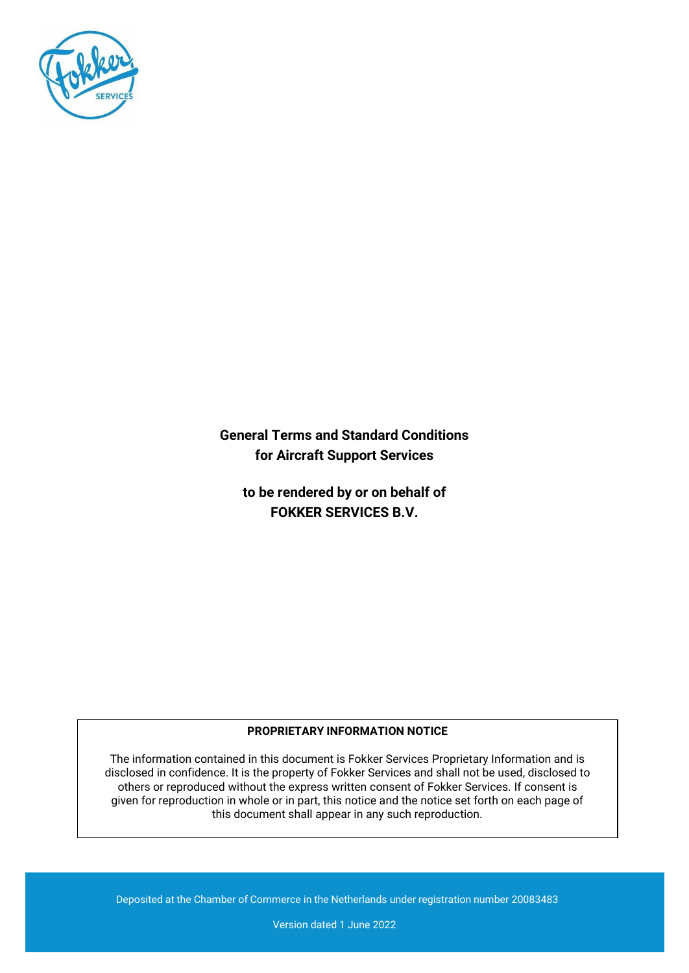

**General Terms and Standard Conditions for Aircraft Support Services**

**to be rendered by or on behalf of FOKKER SERVICES B.V.**

# **PROPRIETARY INFORMATION NOTICE**

The information contained in this document is Fokker Services Proprietary Information and is disclosed in confidence. It is the property of Fokker Services and shall not be used, disclosed to others or reproduced without the express written consent of Fokker Services. If consent is given for reproduction in whole or in part, this notice and the notice set forth on each page of this document shall appear in any such reproduction.

Deposited at the Chamber of Commerce in the Netherlands under registration number 20083483

Version dated 1 June 2022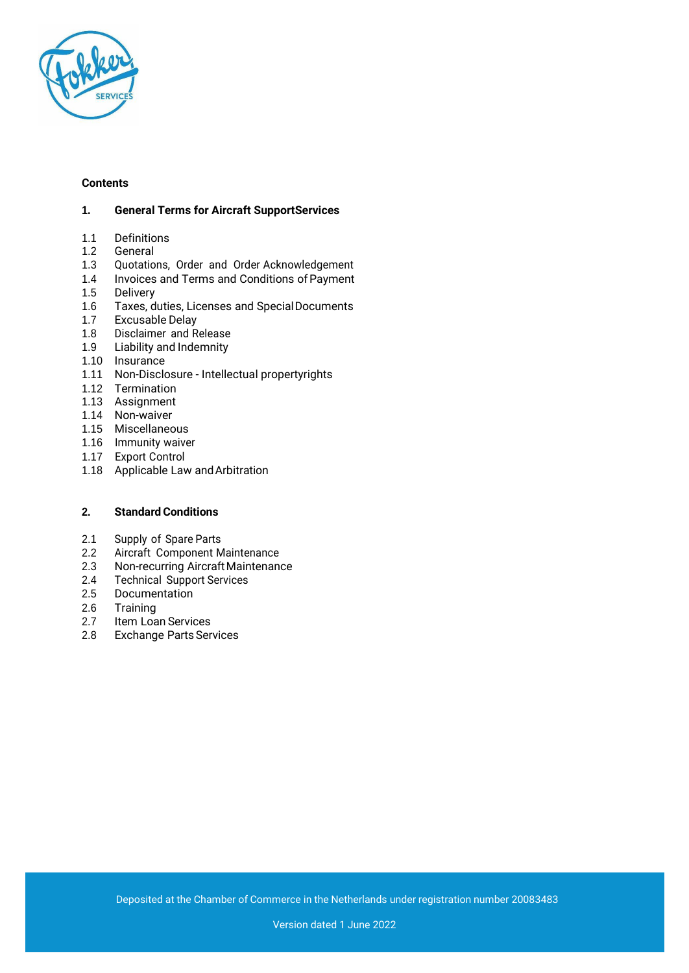

#### **Contents**

#### **1. General Terms for Aircraft SupportServices**

- 1.1 Definitions<br>1.2 General
- **General**
- 1.3 Quotations, Order and Order Acknowledgement
- 1.4 Invoices and Terms and Conditions of Payment
- 1.5 Delivery
- 1.6 Taxes, duties, Licenses and SpecialDocuments
- 1.7 Excusable Delay
- 1.8 Disclaimer and Release
- 1.9 Liability and Indemnity
- 1.10 Insurance
- 1.11 Non-Disclosure Intellectual propertyrights
- 1.12 Termination
- 1.13 Assignment
- 1.14 Non-waiver
- 1.15 Miscellaneous
- 1.16 Immunity waiver
- 1.17 Export Control
- 1.18 Applicable Law andArbitration

# **2.** Standard Conditions

- 2.1 Supply of Spare Parts
- 2.2 Aircraft Component Maintenance
- 2.3 Non-recurring AircraftMaintenance
- 2.4 Technical Support Services
- 2.5 Documentation
- 2.6 Training
- 2.7 Item Loan Services
- 2.8 Exchange Parts Services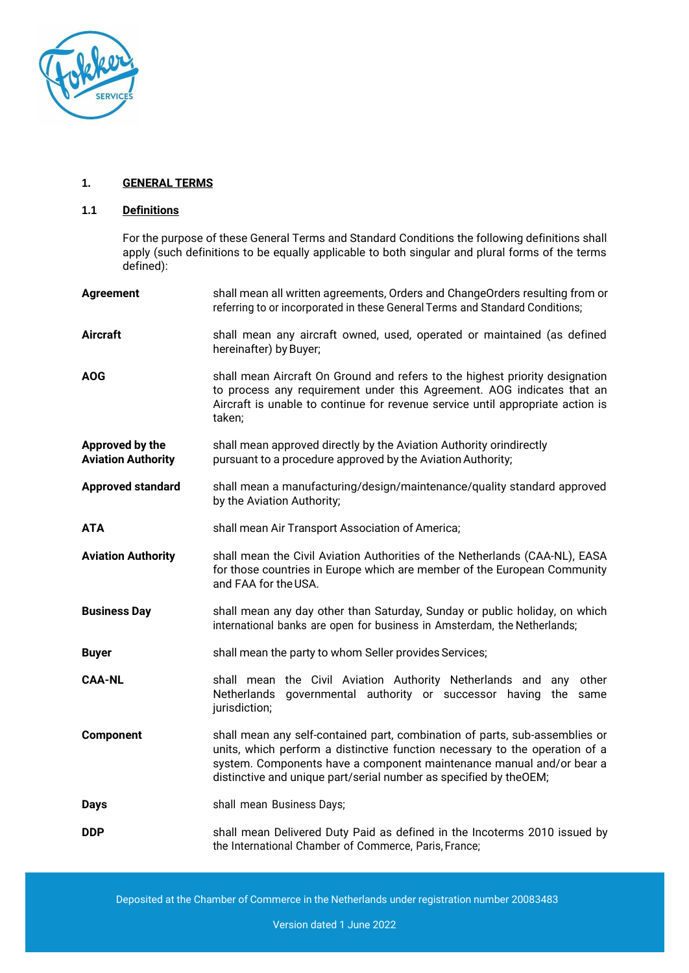

#### **1. GENERAL TERMS**

#### **1.1 Definitions**

For the purpose of these General Terms and Standard Conditions the following definitions shall apply (such definitions to be equally applicable to both singular and plural forms of the terms defined):

| <b>Agreement</b>                             | shall mean all written agreements, Orders and ChangeOrders resulting from or<br>referring to or incorporated in these General Terms and Standard Conditions;                                                                                                                                            |  |
|----------------------------------------------|---------------------------------------------------------------------------------------------------------------------------------------------------------------------------------------------------------------------------------------------------------------------------------------------------------|--|
| <b>Aircraft</b>                              | shall mean any aircraft owned, used, operated or maintained (as defined<br>hereinafter) by Buyer;                                                                                                                                                                                                       |  |
| <b>AOG</b>                                   | shall mean Aircraft On Ground and refers to the highest priority designation<br>to process any requirement under this Agreement. AOG indicates that an<br>Aircraft is unable to continue for revenue service until appropriate action is<br>taken;                                                      |  |
| Approved by the<br><b>Aviation Authority</b> | shall mean approved directly by the Aviation Authority orindirectly<br>pursuant to a procedure approved by the Aviation Authority;                                                                                                                                                                      |  |
| <b>Approved standard</b>                     | shall mean a manufacturing/design/maintenance/quality standard approved<br>by the Aviation Authority;                                                                                                                                                                                                   |  |
| ATA                                          | shall mean Air Transport Association of America;                                                                                                                                                                                                                                                        |  |
| <b>Aviation Authority</b>                    | shall mean the Civil Aviation Authorities of the Netherlands (CAA-NL), EASA<br>for those countries in Europe which are member of the European Community<br>and FAA for the USA.                                                                                                                         |  |
| <b>Business Day</b>                          | shall mean any day other than Saturday, Sunday or public holiday, on which<br>international banks are open for business in Amsterdam, the Netherlands;                                                                                                                                                  |  |
| <b>Buyer</b>                                 | shall mean the party to whom Seller provides Services;                                                                                                                                                                                                                                                  |  |
| <b>CAA-NL</b>                                | shall mean the Civil Aviation Authority Netherlands and any<br>other<br>governmental authority or successor having the same<br>Netherlands<br>jurisdiction;                                                                                                                                             |  |
| Component                                    | shall mean any self-contained part, combination of parts, sub-assemblies or<br>units, which perform a distinctive function necessary to the operation of a<br>system. Components have a component maintenance manual and/or bear a<br>distinctive and unique part/serial number as specified by theOEM; |  |
| <b>Days</b>                                  | shall mean Business Days;                                                                                                                                                                                                                                                                               |  |
| <b>DDP</b>                                   | shall mean Delivered Duty Paid as defined in the Incoterms 2010 issued by<br>the International Chamber of Commerce, Paris, France;                                                                                                                                                                      |  |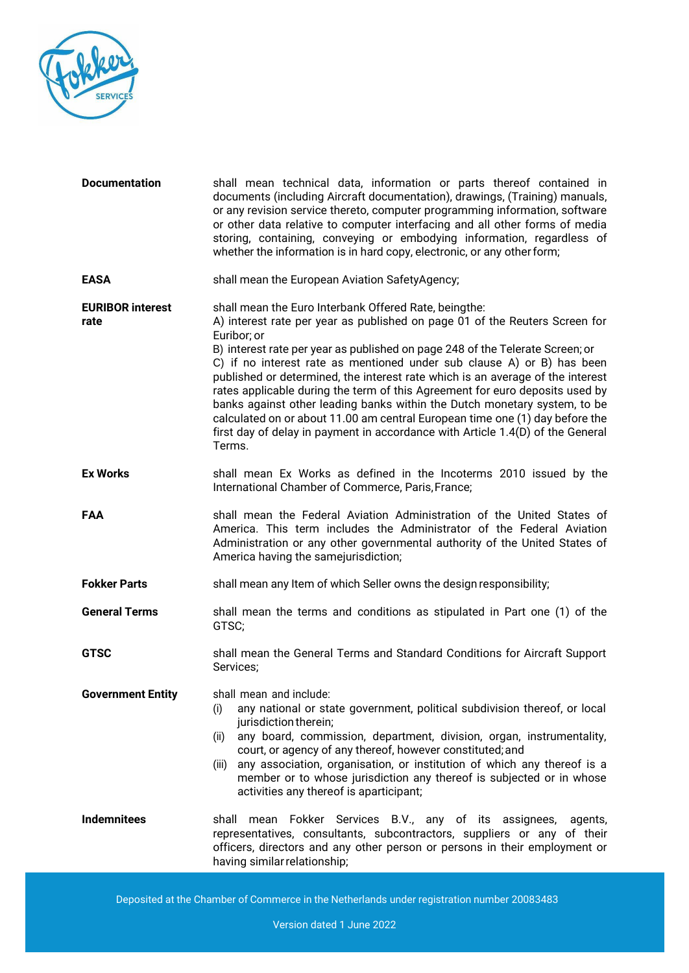

| <b>Documentation</b>            | shall mean technical data, information or parts thereof contained in<br>documents (including Aircraft documentation), drawings, (Training) manuals,<br>or any revision service thereto, computer programming information, software<br>or other data relative to computer interfacing and all other forms of media<br>storing, containing, conveying or embodying information, regardless of<br>whether the information is in hard copy, electronic, or any other form;                                                                                                                                                                                                                                                                    |  |
|---------------------------------|-------------------------------------------------------------------------------------------------------------------------------------------------------------------------------------------------------------------------------------------------------------------------------------------------------------------------------------------------------------------------------------------------------------------------------------------------------------------------------------------------------------------------------------------------------------------------------------------------------------------------------------------------------------------------------------------------------------------------------------------|--|
| <b>EASA</b>                     | shall mean the European Aviation SafetyAgency;                                                                                                                                                                                                                                                                                                                                                                                                                                                                                                                                                                                                                                                                                            |  |
| <b>EURIBOR interest</b><br>rate | shall mean the Euro Interbank Offered Rate, beingthe:<br>A) interest rate per year as published on page 01 of the Reuters Screen for<br>Euribor; or<br>B) interest rate per year as published on page 248 of the Telerate Screen; or<br>C) if no interest rate as mentioned under sub clause A) or B) has been<br>published or determined, the interest rate which is an average of the interest<br>rates applicable during the term of this Agreement for euro deposits used by<br>banks against other leading banks within the Dutch monetary system, to be<br>calculated on or about 11.00 am central European time one (1) day before the<br>first day of delay in payment in accordance with Article 1.4(D) of the General<br>Terms. |  |
| <b>Ex Works</b>                 | shall mean Ex Works as defined in the Incoterms 2010 issued by the<br>International Chamber of Commerce, Paris, France;                                                                                                                                                                                                                                                                                                                                                                                                                                                                                                                                                                                                                   |  |
| FAA                             | shall mean the Federal Aviation Administration of the United States of<br>America. This term includes the Administrator of the Federal Aviation<br>Administration or any other governmental authority of the United States of<br>America having the samejurisdiction;                                                                                                                                                                                                                                                                                                                                                                                                                                                                     |  |
| <b>Fokker Parts</b>             | shall mean any Item of which Seller owns the design responsibility;                                                                                                                                                                                                                                                                                                                                                                                                                                                                                                                                                                                                                                                                       |  |
| <b>General Terms</b>            | shall mean the terms and conditions as stipulated in Part one (1) of the<br>GTSC;                                                                                                                                                                                                                                                                                                                                                                                                                                                                                                                                                                                                                                                         |  |
| <b>GTSC</b>                     | shall mean the General Terms and Standard Conditions for Aircraft Support<br>Services;                                                                                                                                                                                                                                                                                                                                                                                                                                                                                                                                                                                                                                                    |  |
| <b>Government Entity</b>        | shall mean and include:<br>any national or state government, political subdivision thereof, or local<br>(i)<br>jurisdiction therein;<br>any board, commission, department, division, organ, instrumentality,<br>(ii)<br>court, or agency of any thereof, however constituted; and<br>any association, organisation, or institution of which any thereof is a<br>(iii)<br>member or to whose jurisdiction any thereof is subjected or in whose<br>activities any thereof is aparticipant;                                                                                                                                                                                                                                                  |  |
| <b>Indemnitees</b>              | shall mean Fokker Services B.V., any of its assignees,<br>agents,<br>representatives, consultants, subcontractors, suppliers or any of their<br>officers, directors and any other person or persons in their employment or<br>having similar relationship;                                                                                                                                                                                                                                                                                                                                                                                                                                                                                |  |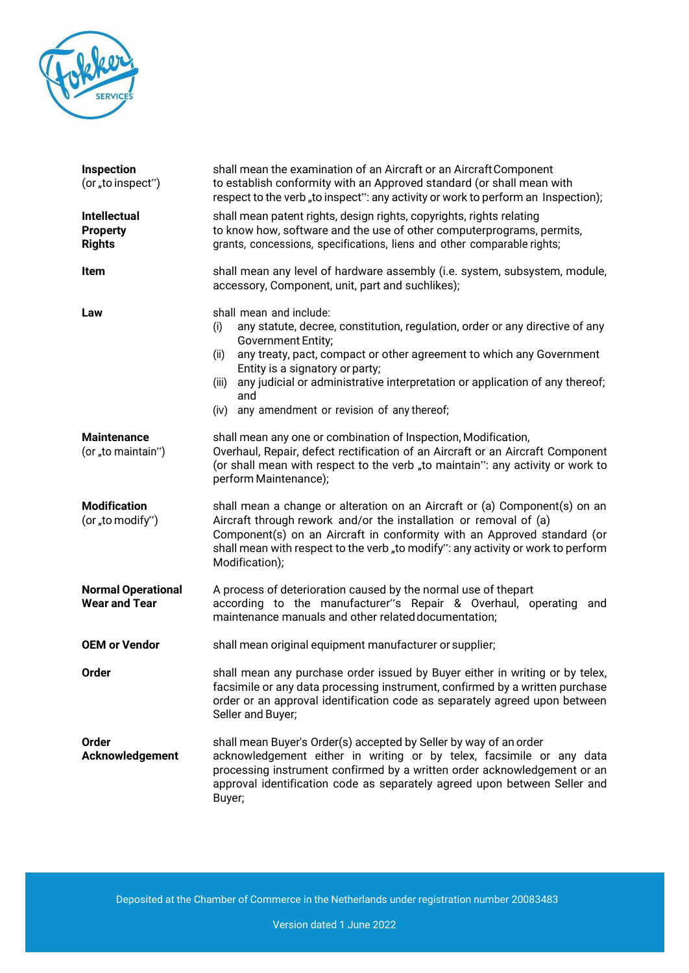

| <b>Inspection</b><br>(or "to inspect")                  | shall mean the examination of an Aircraft or an Aircraft Component<br>to establish conformity with an Approved standard (or shall mean with<br>respect to the verb, to inspect": any activity or work to perform an Inspection);                                                                                                                                                                             |  |
|---------------------------------------------------------|--------------------------------------------------------------------------------------------------------------------------------------------------------------------------------------------------------------------------------------------------------------------------------------------------------------------------------------------------------------------------------------------------------------|--|
| <b>Intellectual</b><br><b>Property</b><br><b>Rights</b> | shall mean patent rights, design rights, copyrights, rights relating<br>to know how, software and the use of other computerprograms, permits,<br>grants, concessions, specifications, liens and other comparable rights;                                                                                                                                                                                     |  |
| Item                                                    | shall mean any level of hardware assembly (i.e. system, subsystem, module,<br>accessory, Component, unit, part and suchlikes);                                                                                                                                                                                                                                                                               |  |
| Law                                                     | shall mean and include:<br>any statute, decree, constitution, regulation, order or any directive of any<br>(i)<br>Government Entity;<br>any treaty, pact, compact or other agreement to which any Government<br>(ii)<br>Entity is a signatory or party;<br>any judicial or administrative interpretation or application of any thereof;<br>(iii)<br>and<br>any amendment or revision of any thereof;<br>(iv) |  |
| <b>Maintenance</b><br>(or "to maintain")                | shall mean any one or combination of Inspection, Modification,<br>Overhaul, Repair, defect rectification of an Aircraft or an Aircraft Component<br>(or shall mean with respect to the verb "to maintain": any activity or work to<br>perform Maintenance);                                                                                                                                                  |  |
| <b>Modification</b><br>(or "to modify")                 | shall mean a change or alteration on an Aircraft or (a) Component(s) on an<br>Aircraft through rework and/or the installation or removal of (a)<br>Component(s) on an Aircraft in conformity with an Approved standard (or<br>shall mean with respect to the verb "to modify": any activity or work to perform<br>Modification);                                                                             |  |
| <b>Normal Operational</b><br><b>Wear and Tear</b>       | A process of deterioration caused by the normal use of thepart<br>according to the manufacturer"s Repair & Overhaul, operating and<br>maintenance manuals and other related documentation;                                                                                                                                                                                                                   |  |
| <b>OEM or Vendor</b>                                    | shall mean original equipment manufacturer or supplier;                                                                                                                                                                                                                                                                                                                                                      |  |
| Order                                                   | shall mean any purchase order issued by Buyer either in writing or by telex,<br>facsimile or any data processing instrument, confirmed by a written purchase<br>order or an approval identification code as separately agreed upon between<br>Seller and Buyer;                                                                                                                                              |  |
| <b>Order</b><br>Acknowledgement                         | shall mean Buyer's Order(s) accepted by Seller by way of an order<br>acknowledgement either in writing or by telex, facsimile or any data<br>processing instrument confirmed by a written order acknowledgement or an<br>approval identification code as separately agreed upon between Seller and<br>Buyer;                                                                                                 |  |

Deposited at the Chamber of Commerce in the Netherlands under registration number 20083483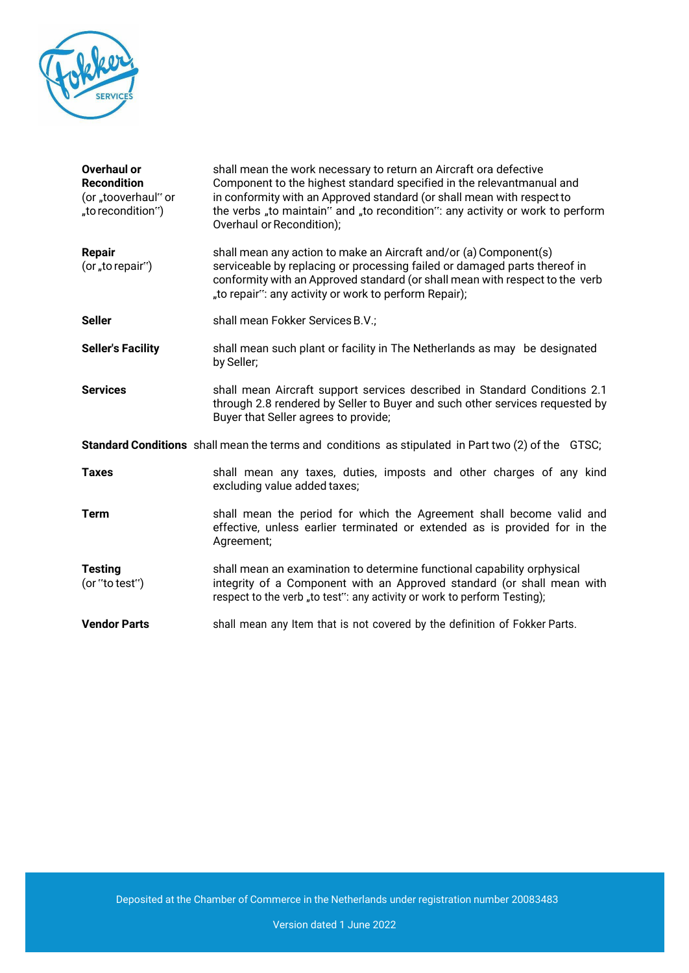

| Overhaul or<br><b>Recondition</b><br>(or "tooverhaul" or<br>"to recondition")                             | shall mean the work necessary to return an Aircraft ora defective<br>Component to the highest standard specified in the relevantmanual and<br>in conformity with an Approved standard (or shall mean with respect to<br>the verbs "to maintain" and "to recondition": any activity or work to perform<br>Overhaul or Recondition); |  |
|-----------------------------------------------------------------------------------------------------------|------------------------------------------------------------------------------------------------------------------------------------------------------------------------------------------------------------------------------------------------------------------------------------------------------------------------------------|--|
| <b>Repair</b><br>(or "to repair")                                                                         | shall mean any action to make an Aircraft and/or (a) Component(s)<br>serviceable by replacing or processing failed or damaged parts thereof in<br>conformity with an Approved standard (or shall mean with respect to the verb<br>"to repair": any activity or work to perform Repair);                                            |  |
| <b>Seller</b>                                                                                             | shall mean Fokker Services B.V.;                                                                                                                                                                                                                                                                                                   |  |
| <b>Seller's Facility</b>                                                                                  | shall mean such plant or facility in The Netherlands as may be designated<br>by Seller;                                                                                                                                                                                                                                            |  |
| <b>Services</b>                                                                                           | shall mean Aircraft support services described in Standard Conditions 2.1<br>through 2.8 rendered by Seller to Buyer and such other services requested by<br>Buyer that Seller agrees to provide;                                                                                                                                  |  |
| <b>Standard Conditions</b> shall mean the terms and conditions as stipulated in Part two (2) of the GTSC; |                                                                                                                                                                                                                                                                                                                                    |  |
| <b>Taxes</b>                                                                                              | shall mean any taxes, duties, imposts and other charges of any kind<br>excluding value added taxes;                                                                                                                                                                                                                                |  |
| <b>Term</b>                                                                                               | shall mean the period for which the Agreement shall become valid and<br>effective, unless earlier terminated or extended as is provided for in the<br>Agreement;                                                                                                                                                                   |  |
| <b>Testing</b><br>(or "to test")                                                                          | shall mean an examination to determine functional capability orphysical<br>integrity of a Component with an Approved standard (or shall mean with<br>respect to the verb "to test": any activity or work to perform Testing);                                                                                                      |  |
| <b>Vendor Parts</b>                                                                                       | shall mean any Item that is not covered by the definition of Fokker Parts.                                                                                                                                                                                                                                                         |  |

Deposited at the Chamber of Commerce in the Netherlands under registration number 20083483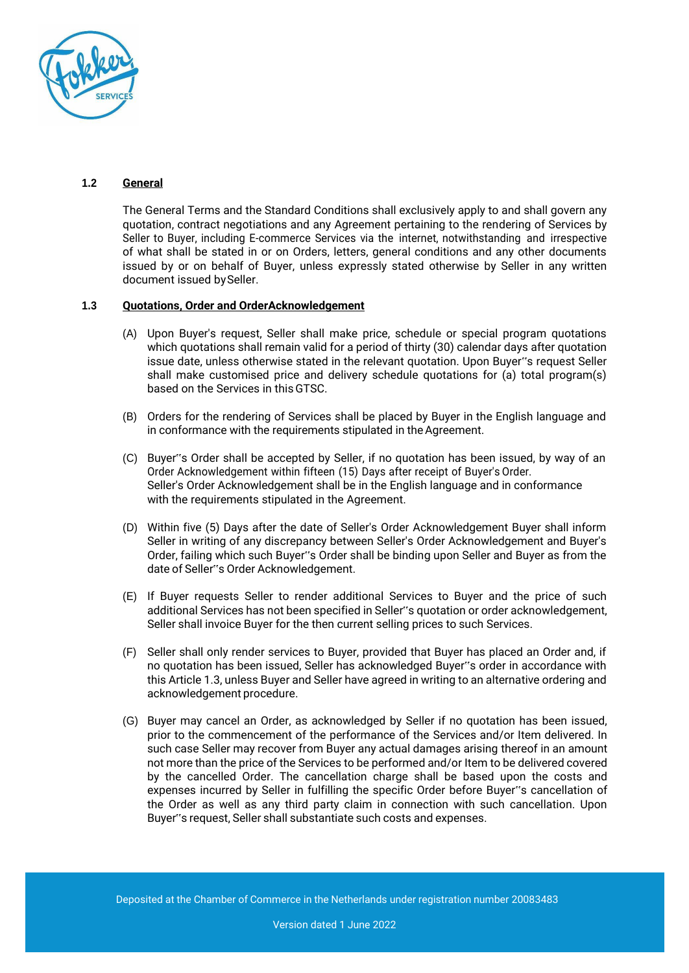

#### **1.2 General**

The General Terms and the Standard Conditions shall exclusively apply to and shall govern any quotation, contract negotiations and any Agreement pertaining to the rendering of Services by Seller to Buyer, including E-commerce Services via the internet, notwithstanding and irrespective of what shall be stated in or on Orders, letters, general conditions and any other documents issued by or on behalf of Buyer, unless expressly stated otherwise by Seller in any written document issued by Seller.

## **1.3 Quotations, Order and OrderAcknowledgement**

- (A) Upon Buyer's request, Seller shall make price, schedule or special program quotations which quotations shall remain valid for a period of thirty (30) calendar days after quotation issue date, unless otherwise stated in the relevant quotation. Upon Buyer"s request Seller shall make customised price and delivery schedule quotations for (a) total program(s) based on the Services in thisGTSC.
- (B) Orders for the rendering of Services shall be placed by Buyer in the English language and in conformance with the requirements stipulated in the Agreement.
- (C) Buyer"s Order shall be accepted by Seller, if no quotation has been issued, by way of an Order Acknowledgement within fifteen (15) Days after receipt of Buyer's Order. Seller's Order Acknowledgement shall be in the English language and in conformance with the requirements stipulated in the Agreement.
- (D) Within five (5) Days after the date of Seller's Order Acknowledgement Buyer shall inform Seller in writing of any discrepancy between Seller's Order Acknowledgement and Buyer's Order, failing which such Buyer"s Order shall be binding upon Seller and Buyer as from the date of Seller"s Order Acknowledgement.
- (E) If Buyer requests Seller to render additional Services to Buyer and the price of such additional Services has not been specified in Seller"s quotation or order acknowledgement, Seller shall invoice Buyer for the then current selling prices to such Services.
- (F) Seller shall only render services to Buyer, provided that Buyer has placed an Order and, if no quotation has been issued, Seller has acknowledged Buyer"s order in accordance with this Article 1.3, unless Buyer and Seller have agreed in writing to an alternative ordering and acknowledgement procedure.
- (G) Buyer may cancel an Order, as acknowledged by Seller if no quotation has been issued, prior to the commencement of the performance of the Services and/or Item delivered. In such case Seller may recover from Buyer any actual damages arising thereof in an amount not more than the price of the Services to be performed and/or Item to be delivered covered by the cancelled Order. The cancellation charge shall be based upon the costs and expenses incurred by Seller in fulfilling the specific Order before Buyer"s cancellation of the Order as well as any third party claim in connection with such cancellation. Upon Buyer"s request, Seller shall substantiate such costs and expenses.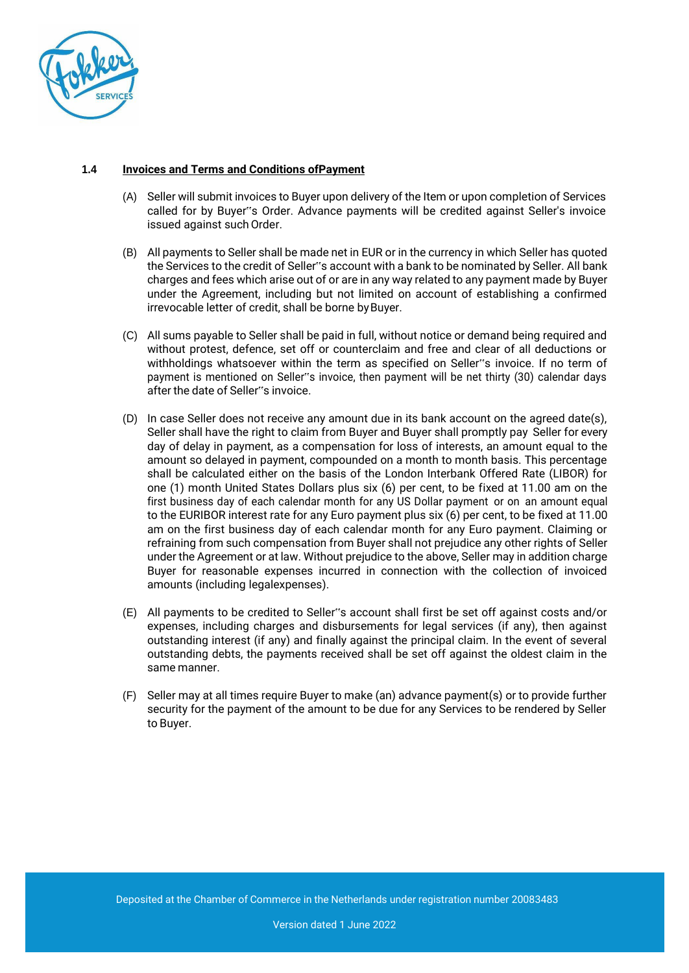

# **1.4 Invoices and Terms and Conditions ofPayment**

- (A) Seller will submit invoices to Buyer upon delivery of the Item or upon completion of Services called for by Buyer"s Order. Advance payments will be credited against Seller's invoice issued against such Order.
- (B) All payments to Seller shall be made net in EUR or in the currency in which Seller has quoted the Services to the credit of Seller"s account with a bank to be nominated by Seller. All bank charges and fees which arise out of or are in any way related to any payment made by Buyer under the Agreement, including but not limited on account of establishing a confirmed irrevocable letter of credit, shall be borne by Buyer.
- (C) All sums payable to Seller shall be paid in full, without notice or demand being required and without protest, defence, set off or counterclaim and free and clear of all deductions or withholdings whatsoever within the term as specified on Seller"s invoice. If no term of payment is mentioned on Seller"s invoice, then payment will be net thirty (30) calendar days after the date of Seller"s invoice.
- (D) In case Seller does not receive any amount due in its bank account on the agreed date(s), Seller shall have the right to claim from Buyer and Buyer shall promptly pay Seller for every day of delay in payment, as a compensation for loss of interests, an amount equal to the amount so delayed in payment, compounded on a month to month basis. This percentage shall be calculated either on the basis of the London Interbank Offered Rate (LIBOR) for one (1) month United States Dollars plus six (6) per cent, to be fixed at 11.00 am on the first business day of each calendar month for any US Dollar payment or on an amount equal to the EURIBOR interest rate for any Euro payment plus six (6) per cent, to be fixed at 11.00 am on the first business day of each calendar month for any Euro payment. Claiming or refraining from such compensation from Buyer shall not prejudice any other rights of Seller under the Agreement or at law. Without prejudice to the above, Seller may in addition charge Buyer for reasonable expenses incurred in connection with the collection of invoiced amounts (including legalexpenses).
- (E) All payments to be credited to Seller"s account shall first be set off against costs and/or expenses, including charges and disbursements for legal services (if any), then against outstanding interest (if any) and finally against the principal claim. In the event of several outstanding debts, the payments received shall be set off against the oldest claim in the same manner.
- (F) Seller may at all times require Buyer to make (an) advance payment(s) or to provide further security for the payment of the amount to be due for any Services to be rendered by Seller to Buyer.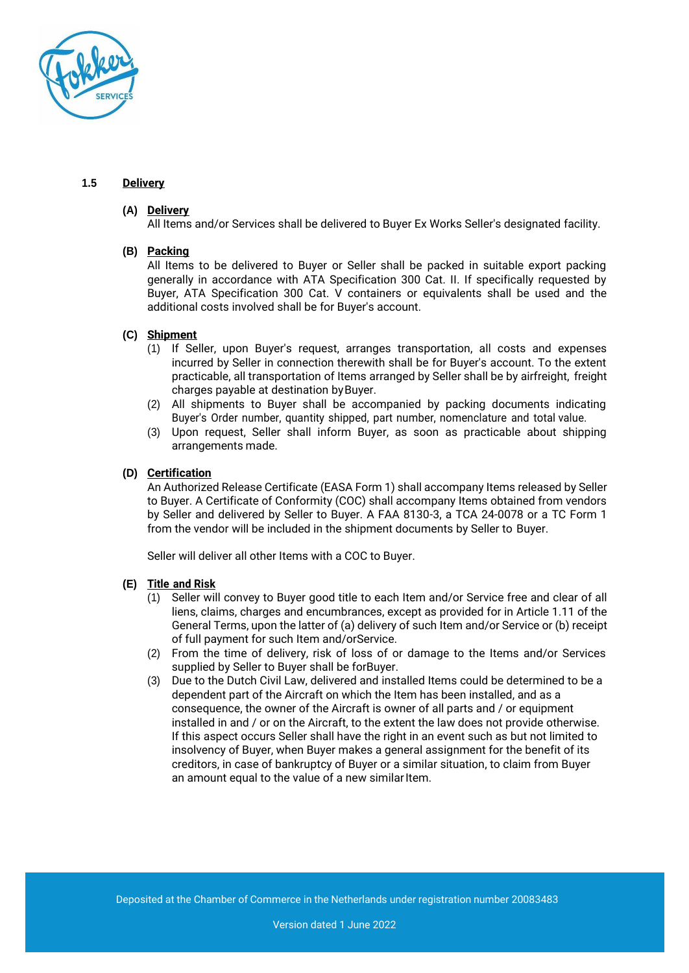

## **1.5 Delivery**

## **(A) Delivery**

All Items and/or Services shall be delivered to Buyer Ex Works Seller's designated facility.

## **(B) Packing**

All Items to be delivered to Buyer or Seller shall be packed in suitable export packing generally in accordance with ATA Specification 300 Cat. II. If specifically requested by Buyer, ATA Specification 300 Cat. V containers or equivalents shall be used and the additional costs involved shall be for Buyer's account.

## **(C) Shipment**

- (1) If Seller, upon Buyer's request, arranges transportation, all costs and expenses incurred by Seller in connection therewith shall be for Buyer's account. To the extent practicable, all transportation of Items arranged by Seller shall be by airfreight, freight charges payable at destination byBuyer.
- (2) All shipments to Buyer shall be accompanied by packing documents indicating Buyer's Order number, quantity shipped, part number, nomenclature and total value.
- (3) Upon request, Seller shall inform Buyer, as soon as practicable about shipping arrangements made.

# **(D) Certification**

An Authorized Release Certificate (EASA Form 1) shall accompany Items released by Seller to Buyer. A Certificate of Conformity (COC) shall accompany Items obtained from vendors by Seller and delivered by Seller to Buyer. A FAA 8130-3, a TCA 24-0078 or a TC Form 1 from the vendor will be included in the shipment documents by Seller to Buyer.

Seller will deliver all other Items with a COC to Buyer.

## **(E) Title and Risk**

- (1) Seller will convey to Buyer good title to each Item and/or Service free and clear of all liens, claims, charges and encumbrances, except as provided for in Article 1.11 of the General Terms, upon the latter of (a) delivery of such Item and/or Service or (b) receipt of full payment for such Item and/orService.
- (2) From the time of delivery, risk of loss of or damage to the Items and/or Services supplied by Seller to Buyer shall be forBuyer.
- (3) Due to the Dutch Civil Law, delivered and installed Items could be determined to be a dependent part of the Aircraft on which the Item has been installed, and as a consequence, the owner of the Aircraft is owner of all parts and / or equipment installed in and / or on the Aircraft, to the extent the law does not provide otherwise. If this aspect occurs Seller shall have the right in an event such as but not limited to insolvency of Buyer, when Buyer makes a general assignment for the benefit of its creditors, in case of bankruptcy of Buyer or a similar situation, to claim from Buyer an amount equal to the value of a new similar Item.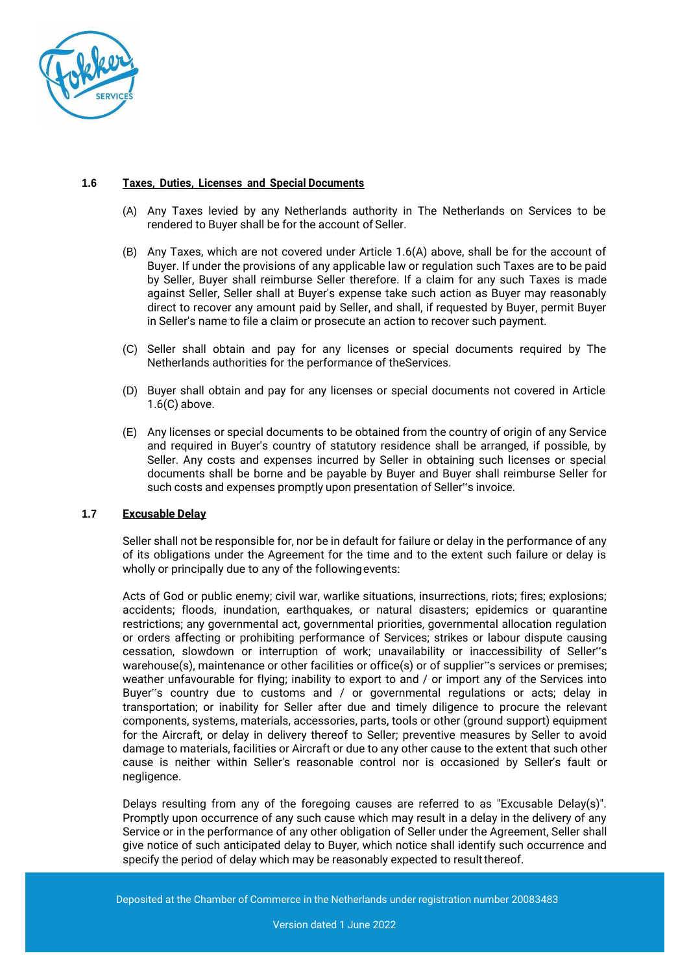

#### **1.6 Taxes, Duties, Licenses and Special Documents**

- (A) Any Taxes levied by any Netherlands authority in The Netherlands on Services to be rendered to Buyer shall be for the account of Seller.
- (B) Any Taxes, which are not covered under Article 1.6(A) above, shall be for the account of Buyer. If under the provisions of any applicable law or regulation such Taxes are to be paid by Seller, Buyer shall reimburse Seller therefore. If a claim for any such Taxes is made against Seller, Seller shall at Buyer's expense take such action as Buyer may reasonably direct to recover any amount paid by Seller, and shall, if requested by Buyer, permit Buyer in Seller's name to file a claim or prosecute an action to recover such payment.
- (C) Seller shall obtain and pay for any licenses or special documents required by The Netherlands authorities for the performance of theServices.
- (D) Buyer shall obtain and pay for any licenses or special documents not covered in Article 1.6(C) above.
- (E) Any licenses or special documents to be obtained from the country of origin of any Service and required in Buyer's country of statutory residence shall be arranged, if possible, by Seller. Any costs and expenses incurred by Seller in obtaining such licenses or special documents shall be borne and be payable by Buyer and Buyer shall reimburse Seller for such costs and expenses promptly upon presentation of Seller"s invoice.

## **1.7 Excusable Delay**

Seller shall not be responsible for, nor be in default for failure or delay in the performance of any of its obligations under the Agreement for the time and to the extent such failure or delay is wholly or principally due to any of the followingevents:

Acts of God or public enemy; civil war, warlike situations, insurrections, riots; fires; explosions; accidents; floods, inundation, earthquakes, or natural disasters; epidemics or quarantine restrictions; any governmental act, governmental priorities, governmental allocation regulation or orders affecting or prohibiting performance of Services; strikes or labour dispute causing cessation, slowdown or interruption of work; unavailability or inaccessibility of Seller"s warehouse(s), maintenance or other facilities or office(s) or of supplier"s services or premises; weather unfavourable for flying; inability to export to and / or import any of the Services into Buyer"s country due to customs and / or governmental regulations or acts; delay in transportation; or inability for Seller after due and timely diligence to procure the relevant components, systems, materials, accessories, parts, tools or other (ground support) equipment for the Aircraft, or delay in delivery thereof to Seller; preventive measures by Seller to avoid damage to materials, facilities or Aircraft or due to any other cause to the extent that such other cause is neither within Seller's reasonable control nor is occasioned by Seller's fault or negligence.

Delays resulting from any of the foregoing causes are referred to as "Excusable Delay(s)". Promptly upon occurrence of any such cause which may result in a delay in the delivery of any Service or in the performance of any other obligation of Seller under the Agreement, Seller shall give notice of such anticipated delay to Buyer, which notice shall identify such occurrence and specify the period of delay which may be reasonably expected to result thereof.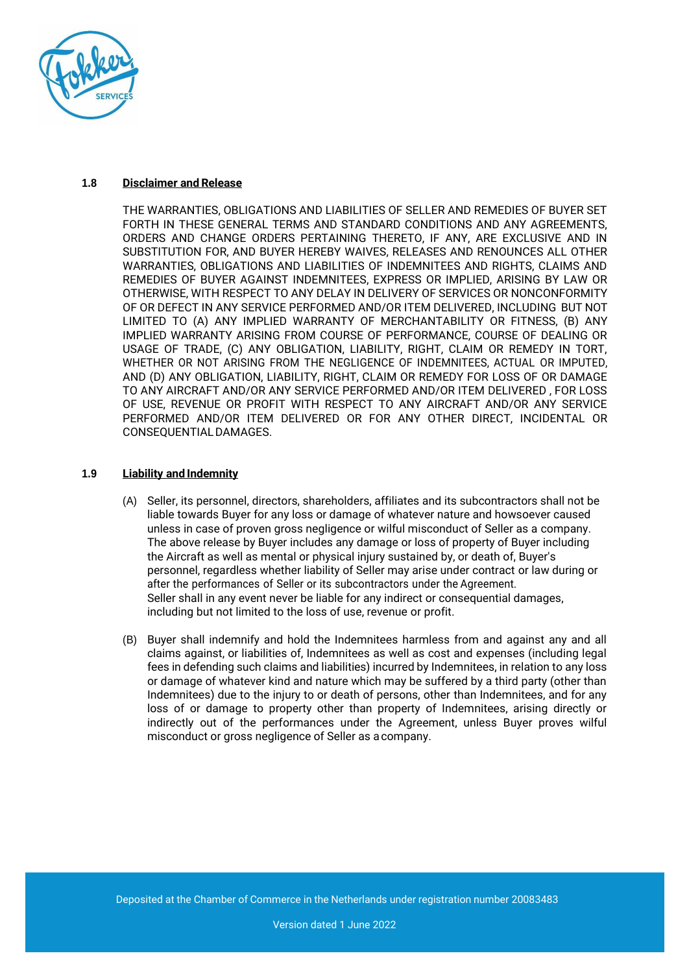

#### **1.8 Disclaimer and Release**

THE WARRANTIES, OBLIGATIONS AND LIABILITIES OF SELLER AND REMEDIES OF BUYER SET FORTH IN THESE GENERAL TERMS AND STANDARD CONDITIONS AND ANY AGREEMENTS, ORDERS AND CHANGE ORDERS PERTAINING THERETO, IF ANY, ARE EXCLUSIVE AND IN SUBSTITUTION FOR, AND BUYER HEREBY WAIVES, RELEASES AND RENOUNCES ALL OTHER WARRANTIES, OBLIGATIONS AND LIABILITIES OF INDEMNITEES AND RIGHTS, CLAIMS AND REMEDIES OF BUYER AGAINST INDEMNITEES, EXPRESS OR IMPLIED, ARISING BY LAW OR OTHERWISE, WITH RESPECT TO ANY DELAY IN DELIVERY OF SERVICES OR NONCONFORMITY OF OR DEFECT IN ANY SERVICE PERFORMED AND/OR ITEM DELIVERED, INCLUDING BUT NOT LIMITED TO (A) ANY IMPLIED WARRANTY OF MERCHANTABILITY OR FITNESS, (B) ANY IMPLIED WARRANTY ARISING FROM COURSE OF PERFORMANCE, COURSE OF DEALING OR USAGE OF TRADE, (C) ANY OBLIGATION, LIABILITY, RIGHT, CLAIM OR REMEDY IN TORT, WHETHER OR NOT ARISING FROM THE NEGLIGENCE OF INDEMNITEES, ACTUAL OR IMPUTED, AND (D) ANY OBLIGATION, LIABILITY, RIGHT, CLAIM OR REMEDY FOR LOSS OF OR DAMAGE TO ANY AIRCRAFT AND/OR ANY SERVICE PERFORMED AND/OR ITEM DELIVERED , FOR LOSS OF USE, REVENUE OR PROFIT WITH RESPECT TO ANY AIRCRAFT AND/OR ANY SERVICE PERFORMED AND/OR ITEM DELIVERED OR FOR ANY OTHER DIRECT, INCIDENTAL OR CONSEQUENTIALDAMAGES.

## **1.9 Liability and Indemnity**

- (A) Seller, its personnel, directors, shareholders, affiliates and its subcontractors shall not be liable towards Buyer for any loss or damage of whatever nature and howsoever caused unless in case of proven gross negligence or wilful misconduct of Seller as a company. The above release by Buyer includes any damage or loss of property of Buyer including the Aircraft as well as mental or physical injury sustained by, or death of, Buyer's personnel, regardless whether liability of Seller may arise under contract or law during or after the performances of Seller or its subcontractors under the Agreement. Seller shall in any event never be liable for any indirect or consequential damages, including but not limited to the loss of use, revenue or profit.
- (B) Buyer shall indemnify and hold the Indemnitees harmless from and against any and all claims against, or liabilities of, Indemnitees as well as cost and expenses (including legal fees in defending such claims and liabilities) incurred by Indemnitees, in relation to any loss or damage of whatever kind and nature which may be suffered by a third party (other than Indemnitees) due to the injury to or death of persons, other than Indemnitees, and for any loss of or damage to property other than property of Indemnitees, arising directly or indirectly out of the performances under the Agreement, unless Buyer proves wilful misconduct or gross negligence of Seller as acompany.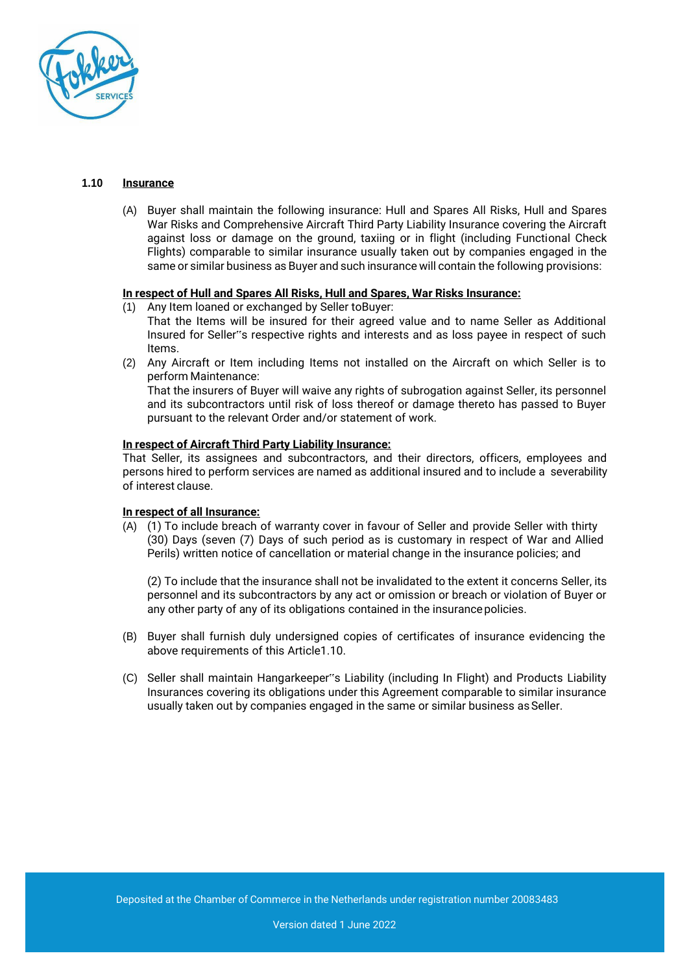

#### **1.10 Insurance**

(A) Buyer shall maintain the following insurance: Hull and Spares All Risks, Hull and Spares War Risks and Comprehensive Aircraft Third Party Liability Insurance covering the Aircraft against loss or damage on the ground, taxiing or in flight (including Functional Check Flights) comparable to similar insurance usually taken out by companies engaged in the same or similar business as Buyer and such insurance will contain the following provisions:

#### **In respect of Hull and Spares All Risks, Hull and Spares, War Risks Insurance:**

- (1) Any Item loaned or exchanged by Seller toBuyer: That the Items will be insured for their agreed value and to name Seller as Additional
	- Insured for Seller"s respective rights and interests and as loss payee in respect of such Items.
- (2) Any Aircraft or Item including Items not installed on the Aircraft on which Seller is to perform Maintenance:

That the insurers of Buyer will waive any rights of subrogation against Seller, its personnel and its subcontractors until risk of loss thereof or damage thereto has passed to Buyer pursuant to the relevant Order and/or statement of work.

#### **In respect of Aircraft Third Party Liability Insurance:**

That Seller, its assignees and subcontractors, and their directors, officers, employees and persons hired to perform services are named as additional insured and to include a severability of interest clause.

#### **In respect of all Insurance:**

(A) (1) To include breach of warranty cover in favour of Seller and provide Seller with thirty (30) Days (seven (7) Days of such period as is customary in respect of War and Allied Perils) written notice of cancellation or material change in the insurance policies; and

(2) To include that the insurance shall not be invalidated to the extent it concerns Seller, its personnel and its subcontractors by any act or omission or breach or violation of Buyer or any other party of any of its obligations contained in the insurance policies.

- (B) Buyer shall furnish duly undersigned copies of certificates of insurance evidencing the above requirements of this Article1.10.
- (C) Seller shall maintain Hangarkeeper"s Liability (including In Flight) and Products Liability Insurances covering its obligations under this Agreement comparable to similar insurance usually taken out by companies engaged in the same or similar business as Seller.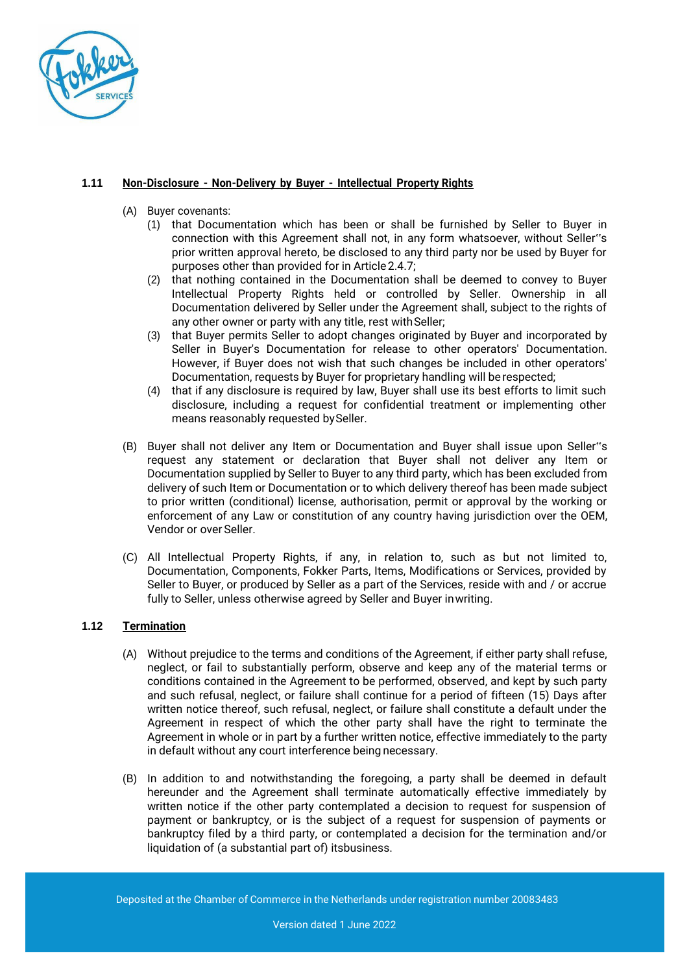

## **1.11 Non-Disclosure - Non-Delivery by Buyer - Intellectual Property Rights**

- (A) Buyer covenants:
	- (1) that Documentation which has been or shall be furnished by Seller to Buyer in connection with this Agreement shall not, in any form whatsoever, without Seller"s prior written approval hereto, be disclosed to any third party nor be used by Buyer for purposes other than provided for in Article 2.4.7;
	- (2) that nothing contained in the Documentation shall be deemed to convey to Buyer Intellectual Property Rights held or controlled by Seller. Ownership in all Documentation delivered by Seller under the Agreement shall, subject to the rights of any other owner or party with any title, rest with Seller;
	- (3) that Buyer permits Seller to adopt changes originated by Buyer and incorporated by Seller in Buyer's Documentation for release to other operators' Documentation. However, if Buyer does not wish that such changes be included in other operators' Documentation, requests by Buyer for proprietary handling will be respected;
	- (4) that if any disclosure is required by law, Buyer shall use its best efforts to limit such disclosure, including a request for confidential treatment or implementing other means reasonably requested bySeller.
- (B) Buyer shall not deliver any Item or Documentation and Buyer shall issue upon Seller"s request any statement or declaration that Buyer shall not deliver any Item or Documentation supplied by Seller to Buyer to any third party, which has been excluded from delivery of such Item or Documentation or to which delivery thereof has been made subject to prior written (conditional) license, authorisation, permit or approval by the working or enforcement of any Law or constitution of any country having jurisdiction over the OEM, Vendor or over Seller.
- (C) All Intellectual Property Rights, if any, in relation to, such as but not limited to, Documentation, Components, Fokker Parts, Items, Modifications or Services, provided by Seller to Buyer, or produced by Seller as a part of the Services, reside with and / or accrue fully to Seller, unless otherwise agreed by Seller and Buyer inwriting.

# **1.12 Termination**

- (A) Without prejudice to the terms and conditions of the Agreement, if either party shall refuse, neglect, or fail to substantially perform, observe and keep any of the material terms or conditions contained in the Agreement to be performed, observed, and kept by such party and such refusal, neglect, or failure shall continue for a period of fifteen (15) Days after written notice thereof, such refusal, neglect, or failure shall constitute a default under the Agreement in respect of which the other party shall have the right to terminate the Agreement in whole or in part by a further written notice, effective immediately to the party in default without any court interference being necessary.
- (B) In addition to and notwithstanding the foregoing, a party shall be deemed in default hereunder and the Agreement shall terminate automatically effective immediately by written notice if the other party contemplated a decision to request for suspension of payment or bankruptcy, or is the subject of a request for suspension of payments or bankruptcy filed by a third party, or contemplated a decision for the termination and/or liquidation of (a substantial part of) itsbusiness.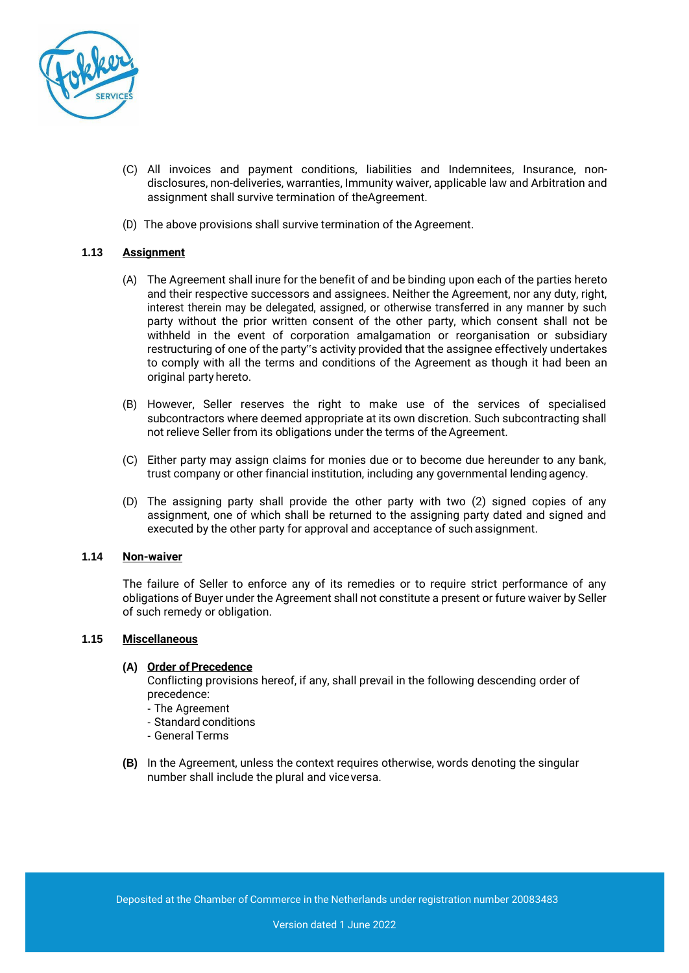

- (C) All invoices and payment conditions, liabilities and Indemnitees, Insurance, nondisclosures, non-deliveries, warranties, Immunity waiver, applicable law and Arbitration and assignment shall survive termination of theAgreement.
- (D) The above provisions shall survive termination of the Agreement.

## **1.13 Assignment**

- (A) The Agreement shall inure for the benefit of and be binding upon each of the parties hereto and their respective successors and assignees. Neither the Agreement, nor any duty, right, interest therein may be delegated, assigned, or otherwise transferred in any manner by such party without the prior written consent of the other party, which consent shall not be withheld in the event of corporation amalgamation or reorganisation or subsidiary restructuring of one of the party"s activity provided that the assignee effectively undertakes to comply with all the terms and conditions of the Agreement as though it had been an original party hereto.
- (B) However, Seller reserves the right to make use of the services of specialised subcontractors where deemed appropriate at its own discretion. Such subcontracting shall not relieve Seller from its obligations under the terms of theAgreement.
- (C) Either party may assign claims for monies due or to become due hereunder to any bank, trust company or other financial institution, including any governmental lending agency.
- (D) The assigning party shall provide the other party with two (2) signed copies of any assignment, one of which shall be returned to the assigning party dated and signed and executed by the other party for approval and acceptance of such assignment.

## **1.14 Non-waiver**

The failure of Seller to enforce any of its remedies or to require strict performance of any obligations of Buyer under the Agreement shall not constitute a present or future waiver by Seller of such remedy or obligation.

#### **1.15 Miscellaneous**

#### **(A) Order ofPrecedence**

Conflicting provisions hereof, if any, shall prevail in the following descending order of precedence:

- The Agreement
- Standard conditions
- General Terms
- **(B)** In the Agreement, unless the context requires otherwise, words denoting the singular number shall include the plural and viceversa.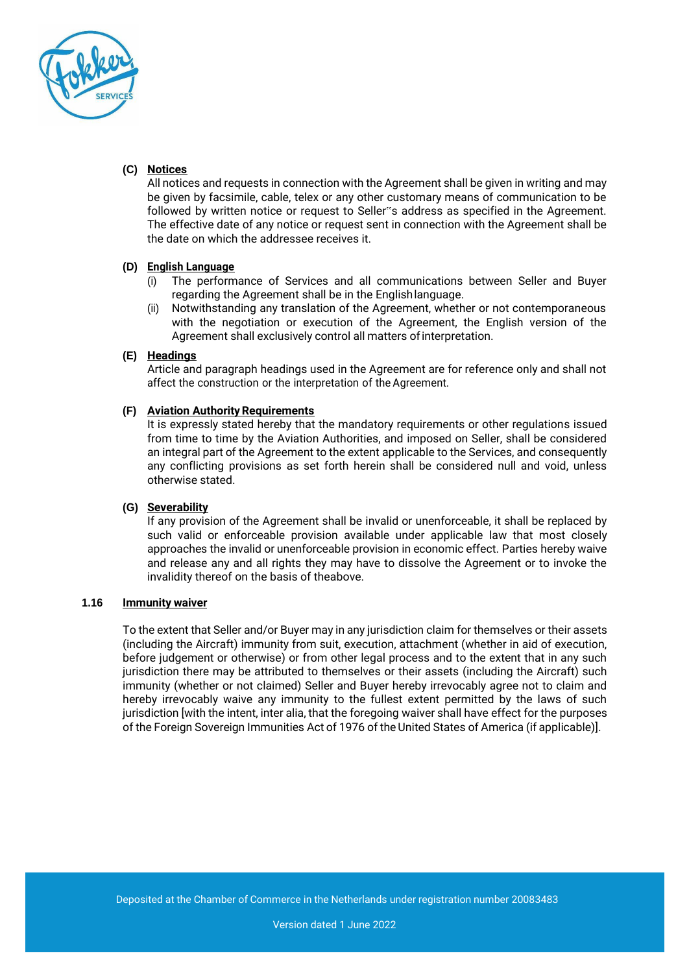

# **(C) Notices**

All notices and requests in connection with the Agreement shall be given in writing and may be given by facsimile, cable, telex or any other customary means of communication to be followed by written notice or request to Seller"s address as specified in the Agreement. The effective date of any notice or request sent in connection with the Agreement shall be the date on which the addressee receives it.

## **(D) English Language**

- (i) The performance of Services and all communications between Seller and Buyer regarding the Agreement shall be in the Englishlanguage.
- (ii) Notwithstanding any translation of the Agreement, whether or not contemporaneous with the negotiation or execution of the Agreement, the English version of the Agreement shall exclusively control all matters of interpretation.

#### **(E) Headings**

Article and paragraph headings used in the Agreement are for reference only and shall not affect the construction or the interpretation of the Agreement.

## **(F) Aviation Authority Requirements**

It is expressly stated hereby that the mandatory requirements or other regulations issued from time to time by the Aviation Authorities, and imposed on Seller, shall be considered an integral part of the Agreement to the extent applicable to the Services, and consequently any conflicting provisions as set forth herein shall be considered null and void, unless otherwise stated.

## **(G) Severability**

If any provision of the Agreement shall be invalid or unenforceable, it shall be replaced by such valid or enforceable provision available under applicable law that most closely approaches the invalid or unenforceable provision in economic effect. Parties hereby waive and release any and all rights they may have to dissolve the Agreement or to invoke the invalidity thereof on the basis of theabove.

#### **1.16 Immunity waiver**

To the extent that Seller and/or Buyer may in any jurisdiction claim for themselves or their assets (including the Aircraft) immunity from suit, execution, attachment (whether in aid of execution, before judgement or otherwise) or from other legal process and to the extent that in any such jurisdiction there may be attributed to themselves or their assets (including the Aircraft) such immunity (whether or not claimed) Seller and Buyer hereby irrevocably agree not to claim and hereby irrevocably waive any immunity to the fullest extent permitted by the laws of such jurisdiction [with the intent, inter alia, that the foregoing waiver shall have effect for the purposes of the Foreign Sovereign Immunities Act of 1976 of theUnited States of America (if applicable)].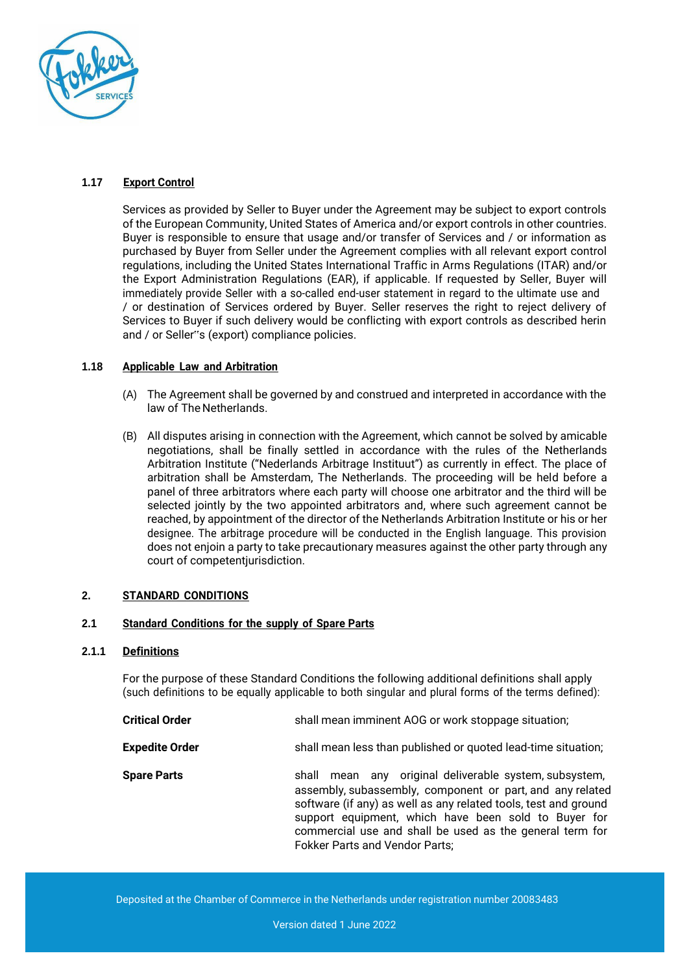

## **1.17 Export Control**

Services as provided by Seller to Buyer under the Agreement may be subject to export controls of the European Community, United States of America and/or export controls in other countries. Buyer is responsible to ensure that usage and/or transfer of Services and / or information as purchased by Buyer from Seller under the Agreement complies with all relevant export control regulations, including the United States International Traffic in Arms Regulations (ITAR) and/or the Export Administration Regulations (EAR), if applicable. If requested by Seller, Buyer will immediately provide Seller with a so-called end-user statement in regard to the ultimate use and / or destination of Services ordered by Buyer. Seller reserves the right to reject delivery of Services to Buyer if such delivery would be conflicting with export controls as described herin and / or Seller"s (export) compliance policies.

## **1.18 Applicable Law and Arbitration**

- (A) The Agreement shall be governed by and construed and interpreted in accordance with the law of The Netherlands.
- (B) All disputes arising in connection with the Agreement, which cannot be solved by amicable negotiations, shall be finally settled in accordance with the rules of the Netherlands Arbitration Institute ("Nederlands Arbitrage Instituut") as currently in effect. The place of arbitration shall be Amsterdam, The Netherlands. The proceeding will be held before a panel of three arbitrators where each party will choose one arbitrator and the third will be selected jointly by the two appointed arbitrators and, where such agreement cannot be reached, by appointment of the director of the Netherlands Arbitration Institute or his or her designee. The arbitrage procedure will be conducted in the English language. This provision does not enjoin a party to take precautionary measures against the other party through any court of competentjurisdiction.

## **2. STANDARD CONDITIONS**

## **2.1 Standard Conditions for the supply of Spare Parts**

#### **2.1.1 Definitions**

For the purpose of these Standard Conditions the following additional definitions shall apply (such definitions to be equally applicable to both singular and plural forms of the terms defined):

| <b>Critical Order</b> | shall mean imminent AOG or work stoppage situation;                                                                                                                                                                                                                                                                                                    |  |
|-----------------------|--------------------------------------------------------------------------------------------------------------------------------------------------------------------------------------------------------------------------------------------------------------------------------------------------------------------------------------------------------|--|
| <b>Expedite Order</b> | shall mean less than published or quoted lead-time situation;                                                                                                                                                                                                                                                                                          |  |
| <b>Spare Parts</b>    | mean any original deliverable system, subsystem,<br>shall<br>assembly, subassembly, component or part, and any related<br>software (if any) as well as any related tools, test and ground<br>support equipment, which have been sold to Buyer for<br>commercial use and shall be used as the general term for<br><b>Fokker Parts and Vendor Parts;</b> |  |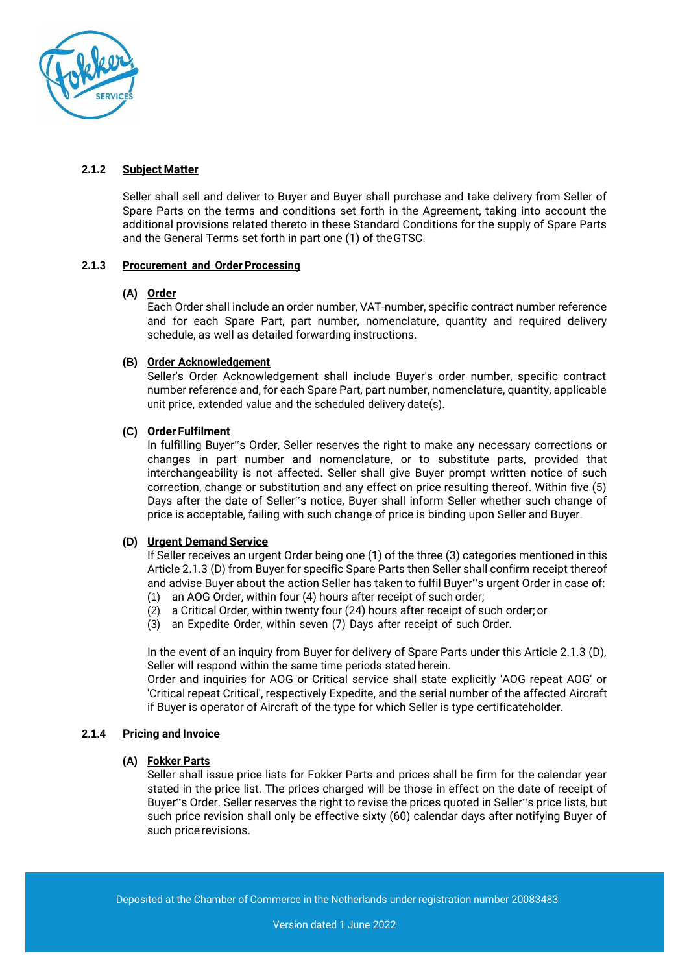

# **2.1.2 Subject Matter**

Seller shall sell and deliver to Buyer and Buyer shall purchase and take delivery from Seller of Spare Parts on the terms and conditions set forth in the Agreement, taking into account the additional provisions related thereto in these Standard Conditions for the supply of Spare Parts and the General Terms set forth in part one (1) of theGTSC.

## **2.1.3 Procurement and Order Processing**

#### **(A) Order**

Each Order shall include an order number, VAT-number, specific contract number reference and for each Spare Part, part number, nomenclature, quantity and required delivery schedule, as well as detailed forwarding instructions.

## **(B) Order Acknowledgement**

Seller's Order Acknowledgement shall include Buyer's order number, specific contract number reference and, for each Spare Part, part number, nomenclature, quantity, applicable unit price, extended value and the scheduled delivery date(s).

## **(C) Order Fulfilment**

In fulfilling Buyer"s Order, Seller reserves the right to make any necessary corrections or changes in part number and nomenclature, or to substitute parts, provided that interchangeability is not affected. Seller shall give Buyer prompt written notice of such correction, change or substitution and any effect on price resulting thereof. Within five (5) Days after the date of Seller"s notice, Buyer shall inform Seller whether such change of price is acceptable, failing with such change of price is binding upon Seller and Buyer.

## **(D) Urgent Demand Service**

If Seller receives an urgent Order being one (1) of the three (3) categories mentioned in this Article 2.1.3 (D) from Buyer for specific Spare Parts then Seller shall confirm receipt thereof and advise Buyer about the action Seller has taken to fulfil Buyer"s urgent Order in case of:

- (1) an AOG Order, within four (4) hours after receipt of such order;
- (2) a Critical Order, within twenty four (24) hours after receipt of such order; or
- (3) an Expedite Order, within seven (7) Days after receipt of such Order.

In the event of an inquiry from Buyer for delivery of Spare Parts under this Article 2.1.3 (D), Seller will respond within the same time periods stated herein.

Order and inquiries for AOG or Critical service shall state explicitly 'AOG repeat AOG' or 'Critical repeat Critical', respectively Expedite, and the serial number of the affected Aircraft if Buyer is operator of Aircraft of the type for which Seller is type certificateholder.

#### **2.1.4 Pricing and Invoice**

#### **(A) Fokker Parts**

Seller shall issue price lists for Fokker Parts and prices shall be firm for the calendar year stated in the price list. The prices charged will be those in effect on the date of receipt of Buyer"s Order. Seller reserves the right to revise the prices quoted in Seller"s price lists, but such price revision shall only be effective sixty (60) calendar days after notifying Buyer of such price revisions.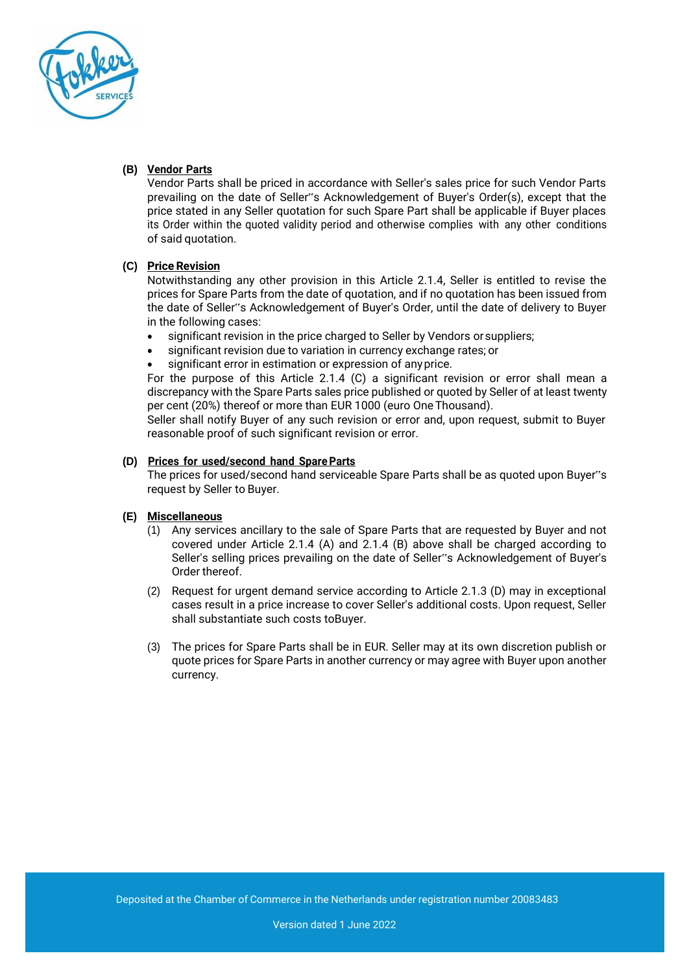

# **(B) Vendor Parts**

Vendor Parts shall be priced in accordance with Seller's sales price for such Vendor Parts prevailing on the date of Seller"s Acknowledgement of Buyer's Order(s), except that the price stated in any Seller quotation for such Spare Part shall be applicable if Buyer places its Order within the quoted validity period and otherwise complies with any other conditions of said quotation.

# **(C) Price Revision**

Notwithstanding any other provision in this Article 2.1.4, Seller is entitled to revise the prices for Spare Parts from the date of quotation, and if no quotation has been issued from the date of Seller"s Acknowledgement of Buyer's Order, until the date of delivery to Buyer in the following cases:

- significant revision in the price charged to Seller by Vendors or suppliers;
- significant revision due to variation in currency exchange rates; or
- significant error in estimation or expression of any price.

For the purpose of this Article 2.1.4 (C) a significant revision or error shall mean a discrepancy with the Spare Parts sales price published or quoted by Seller of at least twenty per cent (20%) thereof or more than EUR 1000 (euro OneThousand).

Seller shall notify Buyer of any such revision or error and, upon request, submit to Buyer reasonable proof of such significant revision or error.

# **(D) Prices for used/second hand SpareParts**

The prices for used/second hand serviceable Spare Parts shall be as quoted upon Buyer"s request by Seller to Buyer.

## **(E) Miscellaneous**

- (1) Any services ancillary to the sale of Spare Parts that are requested by Buyer and not covered under Article 2.1.4 (A) and 2.1.4 (B) above shall be charged according to Seller's selling prices prevailing on the date of Seller"s Acknowledgement of Buyer's Order thereof.
- (2) Request for urgent demand service according to Article 2.1.3 (D) may in exceptional cases result in a price increase to cover Seller's additional costs. Upon request, Seller shall substantiate such costs toBuyer.
- (3) The prices for Spare Parts shall be in EUR. Seller may at its own discretion publish or quote prices for Spare Parts in another currency or may agree with Buyer upon another currency.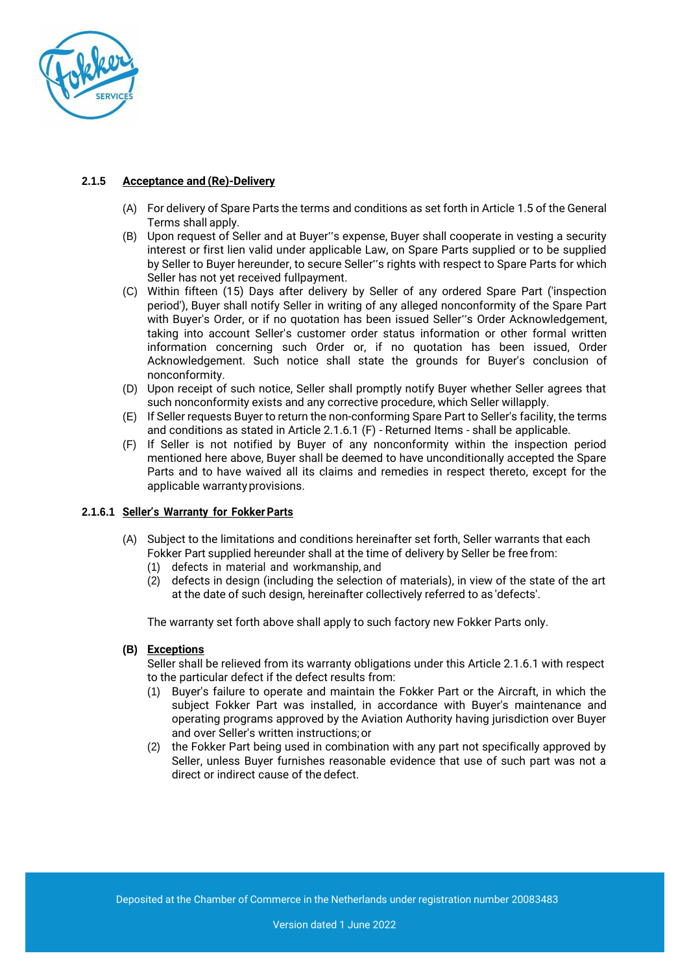

# **2.1.5 Acceptance and (Re)-Delivery**

- (A) For delivery of Spare Parts the terms and conditions as set forth in Article 1.5 of the General Terms shall apply.
- (B) Upon request of Seller and at Buyer"s expense, Buyer shall cooperate in vesting a security interest or first lien valid under applicable Law, on Spare Parts supplied or to be supplied by Seller to Buyer hereunder, to secure Seller"s rights with respect to Spare Parts for which Seller has not yet received fullpayment.
- (C) Within fifteen (15) Days after delivery by Seller of any ordered Spare Part ('inspection period'), Buyer shall notify Seller in writing of any alleged nonconformity of the Spare Part with Buyer's Order, or if no quotation has been issued Seller"s Order Acknowledgement, taking into account Seller's customer order status information or other formal written information concerning such Order or, if no quotation has been issued, Order Acknowledgement. Such notice shall state the grounds for Buyer's conclusion of nonconformity.
- (D) Upon receipt of such notice, Seller shall promptly notify Buyer whether Seller agrees that such nonconformity exists and any corrective procedure, which Seller willapply.
- (E) If Seller requests Buyer to return the non-conforming Spare Part to Seller's facility, the terms and conditions as stated in Article 2.1.6.1 (F) - Returned Items - shall be applicable.
- (F) If Seller is not notified by Buyer of any nonconformity within the inspection period mentioned here above, Buyer shall be deemed to have unconditionally accepted the Spare Parts and to have waived all its claims and remedies in respect thereto, except for the applicable warrantyprovisions.

## **2.1.6.1 Seller's Warranty for FokkerParts**

- (A) Subject to the limitations and conditions hereinafter set forth, Seller warrants that each Fokker Part supplied hereunder shall at the time of delivery by Seller be free from:
	- (1) defects in material and workmanship, and
	- (2) defects in design (including the selection of materials), in view of the state of the art at the date of such design, hereinafter collectively referred to as 'defects'.

The warranty set forth above shall apply to such factory new Fokker Parts only.

**(B) Exceptions**

Seller shall be relieved from its warranty obligations under this Article 2.1.6.1 with respect to the particular defect if the defect results from:

- (1) Buyer's failure to operate and maintain the Fokker Part or the Aircraft, in which the subject Fokker Part was installed, in accordance with Buyer's maintenance and operating programs approved by the Aviation Authority having jurisdiction over Buyer and over Seller's written instructions;or
- (2) the Fokker Part being used in combination with any part not specifically approved by Seller, unless Buyer furnishes reasonable evidence that use of such part was not a direct or indirect cause of the defect.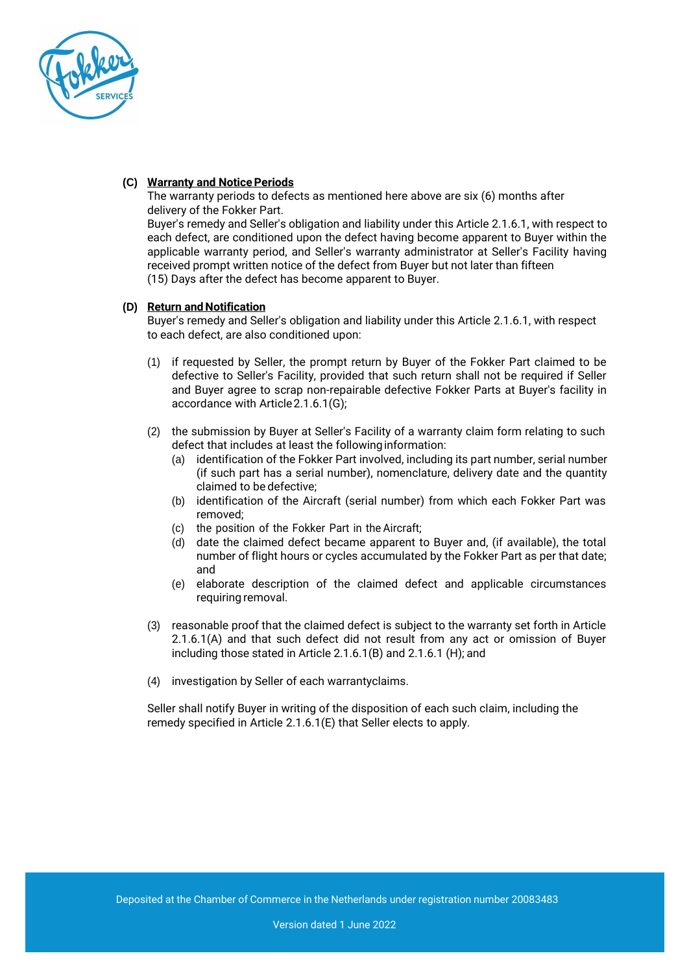

## **(C) Warranty and NoticePeriods**

The warranty periods to defects as mentioned here above are six (6) months after delivery of the Fokker Part.

Buyer's remedy and Seller's obligation and liability under this Article 2.1.6.1, with respect to each defect, are conditioned upon the defect having become apparent to Buyer within the applicable warranty period, and Seller's warranty administrator at Seller's Facility having received prompt written notice of the defect from Buyer but not later than fifteen (15) Days after the defect has become apparent to Buyer.

## **(D) Return and Notification**

Buyer's remedy and Seller's obligation and liability under this Article 2.1.6.1, with respect to each defect, are also conditioned upon:

- (1) if requested by Seller, the prompt return by Buyer of the Fokker Part claimed to be defective to Seller's Facility, provided that such return shall not be required if Seller and Buyer agree to scrap non-repairable defective Fokker Parts at Buyer's facility in accordance with Article2.1.6.1(G);
- (2) the submission by Buyer at Seller's Facility of a warranty claim form relating to such defect that includes at least the followinginformation:
	- (a) identification of the Fokker Part involved, including its part number, serial number (if such part has a serial number), nomenclature, delivery date and the quantity claimed to be defective;
	- (b) identification of the Aircraft (serial number) from which each Fokker Part was removed;
	- (c) the position of the Fokker Part in the Aircraft;
	- (d) date the claimed defect became apparent to Buyer and, (if available), the total number of flight hours or cycles accumulated by the Fokker Part as per that date; and
	- (e) elaborate description of the claimed defect and applicable circumstances requiring removal.
- (3) reasonable proof that the claimed defect is subject to the warranty set forth in Article 2.1.6.1(A) and that such defect did not result from any act or omission of Buyer including those stated in Article 2.1.6.1(B) and 2.1.6.1 (H); and
- (4) investigation by Seller of each warrantyclaims.

Seller shall notify Buyer in writing of the disposition of each such claim, including the remedy specified in Article 2.1.6.1(E) that Seller elects to apply.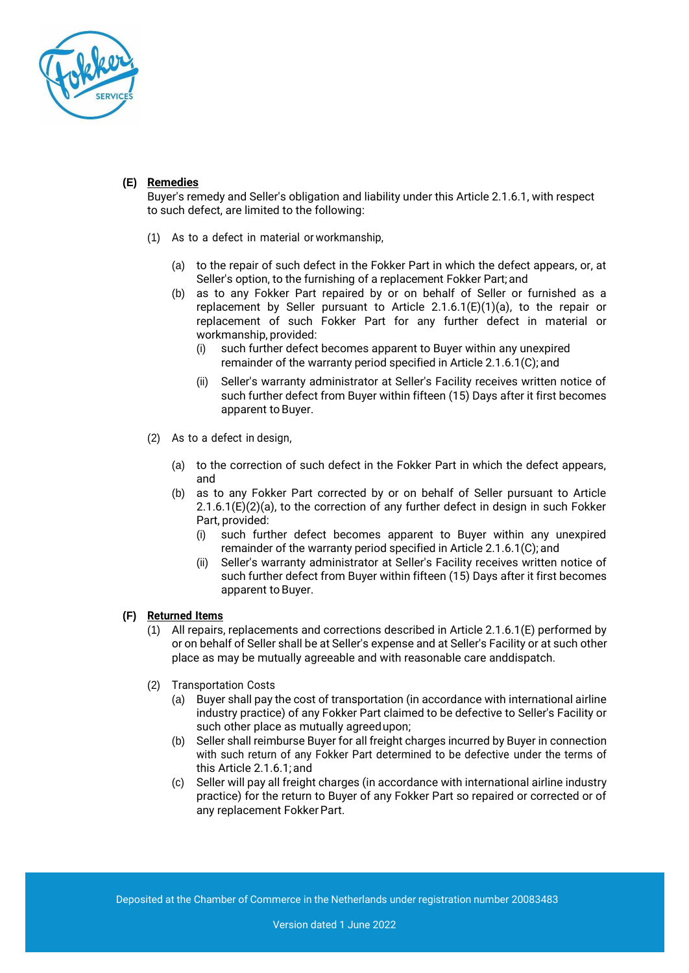

# **(E) Remedies**

Buyer's remedy and Seller's obligation and liability under this Article 2.1.6.1, with respect to such defect, are limited to the following:

- (1) As to a defect in material or workmanship,
	- (a) to the repair of such defect in the Fokker Part in which the defect appears, or, at Seller's option, to the furnishing of a replacement Fokker Part; and
	- (b) as to any Fokker Part repaired by or on behalf of Seller or furnished as a replacement by Seller pursuant to Article 2.1.6.1(E)(1)(a), to the repair or replacement of such Fokker Part for any further defect in material or workmanship, provided:
		- (i) such further defect becomes apparent to Buyer within any unexpired remainder of the warranty period specified in Article 2.1.6.1(C); and
		- (ii) Seller's warranty administrator at Seller's Facility receives written notice of such further defect from Buyer within fifteen (15) Days after it first becomes apparent to Buyer.
- (2) As to a defect in design,
	- (a) to the correction of such defect in the Fokker Part in which the defect appears, and
	- (b) as to any Fokker Part corrected by or on behalf of Seller pursuant to Article  $2.1.6.1(E)(2)(a)$ , to the correction of any further defect in design in such Fokker Part, provided:
		- (i) such further defect becomes apparent to Buyer within any unexpired remainder of the warranty period specified in Article 2.1.6.1(C); and
		- (ii) Seller's warranty administrator at Seller's Facility receives written notice of such further defect from Buyer within fifteen (15) Days after it first becomes apparent to Buyer.

#### **(F) Returned Items**

- (1) All repairs, replacements and corrections described in Article 2.1.6.1(E) performed by or on behalf of Seller shall be at Seller's expense and at Seller's Facility or at such other place as may be mutually agreeable and with reasonable care anddispatch.
- (2) Transportation Costs
	- (a) Buyer shall pay the cost of transportation (in accordance with international airline industry practice) of any Fokker Part claimed to be defective to Seller's Facility or such other place as mutually agreedupon;
	- (b) Seller shall reimburse Buyer for all freight charges incurred by Buyer in connection with such return of any Fokker Part determined to be defective under the terms of this Article 2.1.6.1; and
	- (c) Seller will pay all freight charges (in accordance with international airline industry practice) for the return to Buyer of any Fokker Part so repaired or corrected or of any replacement FokkerPart.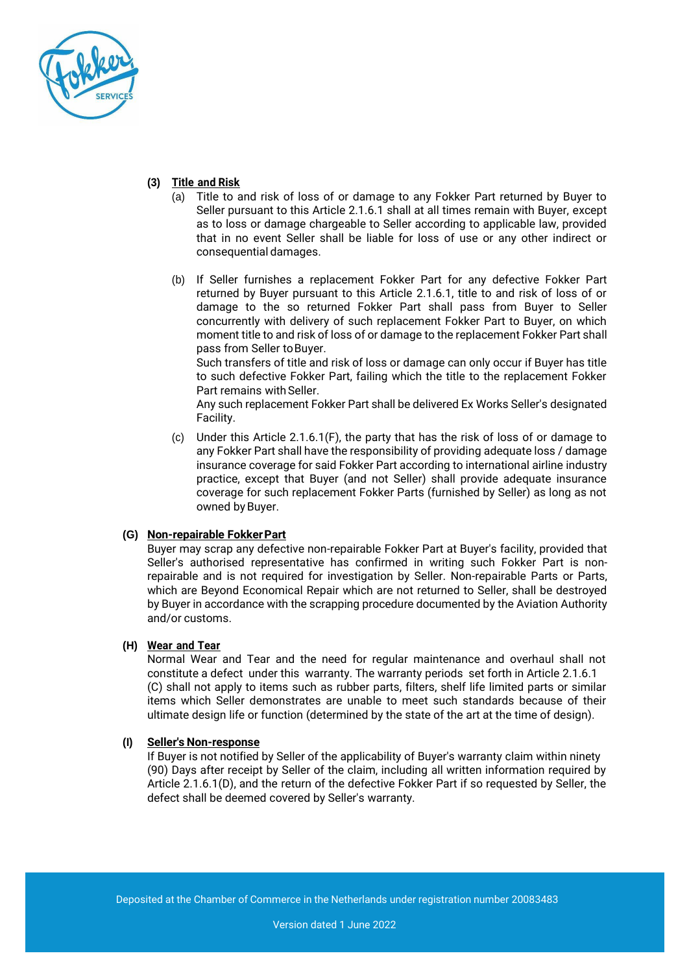

# **(3) Title and Risk**

- (a) Title to and risk of loss of or damage to any Fokker Part returned by Buyer to Seller pursuant to this Article 2.1.6.1 shall at all times remain with Buyer, except as to loss or damage chargeable to Seller according to applicable law, provided that in no event Seller shall be liable for loss of use or any other indirect or consequential damages.
- (b) If Seller furnishes a replacement Fokker Part for any defective Fokker Part returned by Buyer pursuant to this Article 2.1.6.1, title to and risk of loss of or damage to the so returned Fokker Part shall pass from Buyer to Seller concurrently with delivery of such replacement Fokker Part to Buyer, on which moment title to and risk of loss of or damage to the replacement Fokker Part shall pass from Seller to Buyer.

Such transfers of title and risk of loss or damage can only occur if Buyer has title to such defective Fokker Part, failing which the title to the replacement Fokker Part remains with Seller.

Any such replacement Fokker Part shall be delivered Ex Works Seller's designated Facility.

(c) Under this Article 2.1.6.1(F), the party that has the risk of loss of or damage to any Fokker Part shall have the responsibility of providing adequate loss / damage insurance coverage for said Fokker Part according to international airline industry practice, except that Buyer (and not Seller) shall provide adequate insurance coverage for such replacement Fokker Parts (furnished by Seller) as long as not owned by Buyer.

## **(G) Non-repairable FokkerPart**

Buyer may scrap any defective non-repairable Fokker Part at Buyer's facility, provided that Seller's authorised representative has confirmed in writing such Fokker Part is nonrepairable and is not required for investigation by Seller. Non-repairable Parts or Parts, which are Beyond Economical Repair which are not returned to Seller, shall be destroyed by Buyer in accordance with the scrapping procedure documented by the Aviation Authority and/or customs.

## **(H) Wear and Tear**

Normal Wear and Tear and the need for regular maintenance and overhaul shall not constitute a defect under this warranty. The warranty periods set forth in Article 2.1.6.1 (C) shall not apply to items such as rubber parts, filters, shelf life limited parts or similar items which Seller demonstrates are unable to meet such standards because of their ultimate design life or function (determined by the state of the art at the time of design).

## **(I) Seller's Non-response**

If Buyer is not notified by Seller of the applicability of Buyer's warranty claim within ninety (90) Days after receipt by Seller of the claim, including all written information required by Article 2.1.6.1(D), and the return of the defective Fokker Part if so requested by Seller, the defect shall be deemed covered by Seller's warranty.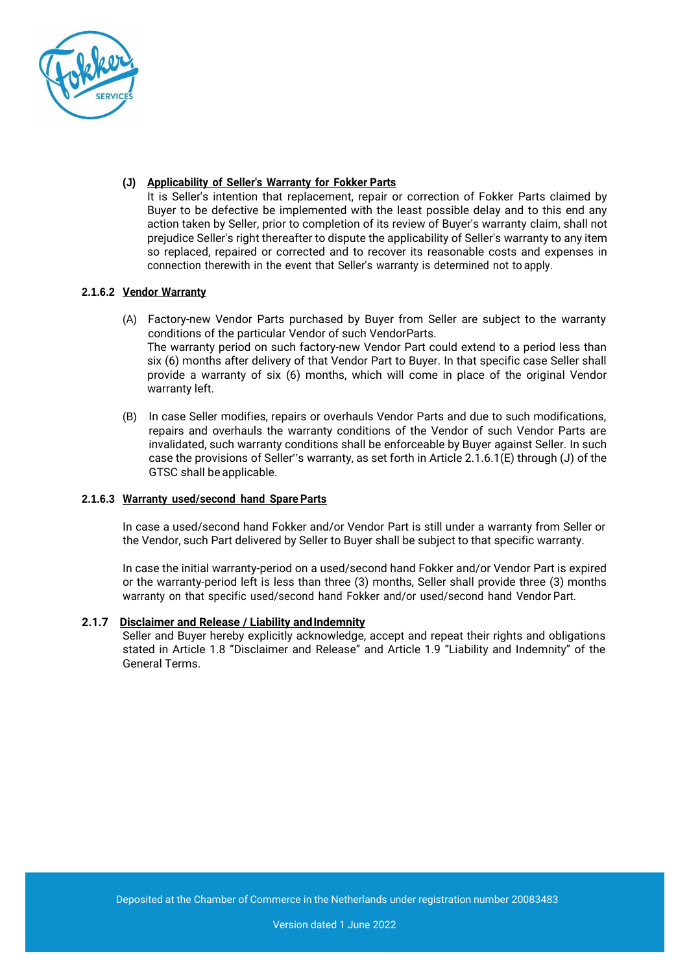

# **(J) Applicability of Seller's Warranty for Fokker Parts**

It is Seller's intention that replacement, repair or correction of Fokker Parts claimed by Buyer to be defective be implemented with the least possible delay and to this end any action taken by Seller, prior to completion of its review of Buyer's warranty claim, shall not prejudice Seller's right thereafter to dispute the applicability of Seller's warranty to any item so replaced, repaired or corrected and to recover its reasonable costs and expenses in connection therewith in the event that Seller's warranty is determined not to apply.

## **2.1.6.2 Vendor Warranty**

- (A) Factory-new Vendor Parts purchased by Buyer from Seller are subject to the warranty conditions of the particular Vendor of such VendorParts. The warranty period on such factory-new Vendor Part could extend to a period less than six (6) months after delivery of that Vendor Part to Buyer. In that specific case Seller shall provide a warranty of six (6) months, which will come in place of the original Vendor warranty left.
- (B) In case Seller modifies, repairs or overhauls Vendor Parts and due to such modifications, repairs and overhauls the warranty conditions of the Vendor of such Vendor Parts are invalidated, such warranty conditions shall be enforceable by Buyer against Seller. In such case the provisions of Seller"s warranty, as set forth in Article 2.1.6.1(E) through (J) of the GTSC shall be applicable.

## **2.1.6.3 Warranty used/second hand Spare Parts**

In case a used/second hand Fokker and/or Vendor Part is still under a warranty from Seller or the Vendor, such Part delivered by Seller to Buyer shall be subject to that specific warranty.

In case the initial warranty-period on a used/second hand Fokker and/or Vendor Part is expired or the warranty-period left is less than three (3) months, Seller shall provide three (3) months warranty on that specific used/second hand Fokker and/or used/second hand Vendor Part.

## **2.1.7 Disclaimer and Release / Liability andIndemnity**

Seller and Buyer hereby explicitly acknowledge, accept and repeat their rights and obligations stated in Article 1.8 "Disclaimer and Release" and Article 1.9 "Liability and Indemnity" of the General Terms.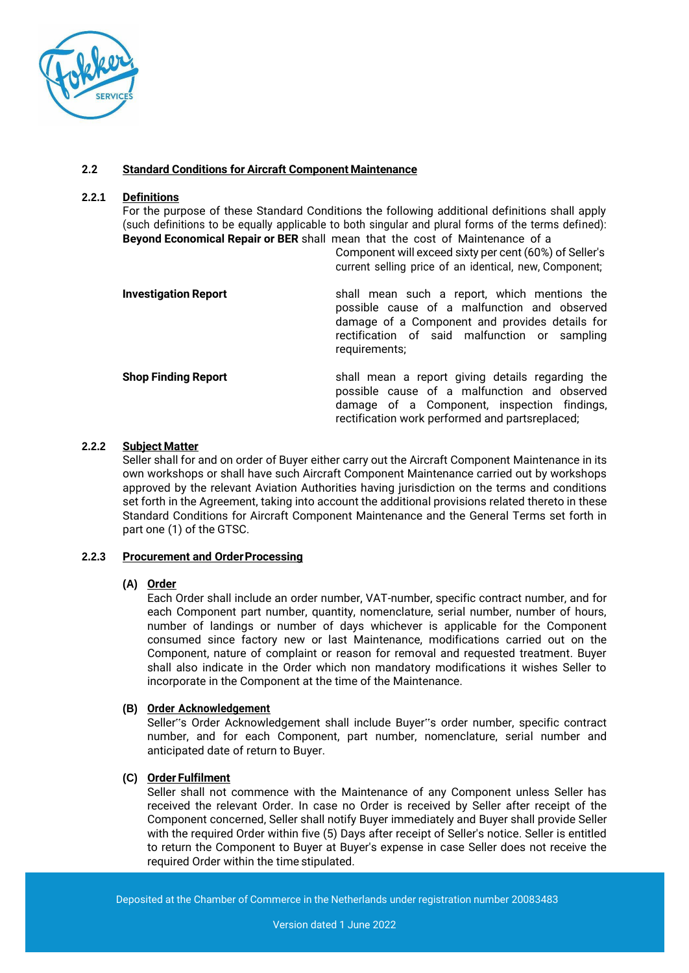

# **2.2 Standard Conditions for Aircraft Component Maintenance**

#### **2.2.1 Definitions**

For the purpose of these Standard Conditions the following additional definitions shall apply (such definitions to be equally applicable to both singular and plural forms of the terms defined): **Beyond Economical Repair or BER** shall mean that the cost of Maintenance of a

> Component will exceed sixty per cent (60%) of Seller's current selling price of an identical, new, Component;

rectification work performed and partsreplaced;

| <b>Investigation Report</b> | shall mean such a report, which mentions the<br>possible cause of a malfunction and observed<br>damage of a Component and provides details for<br>rectification of said malfunction or sampling<br>requirements; |
|-----------------------------|------------------------------------------------------------------------------------------------------------------------------------------------------------------------------------------------------------------|
| <b>Shop Finding Report</b>  | shall mean a report giving details regarding the<br>possible cause of a malfunction and observed<br>damage of a Component, inspection findings,                                                                  |

## **2.2.2 Subject Matter**

Seller shall for and on order of Buyer either carry out the Aircraft Component Maintenance in its own workshops or shall have such Aircraft Component Maintenance carried out by workshops approved by the relevant Aviation Authorities having jurisdiction on the terms and conditions set forth in the Agreement, taking into account the additional provisions related thereto in these Standard Conditions for Aircraft Component Maintenance and the General Terms set forth in part one (1) of the GTSC.

## **2.2.3 Procurement and OrderProcessing**

## **(A) Order**

Each Order shall include an order number, VAT-number, specific contract number, and for each Component part number, quantity, nomenclature, serial number, number of hours, number of landings or number of days whichever is applicable for the Component consumed since factory new or last Maintenance, modifications carried out on the Component, nature of complaint or reason for removal and requested treatment. Buyer shall also indicate in the Order which non mandatory modifications it wishes Seller to incorporate in the Component at the time of the Maintenance.

## **(B) Order Acknowledgement**

Seller"s Order Acknowledgement shall include Buyer"s order number, specific contract number, and for each Component, part number, nomenclature, serial number and anticipated date of return to Buyer.

## **(C) Order Fulfilment**

Seller shall not commence with the Maintenance of any Component unless Seller has received the relevant Order. In case no Order is received by Seller after receipt of the Component concerned, Seller shall notify Buyer immediately and Buyer shall provide Seller with the required Order within five (5) Days after receipt of Seller's notice. Seller is entitled to return the Component to Buyer at Buyer's expense in case Seller does not receive the required Order within the time stipulated.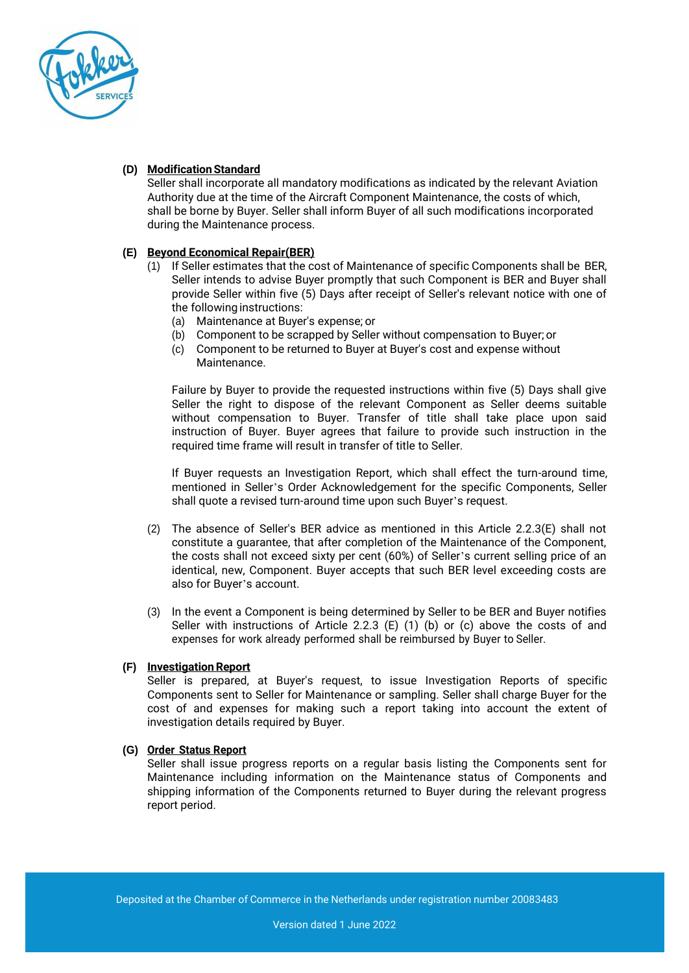

## **(D) ModificationStandard**

Seller shall incorporate all mandatory modifications as indicated by the relevant Aviation Authority due at the time of the Aircraft Component Maintenance, the costs of which, shall be borne by Buyer. Seller shall inform Buyer of all such modifications incorporated during the Maintenance process.

# **(E) Beyond Economical Repair(BER)**

- (1) If Seller estimates that the cost of Maintenance of specific Components shall be BER, Seller intends to advise Buyer promptly that such Component is BER and Buyer shall provide Seller within five (5) Days after receipt of Seller's relevant notice with one of the following instructions:
	- (a) Maintenance at Buyer's expense; or
	- (b) Component to be scrapped by Seller without compensation to Buyer; or
	- (c) Component to be returned to Buyer at Buyer's cost and expense without Maintenance.

Failure by Buyer to provide the requested instructions within five (5) Days shall give Seller the right to dispose of the relevant Component as Seller deems suitable without compensation to Buyer. Transfer of title shall take place upon said instruction of Buyer. Buyer agrees that failure to provide such instruction in the required time frame will result in transfer of title to Seller.

If Buyer requests an Investigation Report, which shall effect the turn-around time, mentioned in Seller's Order Acknowledgement for the specific Components, Seller shall quote a revised turn-around time upon such Buyer's request.

- (2) The absence of Seller's BER advice as mentioned in this Article 2.2.3(E) shall not constitute a guarantee, that after completion of the Maintenance of the Component, the costs shall not exceed sixty per cent (60%) of Seller's current selling price of an identical, new, Component. Buyer accepts that such BER level exceeding costs are also for Buyer's account.
- (3) In the event a Component is being determined by Seller to be BER and Buyer notifies Seller with instructions of Article 2.2.3  $(E)$  (1) (b) or (c) above the costs of and expenses for work already performed shall be reimbursed by Buyer to Seller.

## **(F) InvestigationReport**

Seller is prepared, at Buyer's request, to issue Investigation Reports of specific Components sent to Seller for Maintenance or sampling. Seller shall charge Buyer for the cost of and expenses for making such a report taking into account the extent of investigation details required by Buyer.

## **(G) Order Status Report**

Seller shall issue progress reports on a regular basis listing the Components sent for Maintenance including information on the Maintenance status of Components and shipping information of the Components returned to Buyer during the relevant progress report period.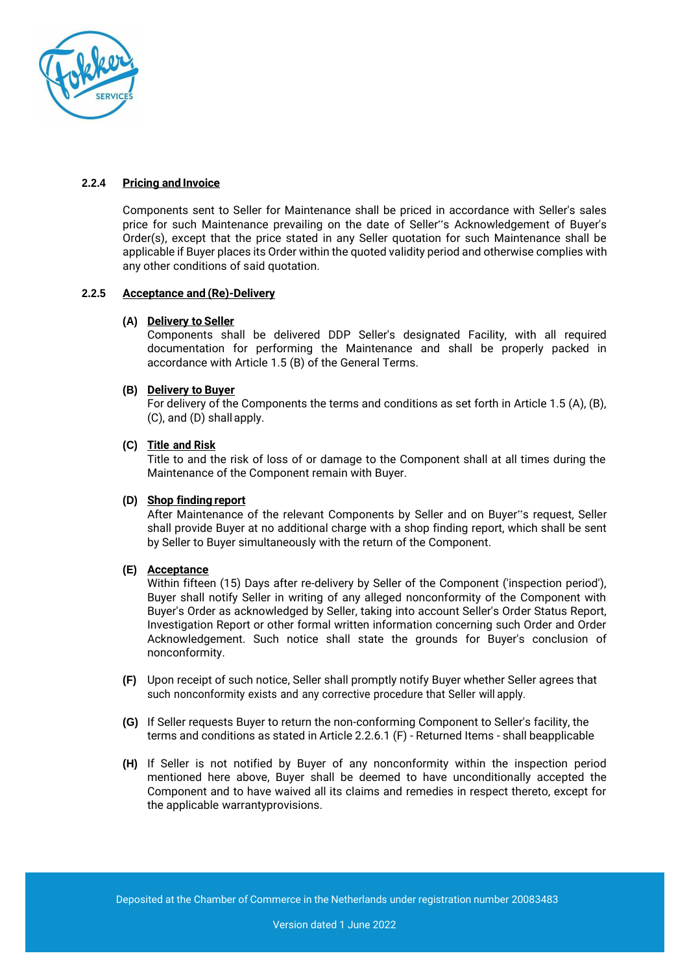

## **2.2.4 Pricing and Invoice**

Components sent to Seller for Maintenance shall be priced in accordance with Seller's sales price for such Maintenance prevailing on the date of Seller"s Acknowledgement of Buyer's Order(s), except that the price stated in any Seller quotation for such Maintenance shall be applicable if Buyer places its Order within the quoted validity period and otherwise complies with any other conditions of said quotation.

# **2.2.5 Acceptance and (Re)-Delivery**

## **(A) Delivery to Seller**

Components shall be delivered DDP Seller's designated Facility, with all required documentation for performing the Maintenance and shall be properly packed in accordance with Article 1.5 (B) of the General Terms.

# **(B) Delivery to Buyer**

For delivery of the Components the terms and conditions as set forth in Article 1.5 (A), (B), (C), and (D) shall apply.

# **(C) Title and Risk**

Title to and the risk of loss of or damage to the Component shall at all times during the Maintenance of the Component remain with Buyer.

## **(D) Shop finding report**

After Maintenance of the relevant Components by Seller and on Buyer"s request, Seller shall provide Buyer at no additional charge with a shop finding report, which shall be sent by Seller to Buyer simultaneously with the return of the Component.

## **(E) Acceptance**

Within fifteen (15) Days after re-delivery by Seller of the Component ('inspection period'), Buyer shall notify Seller in writing of any alleged nonconformity of the Component with Buyer's Order as acknowledged by Seller, taking into account Seller's Order Status Report, Investigation Report or other formal written information concerning such Order and Order Acknowledgement. Such notice shall state the grounds for Buyer's conclusion of nonconformity.

- **(F)** Upon receipt of such notice, Seller shall promptly notify Buyer whether Seller agrees that such nonconformity exists and any corrective procedure that Seller will apply.
- **(G)** If Seller requests Buyer to return the non-conforming Component to Seller's facility, the terms and conditions as stated in Article 2.2.6.1 (F) - Returned Items - shall beapplicable
- **(H)** If Seller is not notified by Buyer of any nonconformity within the inspection period mentioned here above, Buyer shall be deemed to have unconditionally accepted the Component and to have waived all its claims and remedies in respect thereto, except for the applicable warrantyprovisions.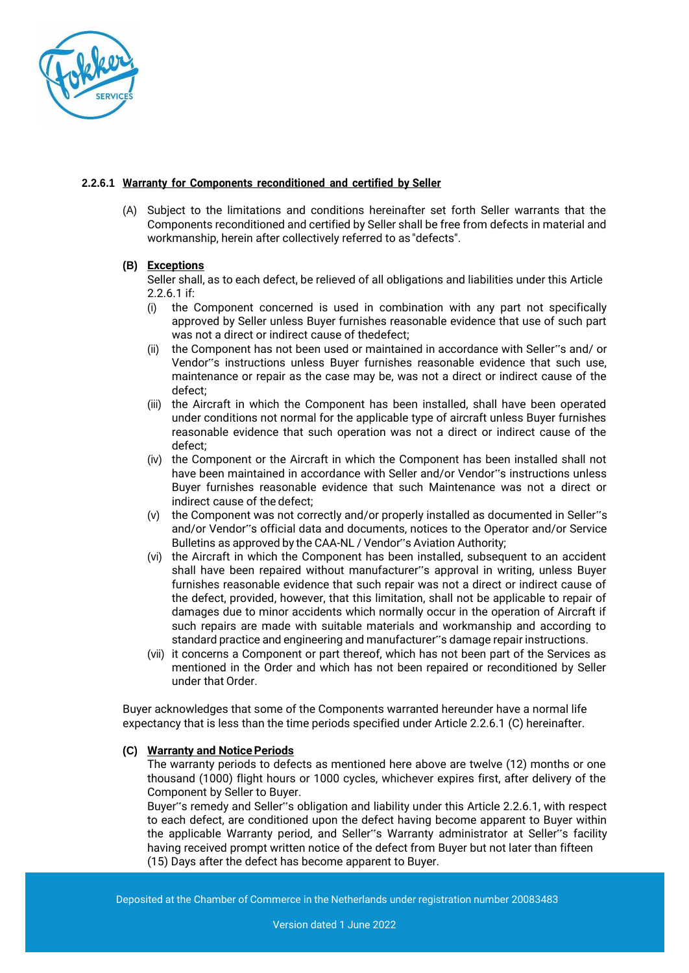

## **2.2.6.1 Warranty for Components reconditioned and certified by Seller**

(A) Subject to the limitations and conditions hereinafter set forth Seller warrants that the Components reconditioned and certified by Seller shall be free from defects in material and workmanship, herein after collectively referred to as "defects".

# **(B) Exceptions**

Seller shall, as to each defect, be relieved of all obligations and liabilities under this Article 2.2.6.1 if:

- (i) the Component concerned is used in combination with any part not specifically approved by Seller unless Buyer furnishes reasonable evidence that use of such part was not a direct or indirect cause of thedefect;
- (ii) the Component has not been used or maintained in accordance with Seller"s and/ or Vendor"s instructions unless Buyer furnishes reasonable evidence that such use, maintenance or repair as the case may be, was not a direct or indirect cause of the defect;
- (iii) the Aircraft in which the Component has been installed, shall have been operated under conditions not normal for the applicable type of aircraft unless Buyer furnishes reasonable evidence that such operation was not a direct or indirect cause of the defect;
- (iv) the Component or the Aircraft in which the Component has been installed shall not have been maintained in accordance with Seller and/or Vendor"s instructions unless Buyer furnishes reasonable evidence that such Maintenance was not a direct or indirect cause of the defect;
- (v) the Component was not correctly and/or properly installed as documented in Seller"s and/or Vendor"s official data and documents, notices to the Operator and/or Service Bulletins as approved by the CAA-NL / Vendor"s Aviation Authority;
- (vi) the Aircraft in which the Component has been installed, subsequent to an accident shall have been repaired without manufacturer"s approval in writing, unless Buyer furnishes reasonable evidence that such repair was not a direct or indirect cause of the defect, provided, however, that this limitation, shall not be applicable to repair of damages due to minor accidents which normally occur in the operation of Aircraft if such repairs are made with suitable materials and workmanship and according to standard practice and engineering and manufacturer"s damage repair instructions.
- (vii) it concerns a Component or part thereof, which has not been part of the Services as mentioned in the Order and which has not been repaired or reconditioned by Seller under that Order.

Buyer acknowledges that some of the Components warranted hereunder have a normal life expectancy that is less than the time periods specified under Article 2.2.6.1 (C) hereinafter.

## **(C) Warranty and NoticePeriods**

The warranty periods to defects as mentioned here above are twelve (12) months or one thousand (1000) flight hours or 1000 cycles, whichever expires first, after delivery of the Component by Seller to Buyer.

Buyer"s remedy and Seller"s obligation and liability under this Article 2.2.6.1, with respect to each defect, are conditioned upon the defect having become apparent to Buyer within the applicable Warranty period, and Seller"s Warranty administrator at Seller"s facility having received prompt written notice of the defect from Buyer but not later than fifteen (15) Days after the defect has become apparent to Buyer.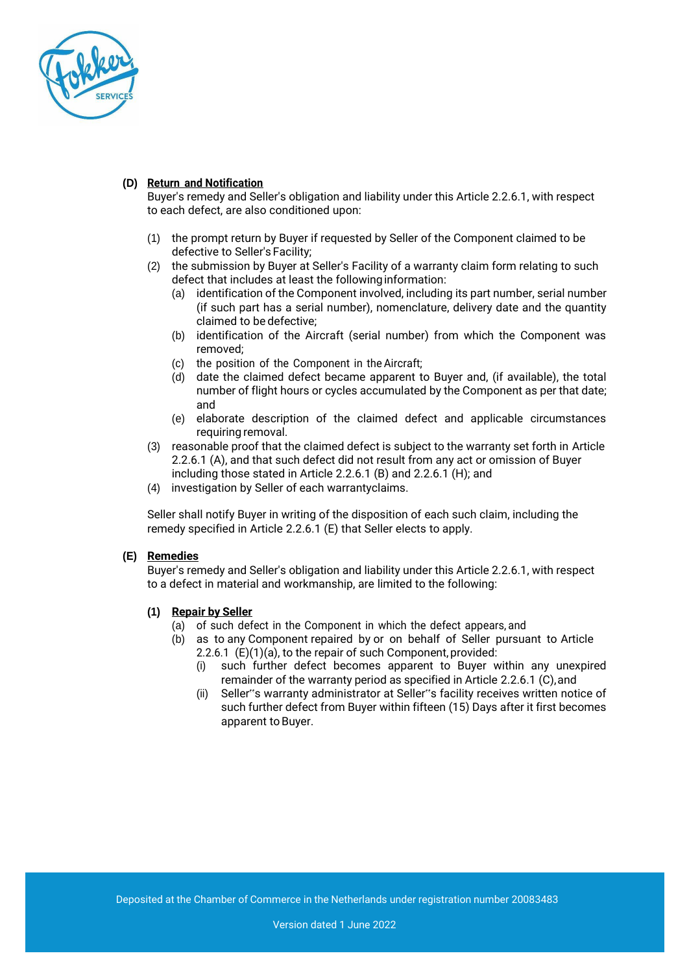

# **(D) Return and Notification**

Buyer's remedy and Seller's obligation and liability under this Article 2.2.6.1, with respect to each defect, are also conditioned upon:

- (1) the prompt return by Buyer if requested by Seller of the Component claimed to be defective to Seller's Facility;
- (2) the submission by Buyer at Seller's Facility of a warranty claim form relating to such defect that includes at least the followinginformation:
	- (a) identification of the Component involved, including its part number, serial number (if such part has a serial number), nomenclature, delivery date and the quantity claimed to be defective;
	- (b) identification of the Aircraft (serial number) from which the Component was removed;
	- (c) the position of the Component in the Aircraft;
	- (d) date the claimed defect became apparent to Buyer and, (if available), the total number of flight hours or cycles accumulated by the Component as per that date; and
	- (e) elaborate description of the claimed defect and applicable circumstances requiring removal.
- (3) reasonable proof that the claimed defect is subject to the warranty set forth in Article 2.2.6.1 (A), and that such defect did not result from any act or omission of Buyer including those stated in Article 2.2.6.1 (B) and 2.2.6.1 (H); and
- (4) investigation by Seller of each warrantyclaims.

Seller shall notify Buyer in writing of the disposition of each such claim, including the remedy specified in Article 2.2.6.1 (E) that Seller elects to apply.

## **(E) Remedies**

Buyer's remedy and Seller's obligation and liability under this Article 2.2.6.1, with respect to a defect in material and workmanship, are limited to the following:

#### **(1) Repair by Seller**

- (a) of such defect in the Component in which the defect appears, and
- (b) as to any Component repaired by or on behalf of Seller pursuant to Article 2.2.6.1 (E)(1)(a), to the repair of such Component, provided:
	- (i) such further defect becomes apparent to Buyer within any unexpired remainder of the warranty period as specified in Article 2.2.6.1 (C), and
	- (ii) Seller"s warranty administrator at Seller"s facility receives written notice of such further defect from Buyer within fifteen (15) Days after it first becomes apparent to Buyer.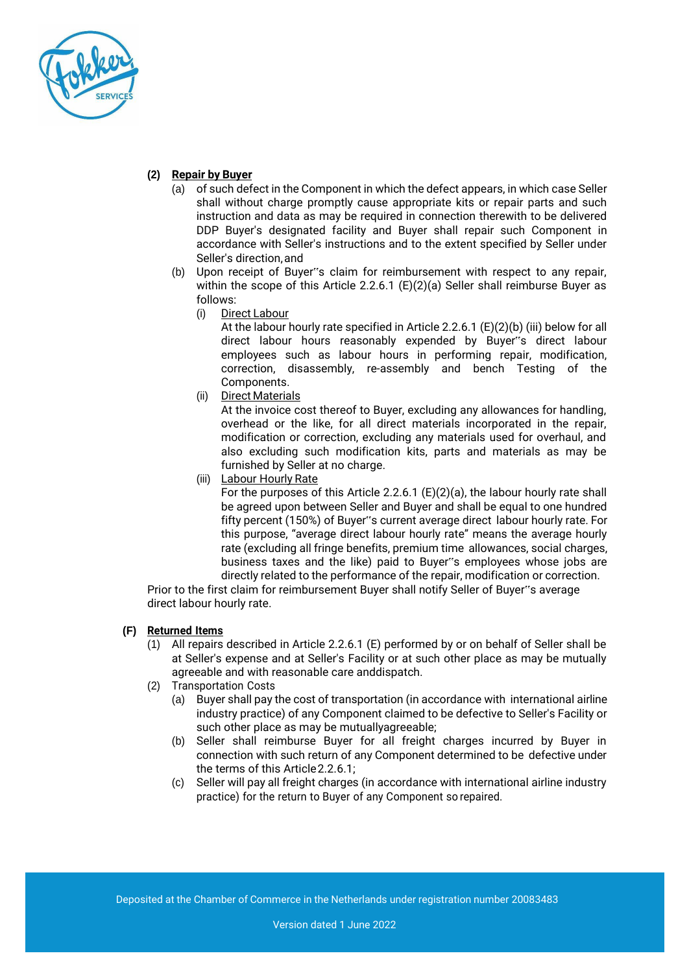

# **(2) Repair by Buyer**

- (a) of such defect in the Component in which the defect appears, in which case Seller shall without charge promptly cause appropriate kits or repair parts and such instruction and data as may be required in connection therewith to be delivered DDP Buyer's designated facility and Buyer shall repair such Component in accordance with Seller's instructions and to the extent specified by Seller under Seller's direction,and
- (b) Upon receipt of Buyer"s claim for reimbursement with respect to any repair, within the scope of this Article 2.2.6.1 (E)(2)(a) Seller shall reimburse Buyer as follows:
	- (i) Direct Labour

At the labour hourly rate specified in Article 2.2.6.1 (E)(2)(b) (iii) below for all direct labour hours reasonably expended by Buyer"s direct labour employees such as labour hours in performing repair, modification, correction, disassembly, re-assembly and bench Testing of the Components.

(ii) Direct Materials

At the invoice cost thereof to Buyer, excluding any allowances for handling, overhead or the like, for all direct materials incorporated in the repair, modification or correction, excluding any materials used for overhaul, and also excluding such modification kits, parts and materials as may be furnished by Seller at no charge.

(iii) Labour Hourly Rate

For the purposes of this Article 2.2.6.1 (E)(2)(a), the labour hourly rate shall be agreed upon between Seller and Buyer and shall be equal to one hundred fifty percent (150%) of Buyer"s current average direct labour hourly rate. For this purpose, "average direct labour hourly rate" means the average hourly rate (excluding all fringe benefits, premium time allowances, social charges, business taxes and the like) paid to Buyer"s employees whose jobs are directly related to the performance of the repair, modification or correction.

Prior to the first claim for reimbursement Buyer shall notify Seller of Buyer"s average direct labour hourly rate.

# **(F) Returned Items**

- (1) All repairs described in Article 2.2.6.1 (E) performed by or on behalf of Seller shall be at Seller's expense and at Seller's Facility or at such other place as may be mutually agreeable and with reasonable care anddispatch.
- (2) Transportation Costs
	- (a) Buyer shall pay the cost of transportation (in accordance with international airline industry practice) of any Component claimed to be defective to Seller's Facility or such other place as may be mutuallyagreeable;
	- (b) Seller shall reimburse Buyer for all freight charges incurred by Buyer in connection with such return of any Component determined to be defective under the terms of this Article2.2.6.1;
	- (c) Seller will pay all freight charges (in accordance with international airline industry practice) for the return to Buyer of any Component so repaired.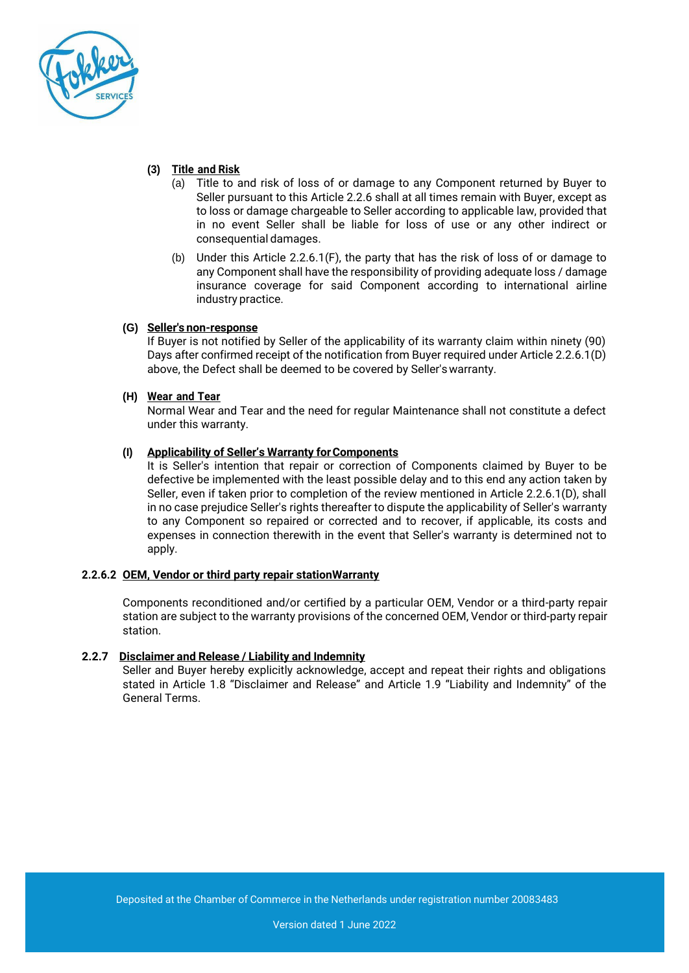

# **(3) Title and Risk**

- (a) Title to and risk of loss of or damage to any Component returned by Buyer to Seller pursuant to this Article 2.2.6 shall at all times remain with Buyer, except as to loss or damage chargeable to Seller according to applicable law, provided that in no event Seller shall be liable for loss of use or any other indirect or consequential damages.
- (b) Under this Article 2.2.6.1(F), the party that has the risk of loss of or damage to any Component shall have the responsibility of providing adequate loss / damage insurance coverage for said Component according to international airline industry practice.

## **(G) Seller's non-response**

If Buyer is not notified by Seller of the applicability of its warranty claim within ninety (90) Days after confirmed receipt of the notification from Buyer required under Article 2.2.6.1(D) above, the Defect shall be deemed to be covered by Seller'swarranty.

## **(H) Wear and Tear**

Normal Wear and Tear and the need for regular Maintenance shall not constitute a defect under this warranty.

# **(I) Applicability of Seller's Warranty forComponents**

It is Seller's intention that repair or correction of Components claimed by Buyer to be defective be implemented with the least possible delay and to this end any action taken by Seller, even if taken prior to completion of the review mentioned in Article 2.2.6.1(D), shall in no case prejudice Seller's rights thereafter to dispute the applicability of Seller's warranty to any Component so repaired or corrected and to recover, if applicable, its costs and expenses in connection therewith in the event that Seller's warranty is determined not to apply.

## **2.2.6.2 OEM, Vendor or third party repair stationWarranty**

Components reconditioned and/or certified by a particular OEM, Vendor or a third-party repair station are subject to the warranty provisions of the concerned OEM, Vendor or third-party repair station.

## **2.2.7 Disclaimer and Release / Liability and Indemnity**

Seller and Buyer hereby explicitly acknowledge, accept and repeat their rights and obligations stated in Article 1.8 "Disclaimer and Release" and Article 1.9 "Liability and Indemnity" of the General Terms.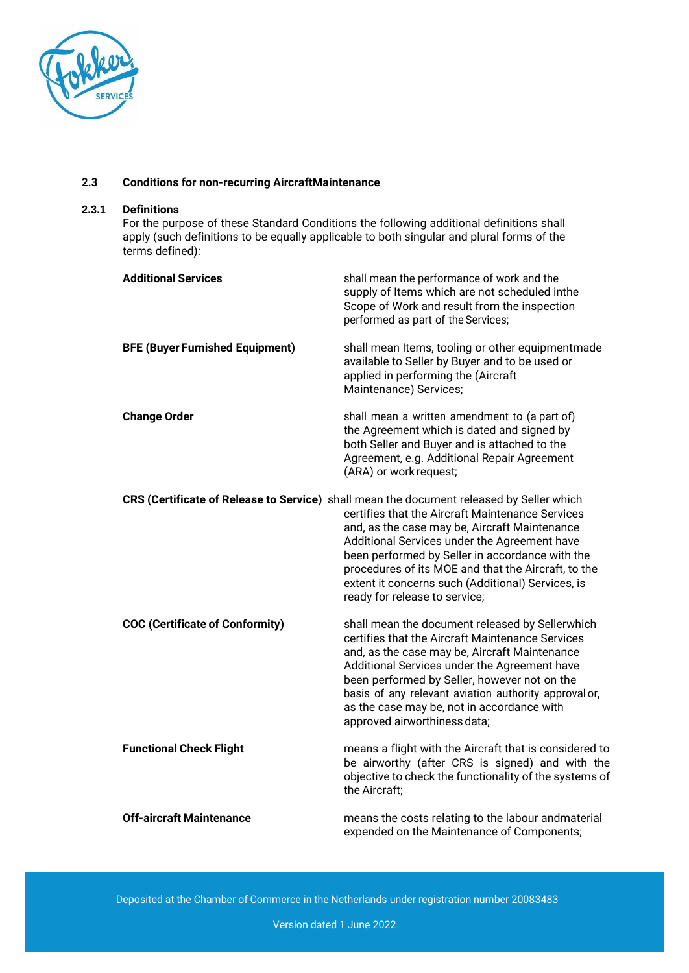

#### **2.3 Conditions for non-recurring AircraftMaintenance**

#### **2.3.1 Definitions**

For the purpose of these Standard Conditions the following additional definitions shall apply (such definitions to be equally applicable to both singular and plural forms of the terms defined):

| <b>Additional Services</b>             | shall mean the performance of work and the<br>supply of Items which are not scheduled inthe<br>Scope of Work and result from the inspection<br>performed as part of the Services;                                                                                                                                                                                                                                                             |
|----------------------------------------|-----------------------------------------------------------------------------------------------------------------------------------------------------------------------------------------------------------------------------------------------------------------------------------------------------------------------------------------------------------------------------------------------------------------------------------------------|
| <b>BFE (Buyer Furnished Equipment)</b> | shall mean Items, tooling or other equipmentmade<br>available to Seller by Buyer and to be used or<br>applied in performing the (Aircraft<br>Maintenance) Services;                                                                                                                                                                                                                                                                           |
| <b>Change Order</b>                    | shall mean a written amendment to (a part of)<br>the Agreement which is dated and signed by<br>both Seller and Buyer and is attached to the<br>Agreement, e.g. Additional Repair Agreement<br>(ARA) or work request;                                                                                                                                                                                                                          |
|                                        | CRS (Certificate of Release to Service) shall mean the document released by Seller which<br>certifies that the Aircraft Maintenance Services<br>and, as the case may be, Aircraft Maintenance<br>Additional Services under the Agreement have<br>been performed by Seller in accordance with the<br>procedures of its MOE and that the Aircraft, to the<br>extent it concerns such (Additional) Services, is<br>ready for release to service; |
| <b>COC (Certificate of Conformity)</b> | shall mean the document released by Sellerwhich<br>certifies that the Aircraft Maintenance Services<br>and, as the case may be, Aircraft Maintenance<br>Additional Services under the Agreement have<br>been performed by Seller, however not on the<br>basis of any relevant aviation authority approval or,<br>as the case may be, not in accordance with<br>approved airworthiness data;                                                   |
| <b>Functional Check Flight</b>         | means a flight with the Aircraft that is considered to<br>be airworthy (after CRS is signed) and with the<br>objective to check the functionality of the systems of<br>the Aircraft;                                                                                                                                                                                                                                                          |
| <b>Off-aircraft Maintenance</b>        | means the costs relating to the labour andmaterial<br>expended on the Maintenance of Components;                                                                                                                                                                                                                                                                                                                                              |

Deposited at the Chamber of Commerce in the Netherlands under registration number 20083483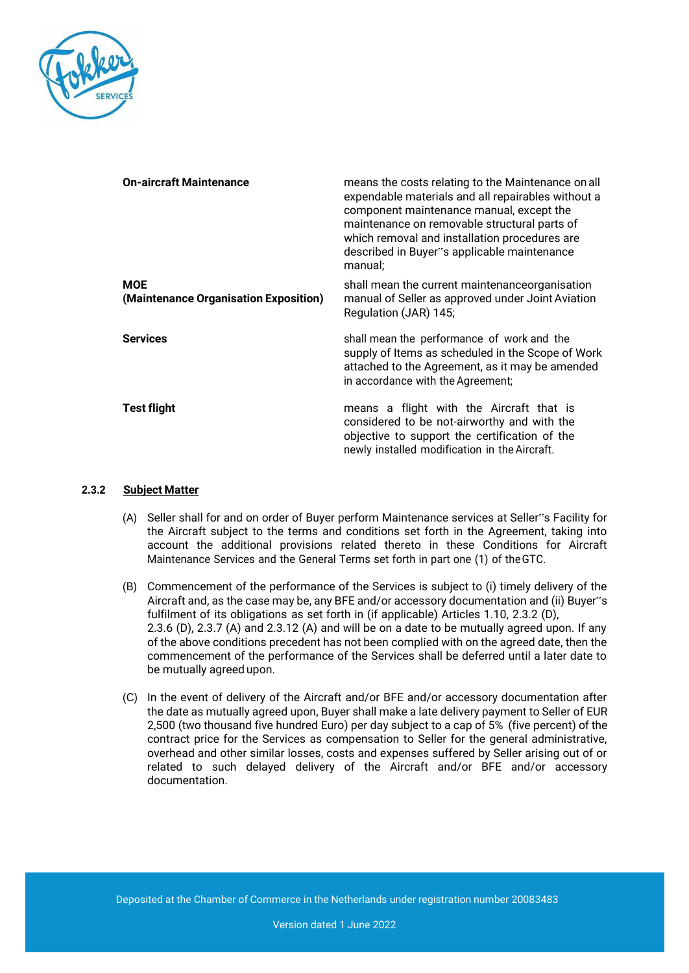

| <b>On-aircraft Maintenance</b>                      | means the costs relating to the Maintenance on all<br>expendable materials and all repairables without a<br>component maintenance manual, except the<br>maintenance on removable structural parts of<br>which removal and installation procedures are<br>described in Buyer"s applicable maintenance<br>manual; |
|-----------------------------------------------------|-----------------------------------------------------------------------------------------------------------------------------------------------------------------------------------------------------------------------------------------------------------------------------------------------------------------|
| <b>MOE</b><br>(Maintenance Organisation Exposition) | shall mean the current maintenanceorganisation<br>manual of Seller as approved under Joint Aviation<br>Regulation (JAR) 145;                                                                                                                                                                                    |
| <b>Services</b>                                     | shall mean the performance of work and the<br>supply of Items as scheduled in the Scope of Work<br>attached to the Agreement, as it may be amended<br>in accordance with the Agreement;                                                                                                                         |
| <b>Test flight</b>                                  | means a flight with the Aircraft that is<br>considered to be not-airworthy and with the<br>objective to support the certification of the<br>newly installed modification in the Aircraft.                                                                                                                       |

#### **2.3.2 Subject Matter**

- (A) Seller shall for and on order of Buyer perform Maintenance services at Seller"s Facility for the Aircraft subject to the terms and conditions set forth in the Agreement, taking into account the additional provisions related thereto in these Conditions for Aircraft Maintenance Services and the General Terms set forth in part one (1) of theGTC.
- (B) Commencement of the performance of the Services is subject to (i) timely delivery of the Aircraft and, as the case may be, any BFE and/or accessory documentation and (ii) Buyer"s fulfilment of its obligations as set forth in (if applicable) Articles 1.10, 2.3.2 (D), 2.3.6 (D), 2.3.7 (A) and 2.3.12 (A) and will be on a date to be mutually agreed upon. If any of the above conditions precedent has not been complied with on the agreed date, then the commencement of the performance of the Services shall be deferred until a later date to be mutually agreed upon.
- (C) In the event of delivery of the Aircraft and/or BFE and/or accessory documentation after the date as mutually agreed upon, Buyer shall make a late delivery payment to Seller of EUR 2,500 (two thousand five hundred Euro) per day subject to a cap of 5% (five percent) of the contract price for the Services as compensation to Seller for the general administrative, overhead and other similar losses, costs and expenses suffered by Seller arising out of or related to such delayed delivery of the Aircraft and/or BFE and/or accessory documentation.

Deposited at the Chamber of Commerce in the Netherlands under registration number 20083483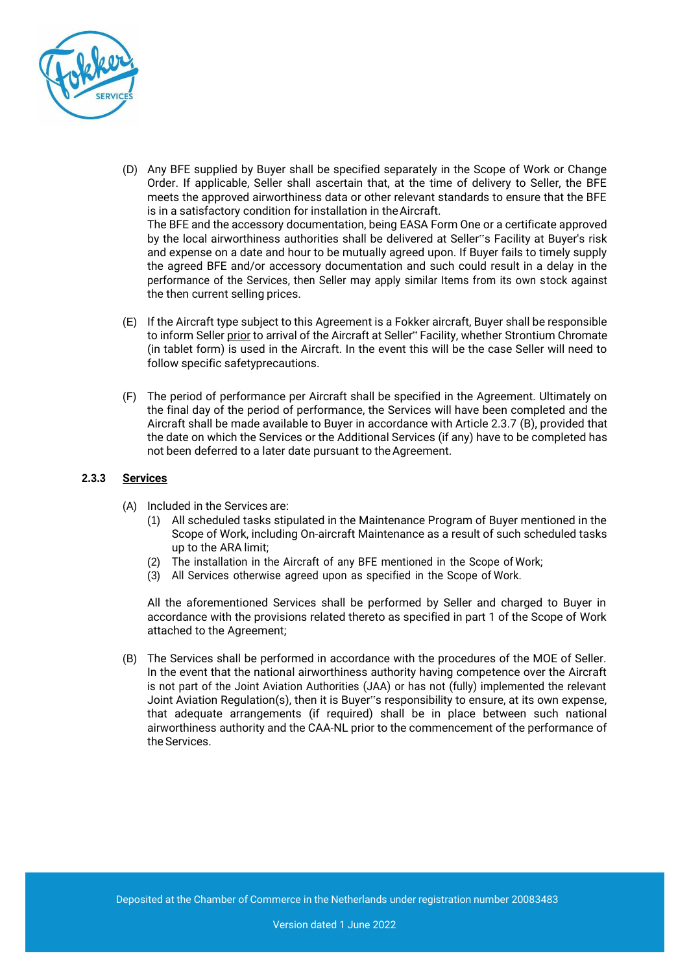

- (D) Any BFE supplied by Buyer shall be specified separately in the Scope of Work or Change Order. If applicable, Seller shall ascertain that, at the time of delivery to Seller, the BFE meets the approved airworthiness data or other relevant standards to ensure that the BFE is in a satisfactory condition for installation in the Aircraft. The BFE and the accessory documentation, being EASA Form One or a certificate approved by the local airworthiness authorities shall be delivered at Seller"s Facility at Buyer's risk and expense on a date and hour to be mutually agreed upon. If Buyer fails to timely supply the agreed BFE and/or accessory documentation and such could result in a delay in the performance of the Services, then Seller may apply similar Items from its own stock against the then current selling prices.
- (E) If the Aircraft type subject to this Agreement is a Fokker aircraft, Buyer shall be responsible to inform Seller prior to arrival of the Aircraft at Seller" Facility, whether Strontium Chromate (in tablet form) is used in the Aircraft. In the event this will be the case Seller will need to follow specific safetyprecautions.
- (F) The period of performance per Aircraft shall be specified in the Agreement. Ultimately on the final day of the period of performance, the Services will have been completed and the Aircraft shall be made available to Buyer in accordance with Article 2.3.7 (B), provided that the date on which the Services or the Additional Services (if any) have to be completed has not been deferred to a later date pursuant to the Agreement.

#### **2.3.3 Services**

- (A) Included in the Services are:
	- (1) All scheduled tasks stipulated in the Maintenance Program of Buyer mentioned in the Scope of Work, including On-aircraft Maintenance as a result of such scheduled tasks up to the ARA limit;
	- (2) The installation in the Aircraft of any BFE mentioned in the Scope of Work;
	- (3) All Services otherwise agreed upon as specified in the Scope of Work.

All the aforementioned Services shall be performed by Seller and charged to Buyer in accordance with the provisions related thereto as specified in part 1 of the Scope of Work attached to the Agreement;

(B) The Services shall be performed in accordance with the procedures of the MOE of Seller. In the event that the national airworthiness authority having competence over the Aircraft is not part of the Joint Aviation Authorities (JAA) or has not (fully) implemented the relevant Joint Aviation Regulation(s), then it is Buyer"s responsibility to ensure, at its own expense, that adequate arrangements (if required) shall be in place between such national airworthiness authority and the CAA-NL prior to the commencement of the performance of the Services.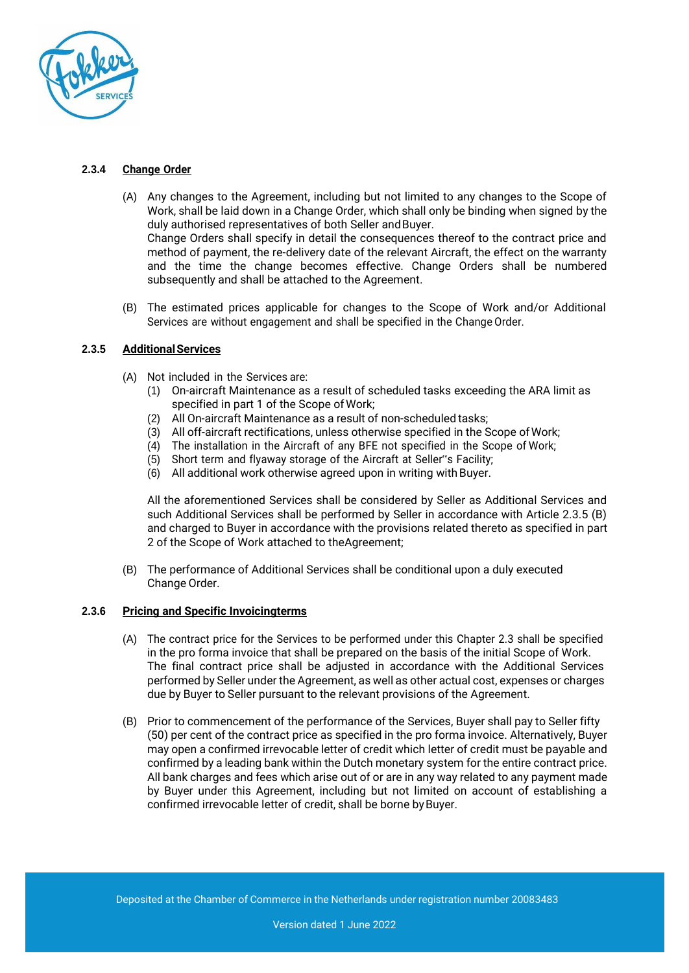

# **2.3.4 Change Order**

- (A) Any changes to the Agreement, including but not limited to any changes to the Scope of Work, shall be laid down in a Change Order, which shall only be binding when signed by the duly authorised representatives of both Seller and Buyer. Change Orders shall specify in detail the consequences thereof to the contract price and method of payment, the re-delivery date of the relevant Aircraft, the effect on the warranty and the time the change becomes effective. Change Orders shall be numbered subsequently and shall be attached to the Agreement.
- (B) The estimated prices applicable for changes to the Scope of Work and/or Additional Services are without engagement and shall be specified in the Change Order.

# **2.3.5 AdditionalServices**

- (A) Not included in the Services are:
	- (1) On-aircraft Maintenance as a result of scheduled tasks exceeding the ARA limit as specified in part 1 of the Scope ofWork;
	- (2) All On-aircraft Maintenance as a result of non-scheduled tasks;
	- (3) All off-aircraft rectifications, unless otherwise specified in the Scope ofWork;
	- (4) The installation in the Aircraft of any BFE not specified in the Scope of Work;
	- (5) Short term and flyaway storage of the Aircraft at Seller"s Facility;
	- (6) All additional work otherwise agreed upon in writing withBuyer.

All the aforementioned Services shall be considered by Seller as Additional Services and such Additional Services shall be performed by Seller in accordance with Article 2.3.5 (B) and charged to Buyer in accordance with the provisions related thereto as specified in part 2 of the Scope of Work attached to theAgreement;

(B) The performance of Additional Services shall be conditional upon a duly executed Change Order.

## **2.3.6 Pricing and Specific Invoicingterms**

- (A) The contract price for the Services to be performed under this Chapter 2.3 shall be specified in the pro forma invoice that shall be prepared on the basis of the initial Scope of Work. The final contract price shall be adjusted in accordance with the Additional Services performed by Seller under the Agreement, as well as other actual cost, expenses or charges due by Buyer to Seller pursuant to the relevant provisions of the Agreement.
- (B) Prior to commencement of the performance of the Services, Buyer shall pay to Seller fifty (50) per cent of the contract price as specified in the pro forma invoice. Alternatively, Buyer may open a confirmed irrevocable letter of credit which letter of credit must be payable and confirmed by a leading bank within the Dutch monetary system for the entire contract price. All bank charges and fees which arise out of or are in any way related to any payment made by Buyer under this Agreement, including but not limited on account of establishing a confirmed irrevocable letter of credit, shall be borne by Buyer.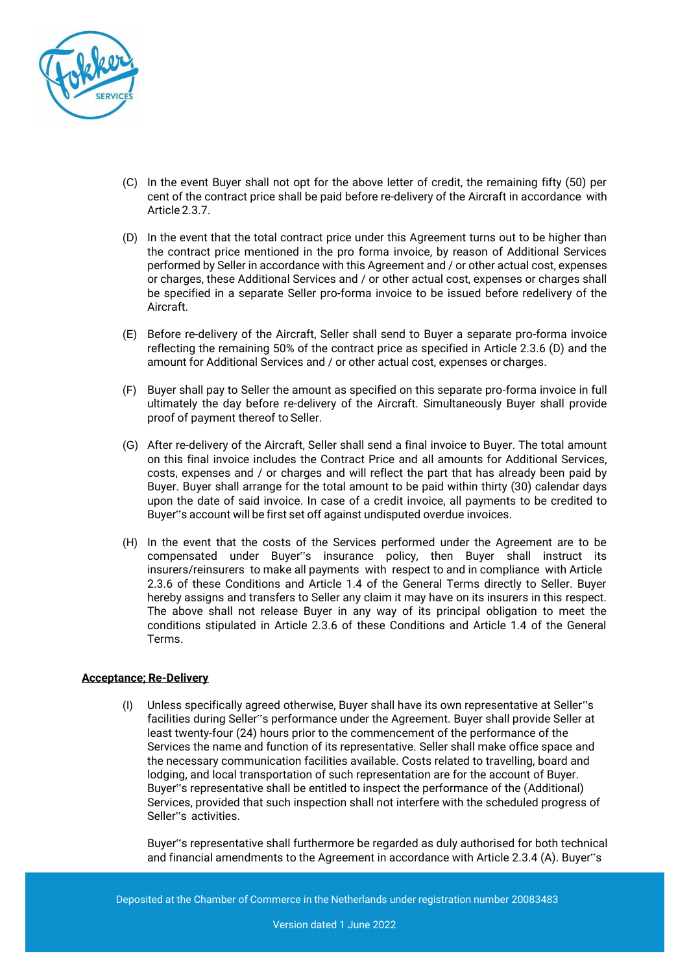

- (C) In the event Buyer shall not opt for the above letter of credit, the remaining fifty (50) per cent of the contract price shall be paid before re-delivery of the Aircraft in accordance with Article 2.3.7.
- (D) In the event that the total contract price under this Agreement turns out to be higher than the contract price mentioned in the pro forma invoice, by reason of Additional Services performed by Seller in accordance with this Agreement and / or other actual cost, expenses or charges, these Additional Services and / or other actual cost, expenses or charges shall be specified in a separate Seller pro-forma invoice to be issued before redelivery of the Aircraft.
- (E) Before re-delivery of the Aircraft, Seller shall send to Buyer a separate pro-forma invoice reflecting the remaining 50% of the contract price as specified in Article 2.3.6 (D) and the amount for Additional Services and / or other actual cost, expenses or charges.
- (F) Buyer shall pay to Seller the amount as specified on this separate pro-forma invoice in full ultimately the day before re-delivery of the Aircraft. Simultaneously Buyer shall provide proof of payment thereof to Seller.
- (G) After re-delivery of the Aircraft, Seller shall send a final invoice to Buyer. The total amount on this final invoice includes the Contract Price and all amounts for Additional Services, costs, expenses and / or charges and will reflect the part that has already been paid by Buyer. Buyer shall arrange for the total amount to be paid within thirty (30) calendar days upon the date of said invoice. In case of a credit invoice, all payments to be credited to Buyer"s account will be first set off against undisputed overdue invoices.
- (H) In the event that the costs of the Services performed under the Agreement are to be compensated under Buyer"s insurance policy, then Buyer shall instruct its insurers/reinsurers to make all payments with respect to and in compliance with Article 2.3.6 of these Conditions and Article 1.4 of the General Terms directly to Seller. Buyer hereby assigns and transfers to Seller any claim it may have on its insurers in this respect. The above shall not release Buyer in any way of its principal obligation to meet the conditions stipulated in Article 2.3.6 of these Conditions and Article 1.4 of the General Terms.

## **Acceptance; Re-Delivery**

(I) Unless specifically agreed otherwise, Buyer shall have its own representative at Seller"s facilities during Seller"s performance under the Agreement. Buyer shall provide Seller at least twenty-four (24) hours prior to the commencement of the performance of the Services the name and function of its representative. Seller shall make office space and the necessary communication facilities available. Costs related to travelling, board and lodging, and local transportation of such representation are for the account of Buyer. Buyer"s representative shall be entitled to inspect the performance of the (Additional) Services, provided that such inspection shall not interfere with the scheduled progress of Seller"s activities.

Buyer"s representative shall furthermore be regarded as duly authorised for both technical and financial amendments to the Agreement in accordance with Article 2.3.4 (A). Buyer"s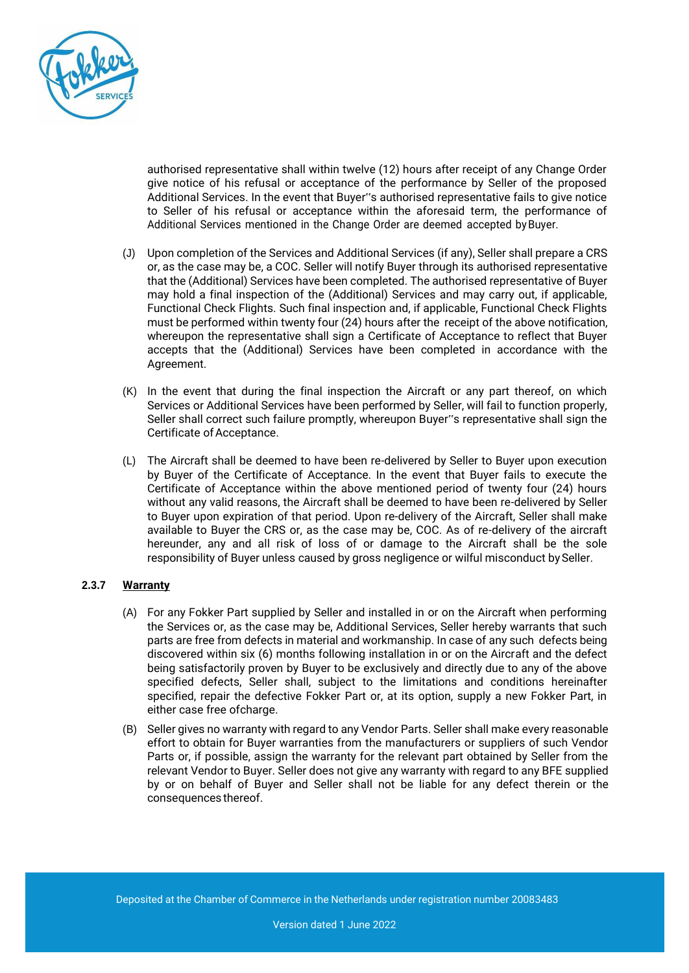

authorised representative shall within twelve (12) hours after receipt of any Change Order give notice of his refusal or acceptance of the performance by Seller of the proposed Additional Services. In the event that Buyer"s authorised representative fails to give notice to Seller of his refusal or acceptance within the aforesaid term, the performance of Additional Services mentioned in the Change Order are deemed accepted byBuyer.

- (J) Upon completion of the Services and Additional Services (if any), Seller shall prepare a CRS or, as the case may be, a COC. Seller will notify Buyer through its authorised representative that the (Additional) Services have been completed. The authorised representative of Buyer may hold a final inspection of the (Additional) Services and may carry out, if applicable, Functional Check Flights. Such final inspection and, if applicable, Functional Check Flights must be performed within twenty four (24) hours after the receipt of the above notification, whereupon the representative shall sign a Certificate of Acceptance to reflect that Buyer accepts that the (Additional) Services have been completed in accordance with the Agreement.
- (K) In the event that during the final inspection the Aircraft or any part thereof, on which Services or Additional Services have been performed by Seller, will fail to function properly, Seller shall correct such failure promptly, whereupon Buyer"s representative shall sign the Certificate of Acceptance.
- (L) The Aircraft shall be deemed to have been re-delivered by Seller to Buyer upon execution by Buyer of the Certificate of Acceptance. In the event that Buyer fails to execute the Certificate of Acceptance within the above mentioned period of twenty four (24) hours without any valid reasons, the Aircraft shall be deemed to have been re-delivered by Seller to Buyer upon expiration of that period. Upon re-delivery of the Aircraft, Seller shall make available to Buyer the CRS or, as the case may be, COC. As of re-delivery of the aircraft hereunder, any and all risk of loss of or damage to the Aircraft shall be the sole responsibility of Buyer unless caused by gross negligence or wilful misconduct by Seller.

## **2.3.7 Warranty**

- (A) For any Fokker Part supplied by Seller and installed in or on the Aircraft when performing the Services or, as the case may be, Additional Services, Seller hereby warrants that such parts are free from defects in material and workmanship. In case of any such defects being discovered within six (6) months following installation in or on the Aircraft and the defect being satisfactorily proven by Buyer to be exclusively and directly due to any of the above specified defects, Seller shall, subject to the limitations and conditions hereinafter specified, repair the defective Fokker Part or, at its option, supply a new Fokker Part, in either case free ofcharge.
- (B) Seller gives no warranty with regard to any Vendor Parts. Seller shall make every reasonable effort to obtain for Buyer warranties from the manufacturers or suppliers of such Vendor Parts or, if possible, assign the warranty for the relevant part obtained by Seller from the relevant Vendor to Buyer. Seller does not give any warranty with regard to any BFE supplied by or on behalf of Buyer and Seller shall not be liable for any defect therein or the consequences thereof.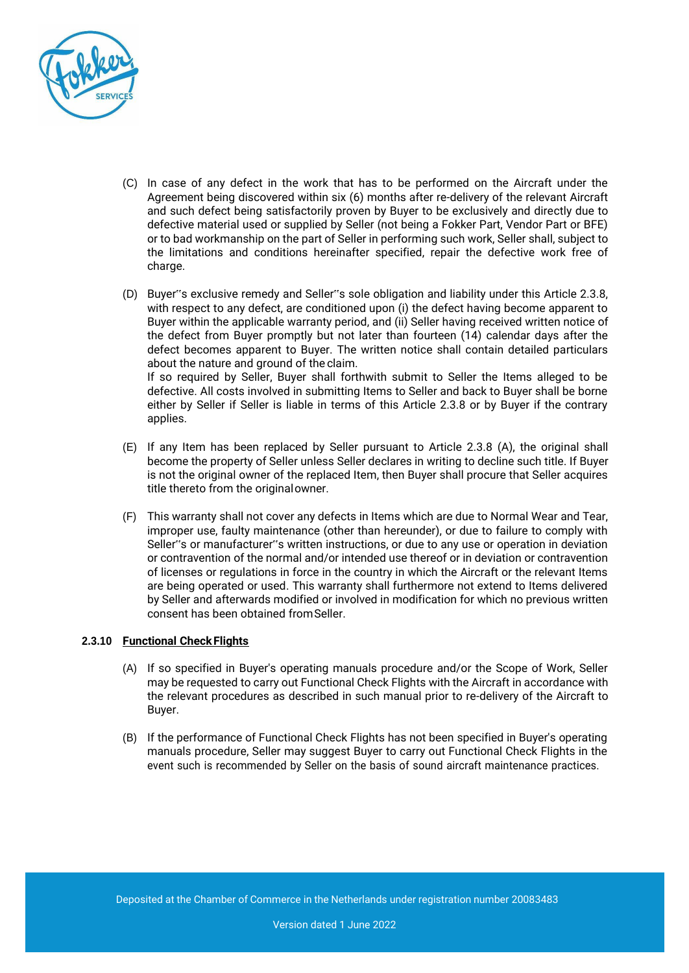

- (C) In case of any defect in the work that has to be performed on the Aircraft under the Agreement being discovered within six (6) months after re-delivery of the relevant Aircraft and such defect being satisfactorily proven by Buyer to be exclusively and directly due to defective material used or supplied by Seller (not being a Fokker Part, Vendor Part or BFE) or to bad workmanship on the part of Seller in performing such work, Seller shall, subject to the limitations and conditions hereinafter specified, repair the defective work free of charge.
- (D) Buyer"s exclusive remedy and Seller"s sole obligation and liability under this Article 2.3.8, with respect to any defect, are conditioned upon (i) the defect having become apparent to Buyer within the applicable warranty period, and (ii) Seller having received written notice of the defect from Buyer promptly but not later than fourteen (14) calendar days after the defect becomes apparent to Buyer. The written notice shall contain detailed particulars about the nature and ground of the claim. If so required by Seller, Buyer shall forthwith submit to Seller the Items alleged to be defective. All costs involved in submitting Items to Seller and back to Buyer shall be borne either by Seller if Seller is liable in terms of this Article 2.3.8 or by Buyer if the contrary applies.
- (E) If any Item has been replaced by Seller pursuant to Article 2.3.8 (A), the original shall become the property of Seller unless Seller declares in writing to decline such title. If Buyer is not the original owner of the replaced Item, then Buyer shall procure that Seller acquires title thereto from the originalowner.
- (F) This warranty shall not cover any defects in Items which are due to Normal Wear and Tear, improper use, faulty maintenance (other than hereunder), or due to failure to comply with Seller"s or manufacturer"s written instructions, or due to any use or operation in deviation or contravention of the normal and/or intended use thereof or in deviation or contravention of licenses or regulations in force in the country in which the Aircraft or the relevant Items are being operated or used. This warranty shall furthermore not extend to Items delivered by Seller and afterwards modified or involved in modification for which no previous written consent has been obtained fromSeller.

## **2.3.10 Functional CheckFlights**

- (A) If so specified in Buyer's operating manuals procedure and/or the Scope of Work, Seller may be requested to carry out Functional Check Flights with the Aircraft in accordance with the relevant procedures as described in such manual prior to re-delivery of the Aircraft to Buyer.
- (B) If the performance of Functional Check Flights has not been specified in Buyer's operating manuals procedure, Seller may suggest Buyer to carry out Functional Check Flights in the event such is recommended by Seller on the basis of sound aircraft maintenance practices.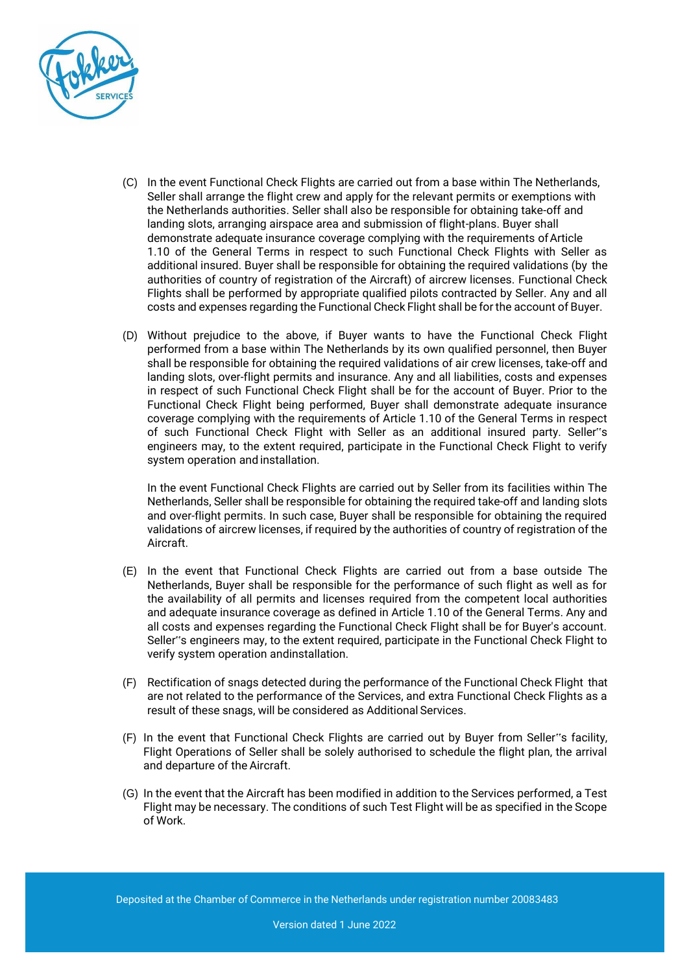

- (C) In the event Functional Check Flights are carried out from a base within The Netherlands, Seller shall arrange the flight crew and apply for the relevant permits or exemptions with the Netherlands authorities. Seller shall also be responsible for obtaining take-off and landing slots, arranging airspace area and submission of flight-plans. Buyer shall demonstrate adequate insurance coverage complying with the requirements of Article 1.10 of the General Terms in respect to such Functional Check Flights with Seller as additional insured. Buyer shall be responsible for obtaining the required validations (by the authorities of country of registration of the Aircraft) of aircrew licenses. Functional Check Flights shall be performed by appropriate qualified pilots contracted by Seller. Any and all costs and expenses regarding the Functional Check Flight shall be for the account of Buyer.
- (D) Without prejudice to the above, if Buyer wants to have the Functional Check Flight performed from a base within The Netherlands by its own qualified personnel, then Buyer shall be responsible for obtaining the required validations of air crew licenses, take-off and landing slots, over-flight permits and insurance. Any and all liabilities, costs and expenses in respect of such Functional Check Flight shall be for the account of Buyer. Prior to the Functional Check Flight being performed, Buyer shall demonstrate adequate insurance coverage complying with the requirements of Article 1.10 of the General Terms in respect of such Functional Check Flight with Seller as an additional insured party. Seller"s engineers may, to the extent required, participate in the Functional Check Flight to verify system operation and installation.

In the event Functional Check Flights are carried out by Seller from its facilities within The Netherlands, Seller shall be responsible for obtaining the required take-off and landing slots and over-flight permits. In such case, Buyer shall be responsible for obtaining the required validations of aircrew licenses, if required by the authorities of country of registration of the Aircraft.

- (E) In the event that Functional Check Flights are carried out from a base outside The Netherlands, Buyer shall be responsible for the performance of such flight as well as for the availability of all permits and licenses required from the competent local authorities and adequate insurance coverage as defined in Article 1.10 of the General Terms. Any and all costs and expenses regarding the Functional Check Flight shall be for Buyer's account. Seller"s engineers may, to the extent required, participate in the Functional Check Flight to verify system operation andinstallation.
- (F) Rectification of snags detected during the performance of the Functional Check Flight that are not related to the performance of the Services, and extra Functional Check Flights as a result of these snags, will be considered as Additional Services.
- (F) In the event that Functional Check Flights are carried out by Buyer from Seller"s facility, Flight Operations of Seller shall be solely authorised to schedule the flight plan, the arrival and departure of the Aircraft.
- (G) In the event that the Aircraft has been modified in addition to the Services performed, a Test Flight may be necessary. The conditions of such Test Flight will be as specified in the Scope of Work.

Deposited at the Chamber of Commerce in the Netherlands under registration number 20083483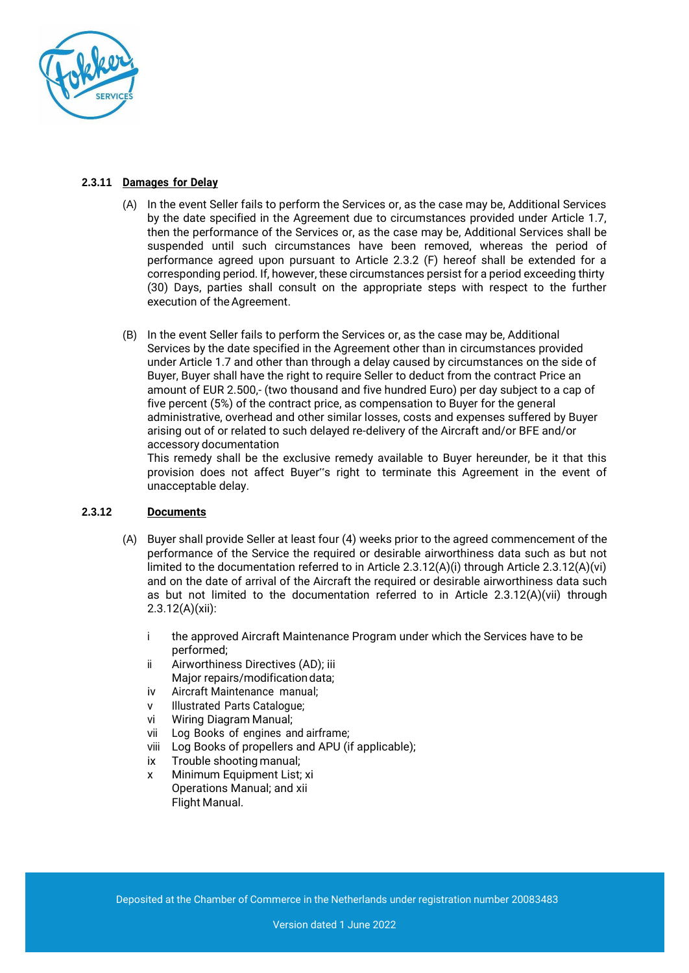

# **2.3.11 Damages for Delay**

- (A) In the event Seller fails to perform the Services or, as the case may be, Additional Services by the date specified in the Agreement due to circumstances provided under Article 1.7, then the performance of the Services or, as the case may be, Additional Services shall be suspended until such circumstances have been removed, whereas the period of performance agreed upon pursuant to Article 2.3.2 (F) hereof shall be extended for a corresponding period. If, however, these circumstances persist for a period exceeding thirty (30) Days, parties shall consult on the appropriate steps with respect to the further execution of the Agreement.
- (B) In the event Seller fails to perform the Services or, as the case may be, Additional Services by the date specified in the Agreement other than in circumstances provided under Article 1.7 and other than through a delay caused by circumstances on the side of Buyer, Buyer shall have the right to require Seller to deduct from the contract Price an amount of EUR 2.500,- (two thousand and five hundred Euro) per day subject to a cap of five percent (5%) of the contract price, as compensation to Buyer for the general administrative, overhead and other similar losses, costs and expenses suffered by Buyer arising out of or related to such delayed re-delivery of the Aircraft and/or BFE and/or accessory documentation

This remedy shall be the exclusive remedy available to Buyer hereunder, be it that this provision does not affect Buyer"s right to terminate this Agreement in the event of unacceptable delay.

## **2.3.12 Documents**

- (A) Buyer shall provide Seller at least four (4) weeks prior to the agreed commencement of the performance of the Service the required or desirable airworthiness data such as but not limited to the documentation referred to in Article 2.3.12(A)(i) through Article 2.3.12(A)(vi) and on the date of arrival of the Aircraft the required or desirable airworthiness data such as but not limited to the documentation referred to in Article 2.3.12(A)(vii) through 2.3.12(A)(xii):
	- i the approved Aircraft Maintenance Program under which the Services have to be performed;
	- ii Airworthiness Directives (AD); iii Major repairs/modification data;
	- iv Aircraft Maintenance manual;
	- v Illustrated Parts Catalogue;
	- vi Wiring Diagram Manual;
	- vii Log Books of engines and airframe;
	- viii Log Books of propellers and APU (if applicable);
	- ix Trouble shooting manual;
	- x Minimum Equipment List; xi Operations Manual; and xii Flight Manual.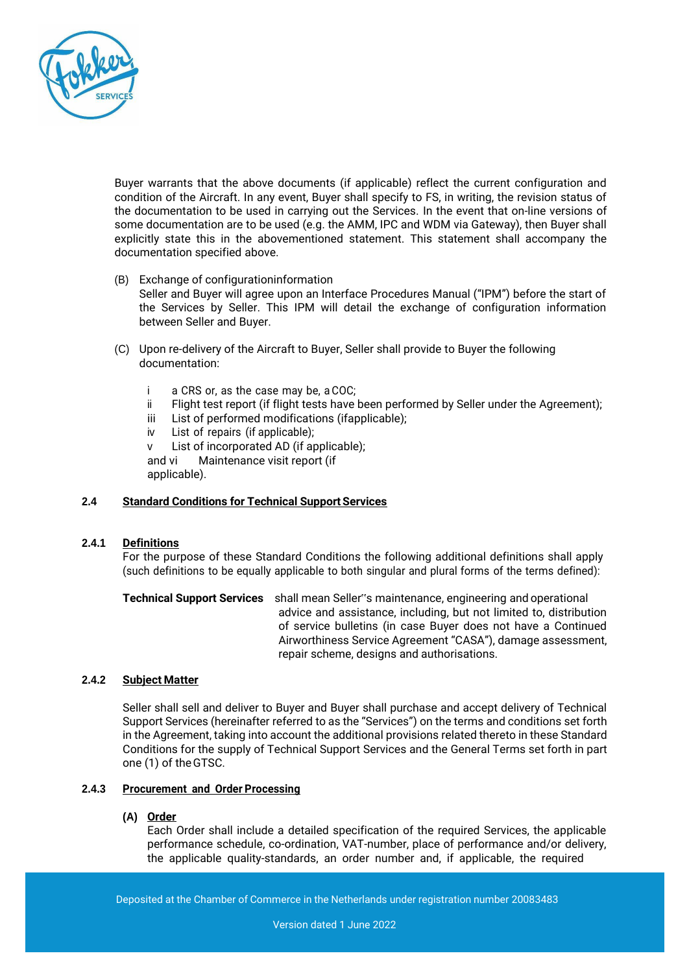

Buyer warrants that the above documents (if applicable) reflect the current configuration and condition of the Aircraft. In any event, Buyer shall specify to FS, in writing, the revision status of the documentation to be used in carrying out the Services. In the event that on-line versions of some documentation are to be used (e.g. the AMM, IPC and WDM via Gateway), then Buyer shall explicitly state this in the abovementioned statement. This statement shall accompany the documentation specified above.

- (B) Exchange of configurationinformation Seller and Buyer will agree upon an Interface Procedures Manual ("IPM") before the start of the Services by Seller. This IPM will detail the exchange of configuration information between Seller and Buyer.
- (C) Upon re-delivery of the Aircraft to Buyer, Seller shall provide to Buyer the following documentation:
	- i a CRS or, as the case may be, a COC;
	- ii Flight test report (if flight tests have been performed by Seller under the Agreement);
	- iii List of performed modifications (ifapplicable);
	- iv List of repairs (if applicable);

v List of incorporated AD (if applicable); and vi Maintenance visit report (if applicable).

## **2.4 Standard Conditions for Technical Support Services**

## **2.4.1 Definitions**

For the purpose of these Standard Conditions the following additional definitions shall apply (such definitions to be equally applicable to both singular and plural forms of the terms defined):

**Technical Support Services** shall mean Seller"s maintenance, engineering and operational advice and assistance, including, but not limited to, distribution of service bulletins (in case Buyer does not have a Continued Airworthiness Service Agreement "CASA"), damage assessment, repair scheme, designs and authorisations.

#### **2.4.2 Subject Matter**

Seller shall sell and deliver to Buyer and Buyer shall purchase and accept delivery of Technical Support Services (hereinafter referred to as the "Services") on the terms and conditions set forth in the Agreement, taking into account the additional provisions related thereto in these Standard Conditions for the supply of Technical Support Services and the General Terms set forth in part one (1) of theGTSC.

# **2.4.3 Procurement and Order Processing**

#### **(A) Order**

Each Order shall include a detailed specification of the required Services, the applicable performance schedule, co-ordination, VAT-number, place of performance and/or delivery, the applicable quality-standards, an order number and, if applicable, the required

Deposited at the Chamber of Commerce in the Netherlands under registration number 20083483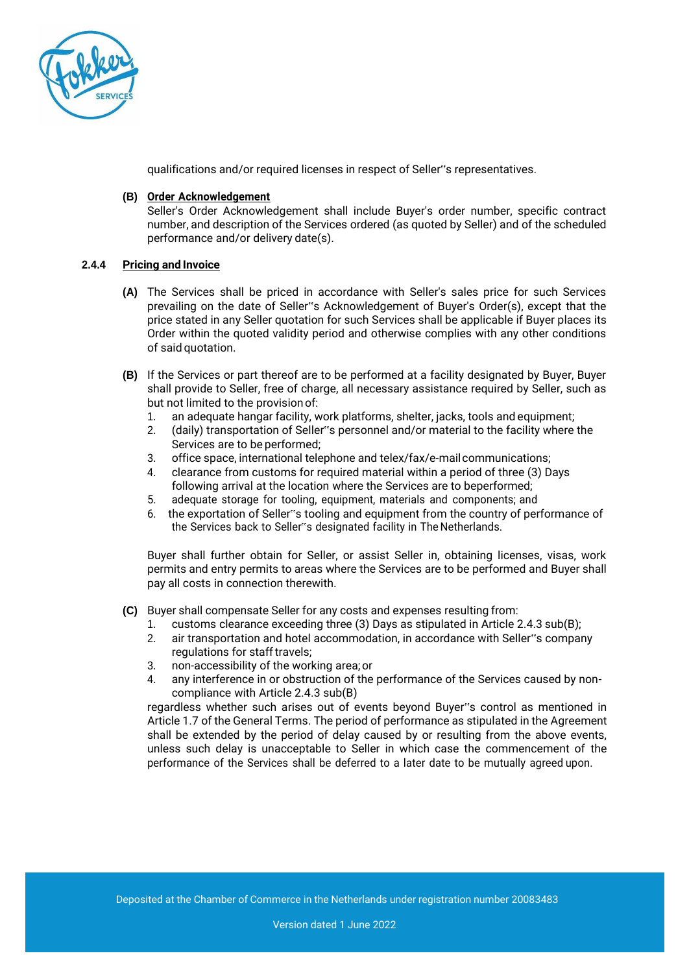

qualifications and/or required licenses in respect of Seller"s representatives.

#### **(B) Order Acknowledgement**

Seller's Order Acknowledgement shall include Buyer's order number, specific contract number, and description of the Services ordered (as quoted by Seller) and of the scheduled performance and/or delivery date(s).

## **2.4.4 Pricing and Invoice**

- **(A)** The Services shall be priced in accordance with Seller's sales price for such Services prevailing on the date of Seller"s Acknowledgement of Buyer's Order(s), except that the price stated in any Seller quotation for such Services shall be applicable if Buyer places its Order within the quoted validity period and otherwise complies with any other conditions of said quotation.
- **(B)** If the Services or part thereof are to be performed at a facility designated by Buyer, Buyer shall provide to Seller, free of charge, all necessary assistance required by Seller, such as but not limited to the provisionof:
	- 1. an adequate hangar facility, work platforms, shelter, jacks, tools and equipment;
	- 2. (daily) transportation of Seller"s personnel and/or material to the facility where the Services are to be performed;
	- 3. office space, international telephone and telex/fax/e-mailcommunications;
	- 4. clearance from customs for required material within a period of three (3) Days following arrival at the location where the Services are to beperformed;
	- 5. adequate storage for tooling, equipment, materials and components; and
	- 6. the exportation of Seller"s tooling and equipment from the country of performance of the Services back to Seller"s designated facility in The Netherlands.

Buyer shall further obtain for Seller, or assist Seller in, obtaining licenses, visas, work permits and entry permits to areas where the Services are to be performed and Buyer shall pay all costs in connection therewith.

- **(C)** Buyer shall compensate Seller for any costs and expenses resulting from:
	- 1. customs clearance exceeding three (3) Days as stipulated in Article 2.4.3 sub(B);
	- 2. air transportation and hotel accommodation, in accordance with Seller"s company regulations for staff travels:
	- 3. non-accessibility of the working area;or
	- 4. any interference in or obstruction of the performance of the Services caused by noncompliance with Article 2.4.3 sub(B)

regardless whether such arises out of events beyond Buyer"s control as mentioned in Article 1.7 of the General Terms. The period of performance as stipulated in the Agreement shall be extended by the period of delay caused by or resulting from the above events, unless such delay is unacceptable to Seller in which case the commencement of the performance of the Services shall be deferred to a later date to be mutually agreed upon.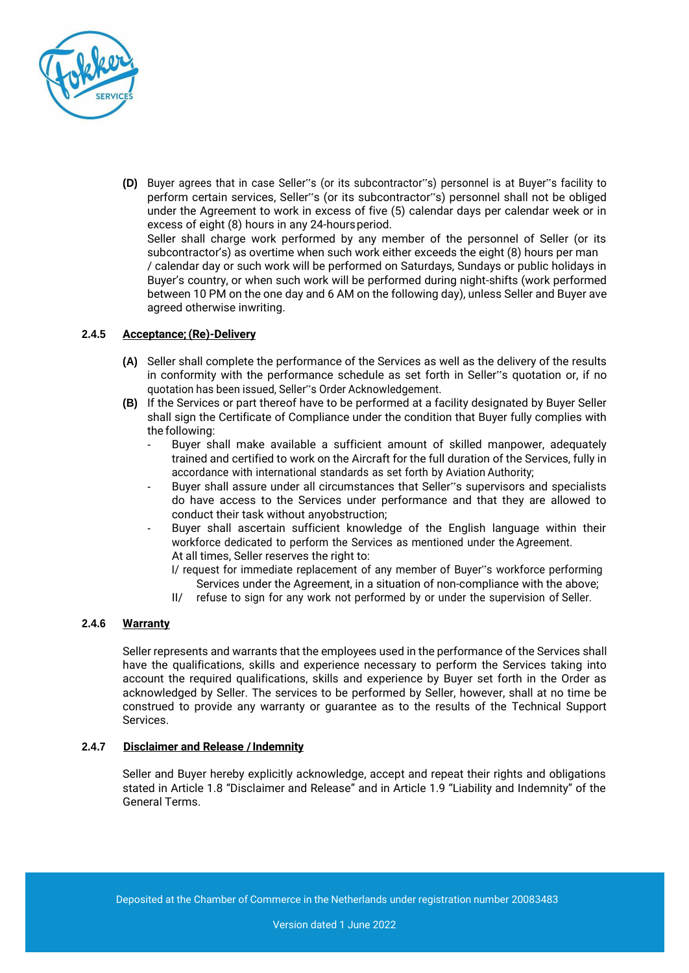

**(D)** Buyer agrees that in case Seller"s (or its subcontractor"s) personnel is at Buyer"s facility to perform certain services, Seller"s (or its subcontractor"s) personnel shall not be obliged under the Agreement to work in excess of five (5) calendar days per calendar week or in excess of eight (8) hours in any 24-hoursperiod. Seller shall charge work performed by any member of the personnel of Seller (or its subcontractor's) as overtime when such work either exceeds the eight (8) hours per man / calendar day or such work will be performed on Saturdays, Sundays or public holidays in Buyer's country, or when such work will be performed during night-shifts (work performed between 10 PM on the one day and 6 AM on the following day), unless Seller and Buyer ave agreed otherwise inwriting.

## **2.4.5 Acceptance;(Re)-Delivery**

- **(A)** Seller shall complete the performance of the Services as well as the delivery of the results in conformity with the performance schedule as set forth in Seller"s quotation or, if no quotation has been issued, Seller"s Order Acknowledgement.
- **(B)** If the Services or part thereof have to be performed at a facility designated by Buyer Seller shall sign the Certificate of Compliance under the condition that Buyer fully complies with the following:
	- Buyer shall make available a sufficient amount of skilled manpower, adequately trained and certified to work on the Aircraft for the full duration of the Services, fully in accordance with international standards as set forth by Aviation Authority;
	- Buyer shall assure under all circumstances that Seller"s supervisors and specialists do have access to the Services under performance and that they are allowed to conduct their task without anyobstruction;
	- Buyer shall ascertain sufficient knowledge of the English language within their workforce dedicated to perform the Services as mentioned under the Agreement. At all times, Seller reserves the right to:
		- I/ request for immediate replacement of any member of Buyer"s workforce performing Services under the Agreement, in a situation of non-compliance with the above;
		- II/ refuse to sign for any work not performed by or under the supervision of Seller.

## **2.4.6 Warranty**

Seller represents and warrants that the employees used in the performance of the Services shall have the qualifications, skills and experience necessary to perform the Services taking into account the required qualifications, skills and experience by Buyer set forth in the Order as acknowledged by Seller. The services to be performed by Seller, however, shall at no time be construed to provide any warranty or guarantee as to the results of the Technical Support Services.

## **2.4.7 Disclaimer and Release /Indemnity**

Seller and Buyer hereby explicitly acknowledge, accept and repeat their rights and obligations stated in Article 1.8 "Disclaimer and Release" and in Article 1.9 "Liability and Indemnity" of the General Terms.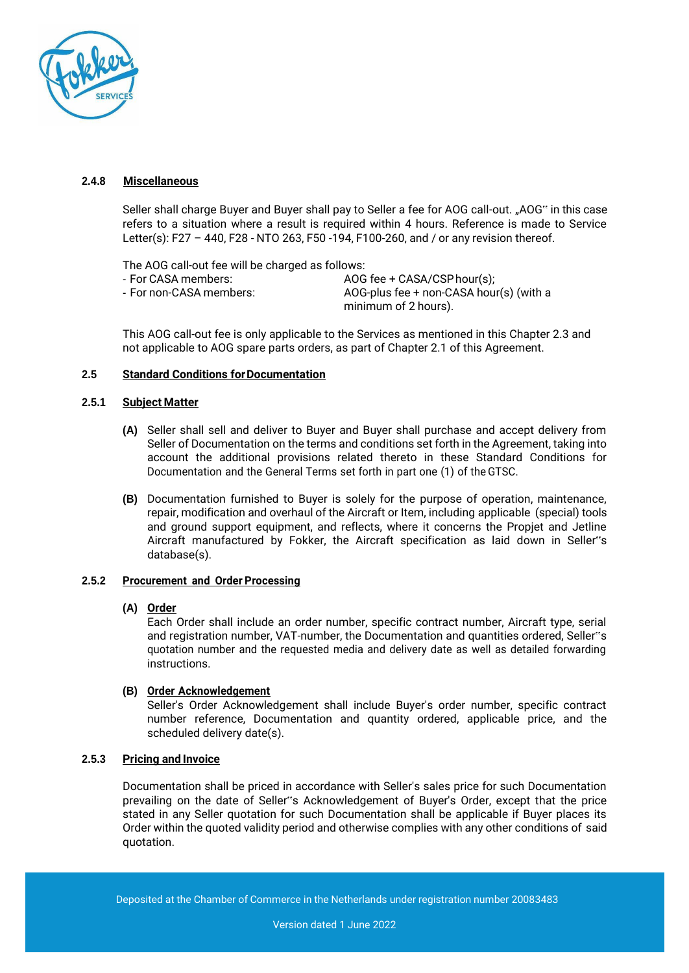

## **2.4.8 Miscellaneous**

Seller shall charge Buyer and Buyer shall pay to Seller a fee for AOG call-out. "AOG" in this case refers to a situation where a result is required within 4 hours. Reference is made to Service Letter(s): F27 – 440, F28 - NTO 263, F50 -194, F100-260, and / or any revision thereof.

The AOG call-out fee will be charged as follows:

- For CASA members:  $\overline{A}$ OG fee + CASA/CSP hour(s);<br>- For non-CASA members:  $\overline{A}$ OG-plus fee + non-CASA hou AOG-plus fee + non-CASA hour(s) (with a minimum of 2 hours).

This AOG call-out fee is only applicable to the Services as mentioned in this Chapter 2.3 and not applicable to AOG spare parts orders, as part of Chapter 2.1 of this Agreement.

## **2.5 Standard Conditions forDocumentation**

#### **2.5.1 Subject Matter**

- **(A)** Seller shall sell and deliver to Buyer and Buyer shall purchase and accept delivery from Seller of Documentation on the terms and conditions set forth in the Agreement, taking into account the additional provisions related thereto in these Standard Conditions for Documentation and the General Terms set forth in part one (1) of the GTSC.
- **(B)** Documentation furnished to Buyer is solely for the purpose of operation, maintenance, repair, modification and overhaul of the Aircraft or Item, including applicable (special) tools and ground support equipment, and reflects, where it concerns the Propjet and Jetline Aircraft manufactured by Fokker, the Aircraft specification as laid down in Seller"s database(s).

## **2.5.2 Procurement and Order Processing**

## **(A) Order**

Each Order shall include an order number, specific contract number, Aircraft type, serial and registration number, VAT-number, the Documentation and quantities ordered, Seller"s quotation number and the requested media and delivery date as well as detailed forwarding instructions.

## **(B) Order Acknowledgement**

Seller's Order Acknowledgement shall include Buyer's order number, specific contract number reference, Documentation and quantity ordered, applicable price, and the scheduled delivery date(s).

## **2.5.3 Pricing and Invoice**

Documentation shall be priced in accordance with Seller's sales price for such Documentation prevailing on the date of Seller"s Acknowledgement of Buyer's Order, except that the price stated in any Seller quotation for such Documentation shall be applicable if Buyer places its Order within the quoted validity period and otherwise complies with any other conditions of said quotation.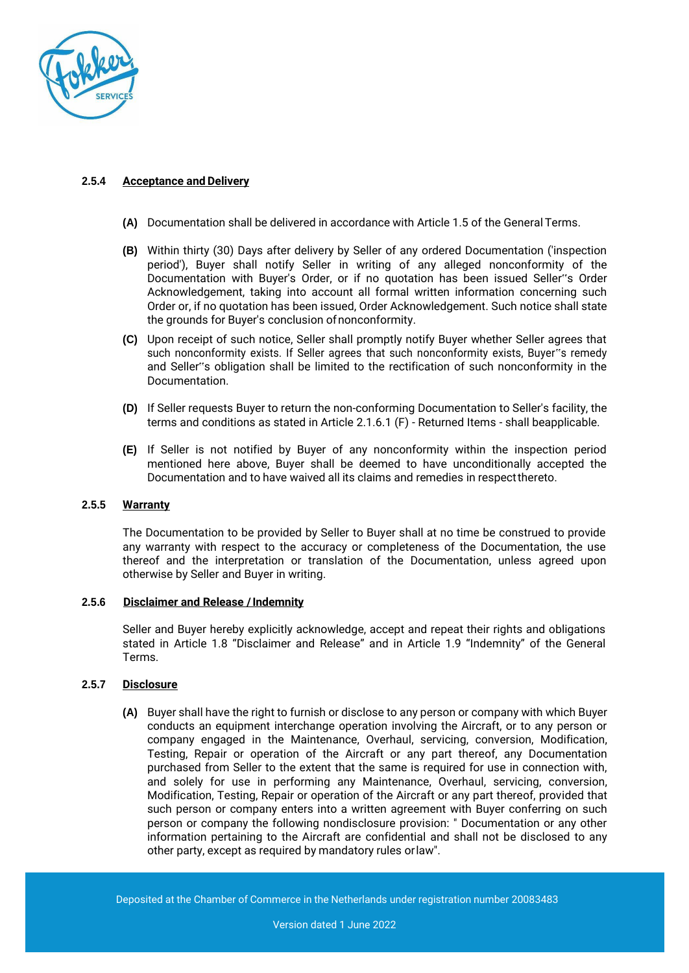

# **2.5.4 Acceptance and Delivery**

- **(A)** Documentation shall be delivered in accordance with Article 1.5 of the GeneralTerms.
- **(B)** Within thirty (30) Days after delivery by Seller of any ordered Documentation ('inspection period'), Buyer shall notify Seller in writing of any alleged nonconformity of the Documentation with Buyer's Order, or if no quotation has been issued Seller"s Order Acknowledgement, taking into account all formal written information concerning such Order or, if no quotation has been issued, Order Acknowledgement. Such notice shall state the grounds for Buyer's conclusion ofnonconformity.
- **(C)** Upon receipt of such notice, Seller shall promptly notify Buyer whether Seller agrees that such nonconformity exists. If Seller agrees that such nonconformity exists, Buyer"s remedy and Seller"s obligation shall be limited to the rectification of such nonconformity in the Documentation.
- **(D)** If Seller requests Buyer to return the non-conforming Documentation to Seller's facility, the terms and conditions as stated in Article 2.1.6.1 (F) - Returned Items - shall beapplicable.
- **(E)** If Seller is not notified by Buyer of any nonconformity within the inspection period mentioned here above, Buyer shall be deemed to have unconditionally accepted the Documentation and to have waived all its claims and remedies in respectthereto.

# **2.5.5 Warranty**

The Documentation to be provided by Seller to Buyer shall at no time be construed to provide any warranty with respect to the accuracy or completeness of the Documentation, the use thereof and the interpretation or translation of the Documentation, unless agreed upon otherwise by Seller and Buyer in writing.

## **2.5.6 Disclaimer and Release /Indemnity**

Seller and Buyer hereby explicitly acknowledge, accept and repeat their rights and obligations stated in Article 1.8 "Disclaimer and Release" and in Article 1.9 "Indemnity" of the General Terms.

## **2.5.7 Disclosure**

**(A)** Buyer shall have the right to furnish or disclose to any person or company with which Buyer conducts an equipment interchange operation involving the Aircraft, or to any person or company engaged in the Maintenance, Overhaul, servicing, conversion, Modification, Testing, Repair or operation of the Aircraft or any part thereof, any Documentation purchased from Seller to the extent that the same is required for use in connection with, and solely for use in performing any Maintenance, Overhaul, servicing, conversion, Modification, Testing, Repair or operation of the Aircraft or any part thereof, provided that such person or company enters into a written agreement with Buyer conferring on such person or company the following nondisclosure provision: " Documentation or any other information pertaining to the Aircraft are confidential and shall not be disclosed to any other party, except as required by mandatory rules orlaw".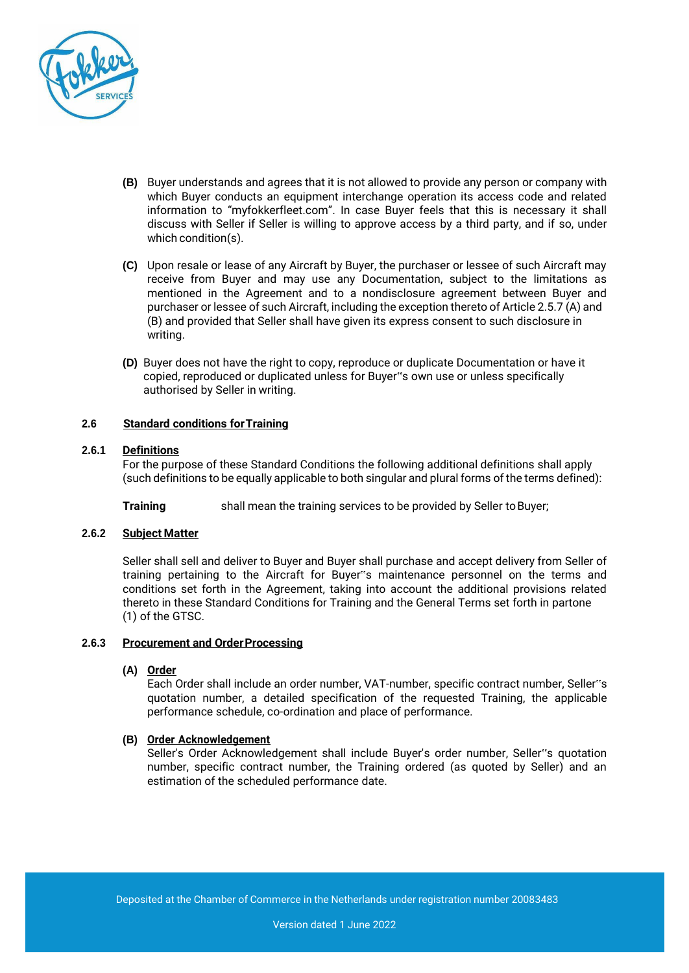

- **(B)** Buyer understands and agrees that it is not allowed to provide any person or company with which Buyer conducts an equipment interchange operation its access code and related information to "myfokkerfleet.com". In case Buyer feels that this is necessary it shall discuss with Seller if Seller is willing to approve access by a third party, and if so, under which condition(s).
- **(C)** Upon resale or lease of any Aircraft by Buyer, the purchaser or lessee of such Aircraft may receive from Buyer and may use any Documentation, subject to the limitations as mentioned in the Agreement and to a nondisclosure agreement between Buyer and purchaser or lessee of such Aircraft, including the exception thereto of Article 2.5.7 (A) and (B) and provided that Seller shall have given its express consent to such disclosure in writing.
- **(D)** Buyer does not have the right to copy, reproduce or duplicate Documentation or have it copied, reproduced or duplicated unless for Buyer"s own use or unless specifically authorised by Seller in writing.

## **2.6 Standard conditions forTraining**

#### **2.6.1 Definitions**

For the purpose of these Standard Conditions the following additional definitions shall apply (such definitions to be equally applicable to both singular and plural forms of the terms defined):

**Training** shall mean the training services to be provided by Seller to Buyer;

## **2.6.2 Subject Matter**

Seller shall sell and deliver to Buyer and Buyer shall purchase and accept delivery from Seller of training pertaining to the Aircraft for Buyer"s maintenance personnel on the terms and conditions set forth in the Agreement, taking into account the additional provisions related thereto in these Standard Conditions for Training and the General Terms set forth in partone (1) of the GTSC.

#### **2.6.3 Procurement and OrderProcessing**

#### **(A) Order**

Each Order shall include an order number, VAT-number, specific contract number, Seller"s quotation number, a detailed specification of the requested Training, the applicable performance schedule, co-ordination and place of performance.

#### **(B) Order Acknowledgement**

Seller's Order Acknowledgement shall include Buyer's order number, Seller"s quotation number, specific contract number, the Training ordered (as quoted by Seller) and an estimation of the scheduled performance date.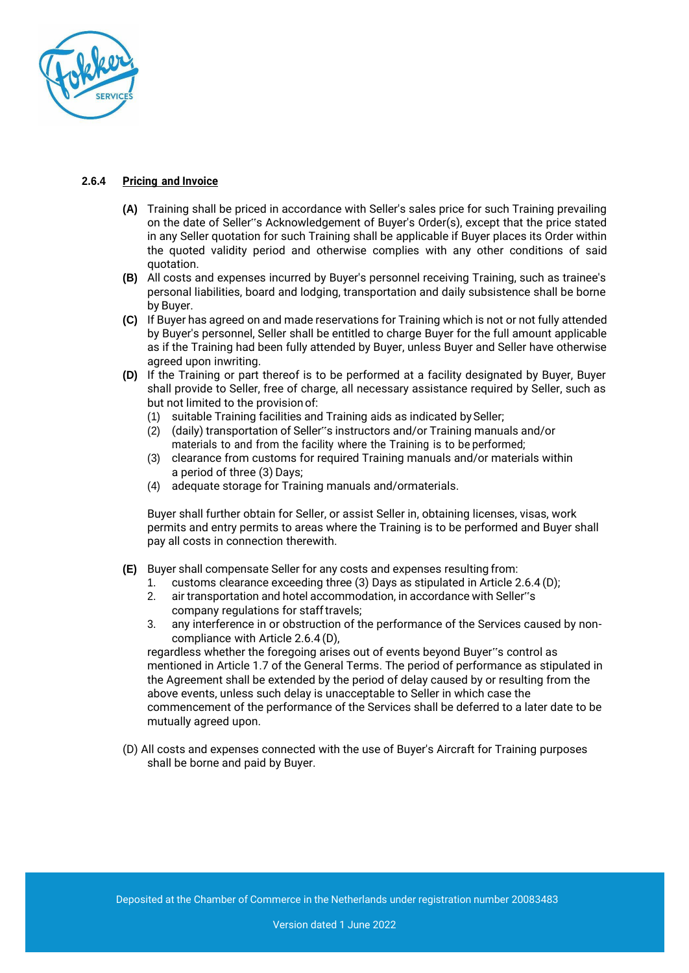

# **2.6.4 Pricing and Invoice**

- **(A)** Training shall be priced in accordance with Seller's sales price for such Training prevailing on the date of Seller"s Acknowledgement of Buyer's Order(s), except that the price stated in any Seller quotation for such Training shall be applicable if Buyer places its Order within the quoted validity period and otherwise complies with any other conditions of said quotation.
- **(B)** All costs and expenses incurred by Buyer's personnel receiving Training, such as trainee's personal liabilities, board and lodging, transportation and daily subsistence shall be borne by Buyer.
- **(C)** If Buyer has agreed on and made reservations for Training which is not or not fully attended by Buyer's personnel, Seller shall be entitled to charge Buyer for the full amount applicable as if the Training had been fully attended by Buyer, unless Buyer and Seller have otherwise agreed upon inwriting.
- **(D)** If the Training or part thereof is to be performed at a facility designated by Buyer, Buyer shall provide to Seller, free of charge, all necessary assistance required by Seller, such as but not limited to the provisionof:
	- (1) suitable Training facilities and Training aids as indicated bySeller;
	- (2) (daily) transportation of Seller"s instructors and/or Training manuals and/or materials to and from the facility where the Training is to be performed;
	- (3) clearance from customs for required Training manuals and/or materials within a period of three (3) Days;
	- (4) adequate storage for Training manuals and/ormaterials.

Buyer shall further obtain for Seller, or assist Seller in, obtaining licenses, visas, work permits and entry permits to areas where the Training is to be performed and Buyer shall pay all costs in connection therewith.

- **(E)** Buyer shall compensate Seller for any costs and expenses resulting from:
	- 1. customs clearance exceeding three (3) Days as stipulated in Article 2.6.4 (D);
	- 2. air transportation and hotel accommodation, in accordance with Seller"s company regulations for stafftravels;
	- 3. any interference in or obstruction of the performance of the Services caused by noncompliance with Article 2.6.4 (D),

regardless whether the foregoing arises out of events beyond Buyer"s control as mentioned in Article 1.7 of the General Terms. The period of performance as stipulated in the Agreement shall be extended by the period of delay caused by or resulting from the above events, unless such delay is unacceptable to Seller in which case the commencement of the performance of the Services shall be deferred to a later date to be mutually agreed upon.

(D) All costs and expenses connected with the use of Buyer's Aircraft for Training purposes shall be borne and paid by Buyer.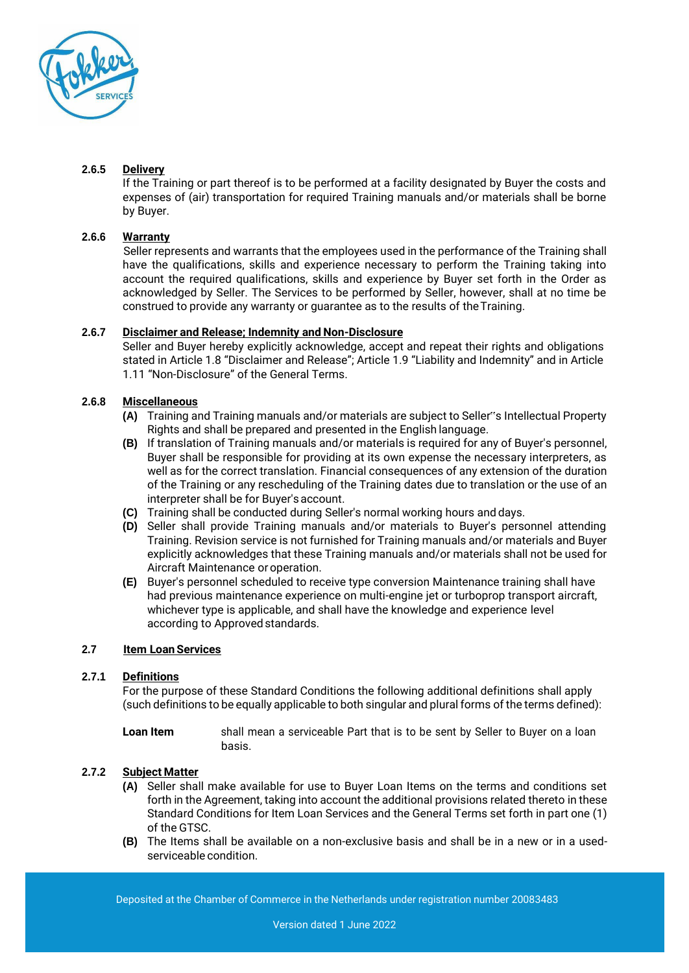

# **2.6.5 Delivery**

If the Training or part thereof is to be performed at a facility designated by Buyer the costs and expenses of (air) transportation for required Training manuals and/or materials shall be borne by Buyer.

# **2.6.6 Warranty**

Seller represents and warrants that the employees used in the performance of the Training shall have the qualifications, skills and experience necessary to perform the Training taking into account the required qualifications, skills and experience by Buyer set forth in the Order as acknowledged by Seller. The Services to be performed by Seller, however, shall at no time be construed to provide any warranty or guarantee as to the results of theTraining.

# **2.6.7 Disclaimer and Release; Indemnity and Non-Disclosure**

Seller and Buyer hereby explicitly acknowledge, accept and repeat their rights and obligations stated in Article 1.8 "Disclaimer and Release"; Article 1.9 "Liability and Indemnity" and in Article 1.11 "Non-Disclosure" of the General Terms.

# **2.6.8 Miscellaneous**

- **(A)** Training and Training manuals and/or materials are subject to Seller"s Intellectual Property Rights and shall be prepared and presented in the English language.
- **(B)** If translation of Training manuals and/or materials is required for any of Buyer's personnel, Buyer shall be responsible for providing at its own expense the necessary interpreters, as well as for the correct translation. Financial consequences of any extension of the duration of the Training or any rescheduling of the Training dates due to translation or the use of an interpreter shall be for Buyer's account.
- **(C)** Training shall be conducted during Seller's normal working hours and days.
- **(D)** Seller shall provide Training manuals and/or materials to Buyer's personnel attending Training. Revision service is not furnished for Training manuals and/or materials and Buyer explicitly acknowledges that these Training manuals and/or materials shall not be used for Aircraft Maintenance oroperation.
- **(E)** Buyer's personnel scheduled to receive type conversion Maintenance training shall have had previous maintenance experience on multi-engine jet or turboprop transport aircraft, whichever type is applicable, and shall have the knowledge and experience level according to Approved standards.

# **2.7 Item Loan Services**

## **2.7.1 Definitions**

For the purpose of these Standard Conditions the following additional definitions shall apply (such definitions to be equally applicable to both singular and plural forms of the terms defined):

**Loan Item** shall mean a serviceable Part that is to be sent by Seller to Buyer on a loan basis.

## **2.7.2 Subject Matter**

- **(A)** Seller shall make available for use to Buyer Loan Items on the terms and conditions set forth in the Agreement, taking into account the additional provisions related thereto in these Standard Conditions for Item Loan Services and the General Terms set forth in part one (1) of the GTSC.
- **(B)** The Items shall be available on a non-exclusive basis and shall be in a new or in a usedserviceable condition.

Deposited at the Chamber of Commerce in the Netherlands under registration number 20083483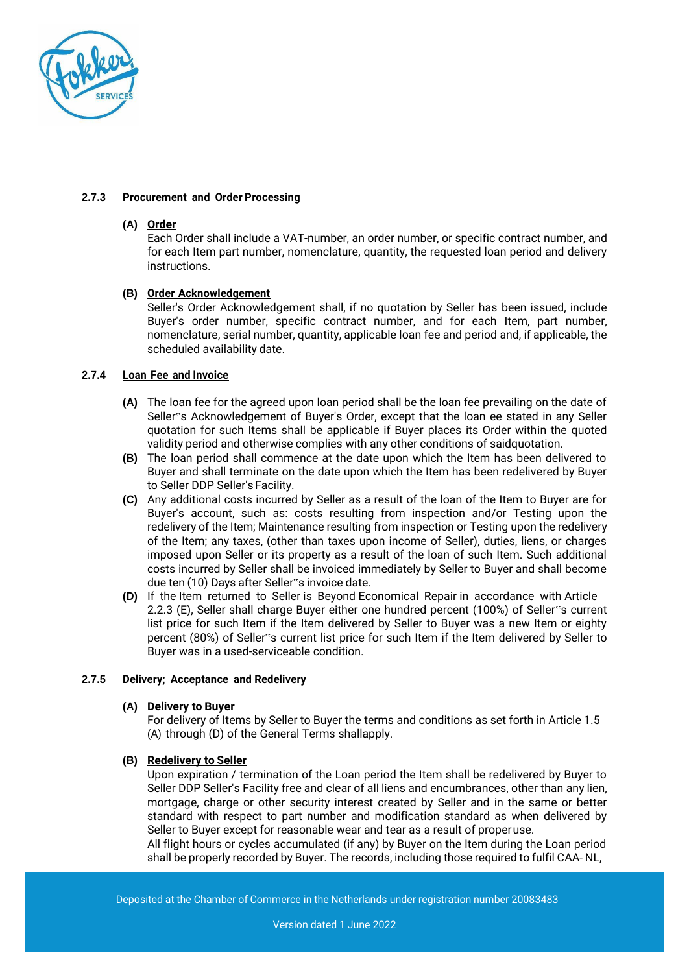

## **2.7.3 Procurement and Order Processing**

## **(A) Order**

Each Order shall include a VAT-number, an order number, or specific contract number, and for each Item part number, nomenclature, quantity, the requested loan period and delivery instructions.

## **(B) Order Acknowledgement**

Seller's Order Acknowledgement shall, if no quotation by Seller has been issued, include Buyer's order number, specific contract number, and for each Item, part number, nomenclature, serial number, quantity, applicable loan fee and period and, if applicable, the scheduled availability date.

## **2.7.4 Loan Fee and Invoice**

- **(A)** The loan fee for the agreed upon loan period shall be the loan fee prevailing on the date of Seller"s Acknowledgement of Buyer's Order, except that the loan ee stated in any Seller quotation for such Items shall be applicable if Buyer places its Order within the quoted validity period and otherwise complies with any other conditions of saidquotation.
- **(B)** The loan period shall commence at the date upon which the Item has been delivered to Buyer and shall terminate on the date upon which the Item has been redelivered by Buyer to Seller DDP Seller's Facility.
- **(C)** Any additional costs incurred by Seller as a result of the loan of the Item to Buyer are for Buyer's account, such as: costs resulting from inspection and/or Testing upon the redelivery of the Item; Maintenance resulting from inspection or Testing upon the redelivery of the Item; any taxes, (other than taxes upon income of Seller), duties, liens, or charges imposed upon Seller or its property as a result of the loan of such Item. Such additional costs incurred by Seller shall be invoiced immediately by Seller to Buyer and shall become due ten (10) Days after Seller"s invoice date.
- **(D)** If the Item returned to Seller is Beyond Economical Repair in accordance with Article 2.2.3 (E), Seller shall charge Buyer either one hundred percent (100%) of Seller"s current list price for such Item if the Item delivered by Seller to Buyer was a new Item or eighty percent (80%) of Seller"s current list price for such Item if the Item delivered by Seller to Buyer was in a used-serviceable condition.

## **2.7.5 Delivery; Acceptance and Redelivery**

## **(A) Delivery to Buyer**

For delivery of Items by Seller to Buyer the terms and conditions as set forth in Article 1.5 (A) through (D) of the General Terms shallapply.

## **(B) Redelivery to Seller**

Upon expiration / termination of the Loan period the Item shall be redelivered by Buyer to Seller DDP Seller's Facility free and clear of all liens and encumbrances, other than any lien, mortgage, charge or other security interest created by Seller and in the same or better standard with respect to part number and modification standard as when delivered by Seller to Buyer except for reasonable wear and tear as a result of properuse.

All flight hours or cycles accumulated (if any) by Buyer on the Item during the Loan period shall be properly recorded by Buyer. The records, including those required to fulfil CAA- NL,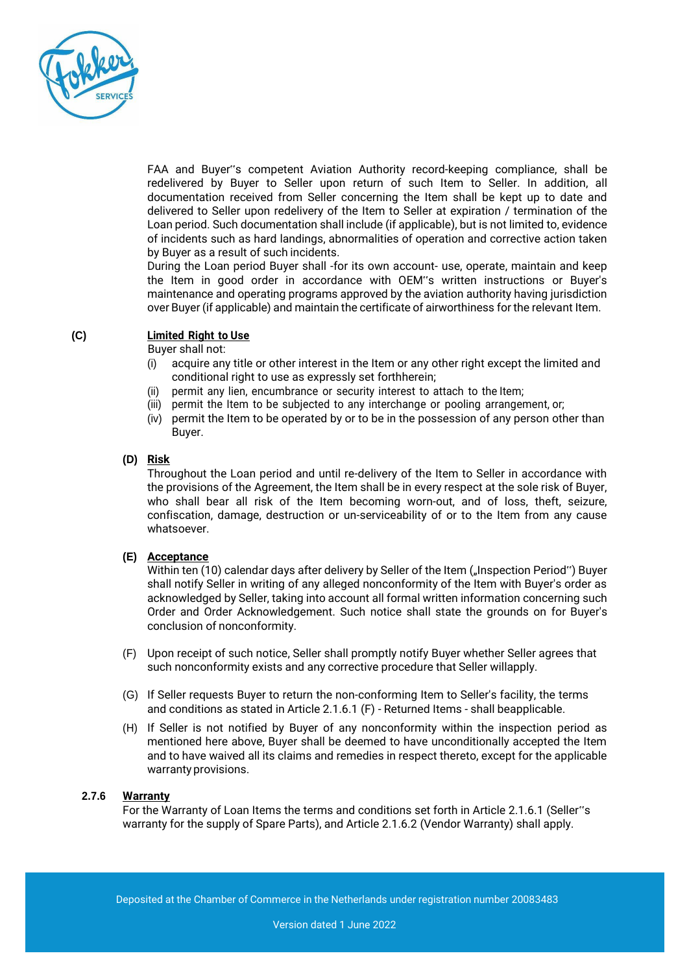

FAA and Buyer"s competent Aviation Authority record-keeping compliance, shall be redelivered by Buyer to Seller upon return of such Item to Seller. In addition, all documentation received from Seller concerning the Item shall be kept up to date and delivered to Seller upon redelivery of the Item to Seller at expiration / termination of the Loan period. Such documentation shall include (if applicable), but is not limited to, evidence of incidents such as hard landings, abnormalities of operation and corrective action taken by Buyer as a result of such incidents.

During the Loan period Buyer shall -for its own account- use, operate, maintain and keep the Item in good order in accordance with OEM"s written instructions or Buyer's maintenance and operating programs approved by the aviation authority having jurisdiction over Buyer (if applicable) and maintain the certificate of airworthiness for the relevant Item.

# **(C) Limited Right to Use**

Buyer shall not:

- (i) acquire any title or other interest in the Item or any other right except the limited and conditional right to use as expressly set forthherein;
- (ii) permit any lien, encumbrance or security interest to attach to the Item;
- (iii) permit the Item to be subjected to any interchange or pooling arrangement, or;
- (iv) permit the Item to be operated by or to be in the possession of any person other than Buyer.

#### **(D) Risk**

Throughout the Loan period and until re-delivery of the Item to Seller in accordance with the provisions of the Agreement, the Item shall be in every respect at the sole risk of Buyer, who shall bear all risk of the Item becoming worn-out, and of loss, theft, seizure, confiscation, damage, destruction or un-serviceability of or to the Item from any cause whatsoever.

## **(E) Acceptance**

Within ten (10) calendar days after delivery by Seller of the Item ("Inspection Period") Buyer shall notify Seller in writing of any alleged nonconformity of the Item with Buyer's order as acknowledged by Seller, taking into account all formal written information concerning such Order and Order Acknowledgement. Such notice shall state the grounds on for Buyer's conclusion of nonconformity.

- (F) Upon receipt of such notice, Seller shall promptly notify Buyer whether Seller agrees that such nonconformity exists and any corrective procedure that Seller willapply.
- (G) If Seller requests Buyer to return the non-conforming Item to Seller's facility, the terms and conditions as stated in Article 2.1.6.1 (F) - Returned Items - shall beapplicable.
- (H) If Seller is not notified by Buyer of any nonconformity within the inspection period as mentioned here above, Buyer shall be deemed to have unconditionally accepted the Item and to have waived all its claims and remedies in respect thereto, except for the applicable warranty provisions.

## **2.7.6 Warranty**

For the Warranty of Loan Items the terms and conditions set forth in Article 2.1.6.1 (Seller"s warranty for the supply of Spare Parts), and Article 2.1.6.2 (Vendor Warranty) shall apply.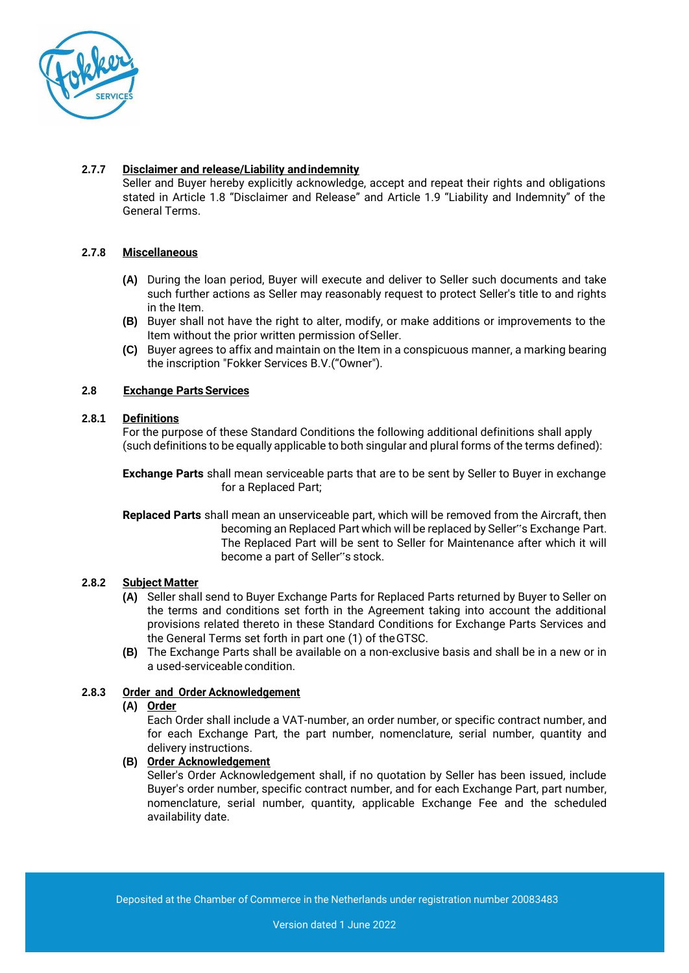

# **2.7.7 Disclaimer and release/Liability andindemnity**

Seller and Buyer hereby explicitly acknowledge, accept and repeat their rights and obligations stated in Article 1.8 "Disclaimer and Release" and Article 1.9 "Liability and Indemnity" of the General Terms.

# **2.7.8 Miscellaneous**

- **(A)** During the loan period, Buyer will execute and deliver to Seller such documents and take such further actions as Seller may reasonably request to protect Seller's title to and rights in the Item.
- **(B)** Buyer shall not have the right to alter, modify, or make additions or improvements to the Item without the prior written permission of Seller.
- **(C)** Buyer agrees to affix and maintain on the Item in a conspicuous manner, a marking bearing the inscription "Fokker Services B.V.("Owner").

## **2.8 Exchange PartsServices**

## **2.8.1 Definitions**

For the purpose of these Standard Conditions the following additional definitions shall apply (such definitions to be equally applicable to both singular and plural forms of the terms defined):

**Exchange Parts** shall mean serviceable parts that are to be sent by Seller to Buyer in exchange for a Replaced Part;

**Replaced Parts** shall mean an unserviceable part, which will be removed from the Aircraft, then becoming an Replaced Part which will be replaced by Seller"s Exchange Part. The Replaced Part will be sent to Seller for Maintenance after which it will become a part of Seller"s stock.

## **2.8.2 Subject Matter**

- **(A)** Seller shall send to Buyer Exchange Parts for Replaced Parts returned by Buyer to Seller on the terms and conditions set forth in the Agreement taking into account the additional provisions related thereto in these Standard Conditions for Exchange Parts Services and the General Terms set forth in part one (1) of theGTSC.
- **(B)** The Exchange Parts shall be available on a non-exclusive basis and shall be in a new or in a used-serviceable condition.

## **2.8.3 Order and Order Acknowledgement**

# **(A) Order**

Each Order shall include a VAT-number, an order number, or specific contract number, and for each Exchange Part, the part number, nomenclature, serial number, quantity and delivery instructions.

#### **(B) Order Acknowledgement**

Seller's Order Acknowledgement shall, if no quotation by Seller has been issued, include Buyer's order number, specific contract number, and for each Exchange Part, part number, nomenclature, serial number, quantity, applicable Exchange Fee and the scheduled availability date.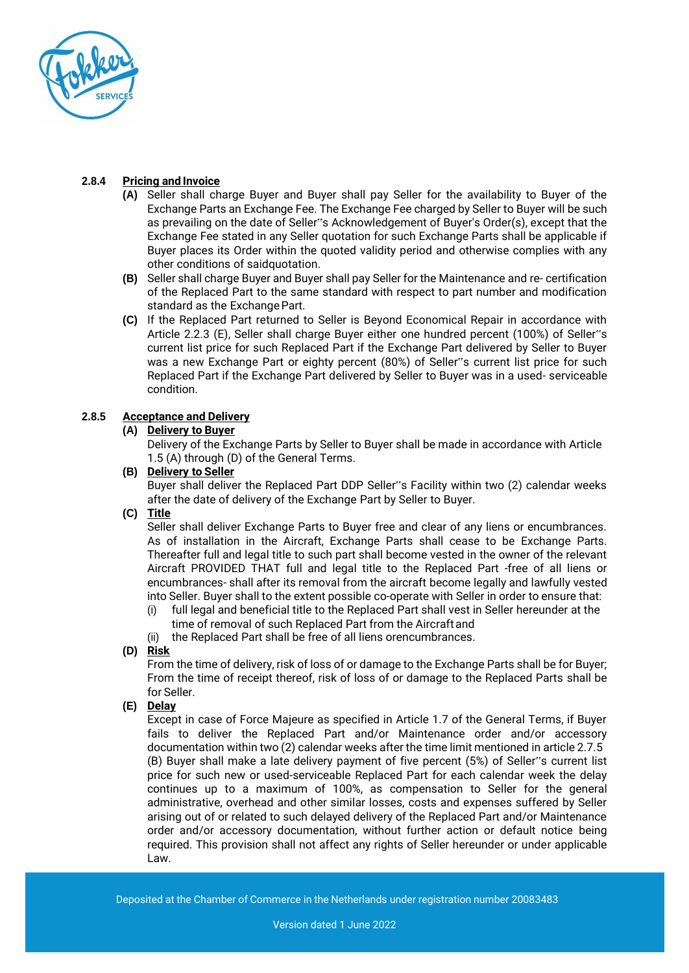

# **2.8.4 Pricing and Invoice**

- **(A)** Seller shall charge Buyer and Buyer shall pay Seller for the availability to Buyer of the Exchange Parts an Exchange Fee. The Exchange Fee charged by Seller to Buyer will be such as prevailing on the date of Seller"s Acknowledgement of Buyer's Order(s), except that the Exchange Fee stated in any Seller quotation for such Exchange Parts shall be applicable if Buyer places its Order within the quoted validity period and otherwise complies with any other conditions of saidquotation.
- **(B)** Seller shall charge Buyer and Buyer shall pay Seller for the Maintenance and re- certification of the Replaced Part to the same standard with respect to part number and modification standard as the Exchange Part.
- **(C)** If the Replaced Part returned to Seller is Beyond Economical Repair in accordance with Article 2.2.3 (E), Seller shall charge Buyer either one hundred percent (100%) of Seller"s current list price for such Replaced Part if the Exchange Part delivered by Seller to Buyer was a new Exchange Part or eighty percent (80%) of Seller"s current list price for such Replaced Part if the Exchange Part delivered by Seller to Buyer was in a used- serviceable condition.

# **2.8.5 Acceptance and Delivery**

# **(A) Delivery to Buyer**

Delivery of the Exchange Parts by Seller to Buyer shall be made in accordance with Article 1.5 (A) through (D) of the General Terms.

# **(B) Delivery to Seller**

Buyer shall deliver the Replaced Part DDP Seller"s Facility within two (2) calendar weeks after the date of delivery of the Exchange Part by Seller to Buyer.

# **(C) Title**

Seller shall deliver Exchange Parts to Buyer free and clear of any liens or encumbrances. As of installation in the Aircraft, Exchange Parts shall cease to be Exchange Parts. Thereafter full and legal title to such part shall become vested in the owner of the relevant Aircraft PROVIDED THAT full and legal title to the Replaced Part -free of all liens or encumbrances- shall after its removal from the aircraft become legally and lawfully vested into Seller. Buyer shall to the extent possible co-operate with Seller in order to ensure that:

(i) full legal and beneficial title to the Replaced Part shall vest in Seller hereunder at the time of removal of such Replaced Part from the Aircraftand

(ii) the Replaced Part shall be free of all liens orencumbrances.

**(D) Risk**

From the time of delivery, risk of loss of or damage to the Exchange Parts shall be for Buyer; From the time of receipt thereof, risk of loss of or damage to the Replaced Parts shall be for Seller.

# **(E) Delay**

Except in case of Force Majeure as specified in Article 1.7 of the General Terms, if Buyer fails to deliver the Replaced Part and/or Maintenance order and/or accessory documentation within two (2) calendar weeks after the time limit mentioned in article 2.7.5 (B) Buyer shall make a late delivery payment of five percent (5%) of Seller"s current list price for such new or used-serviceable Replaced Part for each calendar week the delay continues up to a maximum of 100%, as compensation to Seller for the general administrative, overhead and other similar losses, costs and expenses suffered by Seller arising out of or related to such delayed delivery of the Replaced Part and/or Maintenance order and/or accessory documentation, without further action or default notice being required. This provision shall not affect any rights of Seller hereunder or under applicable Law.